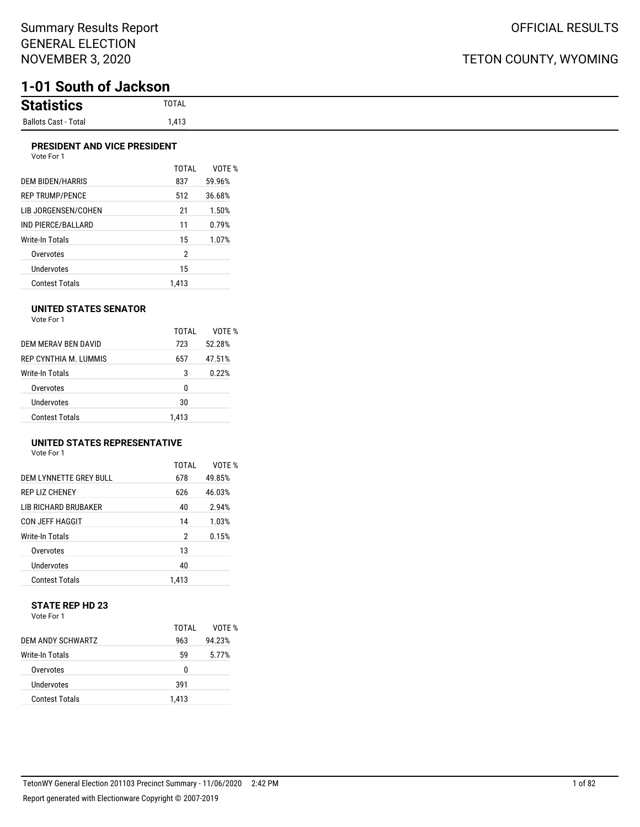# **1-01 South of Jackson**

| <b>Statistics</b>    | TOTAL          |
|----------------------|----------------|
| Ballots Cast - Total | 110<br>5 ا 4,، |

#### **PRESIDENT AND VICE PRESIDENT** Vote For 1

| <b>VULCIUI</b>          |              |        |
|-------------------------|--------------|--------|
|                         | <b>TOTAL</b> | VOTE % |
| <b>DEM BIDEN/HARRIS</b> | 837          | 59.96% |
| <b>REP TRUMP/PENCE</b>  | 512          | 36.68% |
| LIB JORGENSEN/COHEN     | 21           | 1.50%  |
| IND PIERCE/BALLARD      | 11           | 0.79%  |
| Write-In Totals         | 15           | 1.07%  |
| Overvotes               | 2            |        |
| Undervotes              | 15           |        |
| <b>Contest Totals</b>   | 1.413        |        |

#### **UNITED STATES SENATOR**

Vote For 1

|                      | TOTAI | VOTF % |
|----------------------|-------|--------|
| DEM MERAV BEN DAVID  | 723   | 52.28% |
| REP CYNTHIA M TUMMIS | 657   | 47.51% |
| Write-In Totals      | 3     | 0.22%  |
| Overvotes            | 0     |        |
| Undervotes           | 30    |        |
| Contest Totals       | 1.413 |        |

#### **UNITED STATES REPRESENTATIVE**

Vote For 1

|                             | TOTAL | VOTF % |
|-----------------------------|-------|--------|
| DEM LYNNETTE GREY BULL      | 678   | 49.85% |
| <b>REP LIZ CHENEY</b>       | 626   | 46.03% |
| <b>LIB RICHARD BRUBAKER</b> | 40    | 2.94%  |
| <b>CON JEFF HAGGIT</b>      | 14    | 1.03%  |
| Write-In Totals             | 2     | 0.15%  |
| Overvotes                   | 13    |        |
| Undervotes                  | 40    |        |
| <b>Contest Totals</b>       | 1.413 |        |

#### **STATE REP HD 23** Vote For 1

|                       | TOTAI | VOTF % |
|-----------------------|-------|--------|
| DEM ANDY SCHWARTZ     | 963   | 94.23% |
| Write-In Totals       | 59    | 5.77%  |
| Overvotes             | n     |        |
| Undervotes            | 391   |        |
| <b>Contest Totals</b> | 1.413 |        |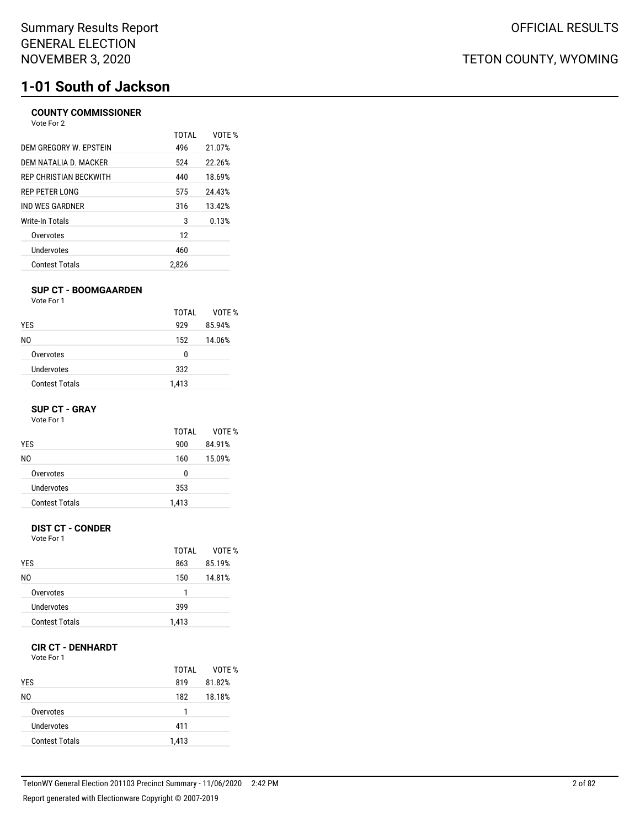# **1-01 South of Jackson**

### **COUNTY COMMISSIONER**

| Vote For 2             |       |        |
|------------------------|-------|--------|
|                        | TOTAL | VOTF % |
| DEM GREGORY W. EPSTEIN | 496   | 21.07% |
| DEM NATALIA D. MACKER  | 524   | 22.26% |
| REP CHRISTIAN BECKWITH | 440   | 18.69% |
| REP PETER LONG         | 575   | 24.43% |
| IND WES GARDNER        | 316   | 13.42% |
| Write-In Totals        | 3     | 0.13%  |
| Overvotes              | 12    |        |
| Undervotes             | 460   |        |
| <b>Contest Totals</b>  | 2.826 |        |

#### **SUP CT - BOOMGAARDEN**

Vote For 1

|                       | TOTAI | VOTE % |
|-----------------------|-------|--------|
| <b>YES</b>            | 929   | 85.94% |
| NO.                   | 152   | 14.06% |
| Overvotes             | 0     |        |
| Undervotes            | 332   |        |
| <b>Contest Totals</b> | 1,413 |        |

#### **SUP CT - GRAY**

Vote For 1

| TOTAI | VOTF % |
|-------|--------|
| 900   | 84.91% |
| 160   | 15.09% |
| 0     |        |
| 353   |        |
| 1,413 |        |
|       |        |

#### **DIST CT - CONDER**

Vote For 1

|                       | TOTAI | VOTE % |
|-----------------------|-------|--------|
| <b>YES</b>            | 863   | 85.19% |
| NO.                   | 150   | 14.81% |
| Overvotes             | 1     |        |
| Undervotes            | 399   |        |
| <b>Contest Totals</b> | 1,413 |        |

#### **CIR CT - DENHARDT**

Vote For 1

| <b>YES</b>            | TOTAL<br>819 | VOTE %<br>81.82% |
|-----------------------|--------------|------------------|
| N0                    | 182          | 18.18%           |
| Overvotes             | 1            |                  |
| Undervotes            | 411          |                  |
| <b>Contest Totals</b> | 1,413        |                  |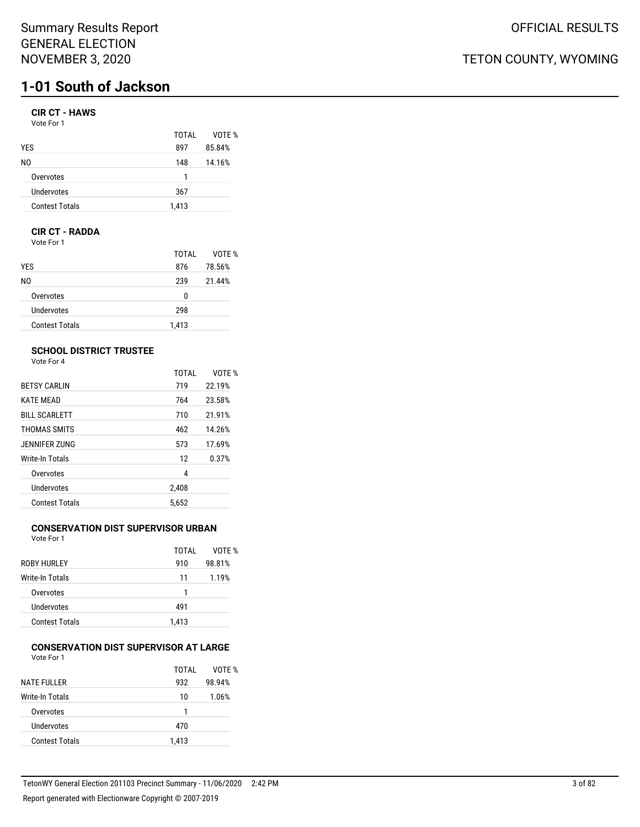## Summary Results Report GENERAL ELECTION NOVEMBER 3, 2020

# **1-01 South of Jackson**

## **CIR CT - HAWS**

| Vote For 1 |  |
|------------|--|
|------------|--|

|                       | TOTAI | VOTE % |
|-----------------------|-------|--------|
| <b>YES</b>            | 897   | 85.84% |
| N0                    | 148   | 14.16% |
| Overvotes             | 1     |        |
| Undervotes            | 367   |        |
| <b>Contest Totals</b> | 1,413 |        |

#### **CIR CT - RADDA**

Vote For 1

|                       | TOTAL | VOTE % |
|-----------------------|-------|--------|
| <b>YES</b>            | 876   | 78.56% |
| NO.                   | 239   | 21.44% |
| Overvotes             | 0     |        |
| Undervotes            | 298   |        |
| <b>Contest Totals</b> | 1,413 |        |

### **SCHOOL DISTRICT TRUSTEE**

Vote For 4

|                       | <b>TOTAL</b> | VOTE % |
|-----------------------|--------------|--------|
| <b>BETSY CARLIN</b>   | 719          | 22.19% |
| <b>KATE MEAD</b>      | 764          | 23.58% |
| <b>BILL SCARLETT</b>  | 710          | 21.91% |
| THOMAS SMITS          | 462          | 14.26% |
| JENNIFER ZUNG         | 573          | 17.69% |
| Write-In Totals       | 12           | 0.37%  |
| Overvotes             | 4            |        |
| Undervotes            | 2,408        |        |
| <b>Contest Totals</b> | 5.652        |        |

## **CONSERVATION DIST SUPERVISOR URBAN**

Vote For 1

|                       | TOTAI | VOTF % |
|-----------------------|-------|--------|
| <b>ROBY HURLEY</b>    | 910   | 98.81% |
| Write-In Totals       | 11    | 1.19%  |
| Overvotes             | 1     |        |
| Undervotes            | 491   |        |
| <b>Contest Totals</b> | 1,413 |        |
|                       |       |        |

#### **CONSERVATION DIST SUPERVISOR AT LARGE** Vote For 1

|                       | TOTAI | VOTE % |
|-----------------------|-------|--------|
| <b>NATE FULLER</b>    | 932   | 98.94% |
| Write-In Totals       | 10    | 1.06%  |
| Overvotes             |       |        |
| Undervotes            | 470   |        |
| <b>Contest Totals</b> | 1,413 |        |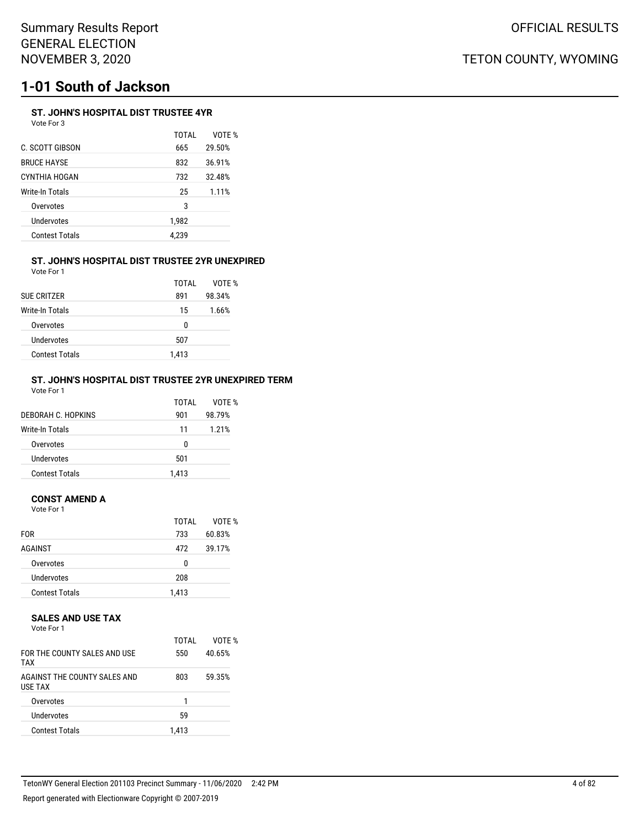# **1-01 South of Jackson**

## **ST. JOHN'S HOSPITAL DIST TRUSTEE 4YR**

Vote For 3

|                       | TOTAL | VOTE % |
|-----------------------|-------|--------|
| C. SCOTT GIBSON       | 665   | 29.50% |
| BRUCE HAYSE           | 832   | 36.91% |
| CYNTHIA HOGAN         | 732   | 32.48% |
| Write-In Totals       | 25    | 1.11%  |
| Overvotes             | 3     |        |
| Undervotes            | 1,982 |        |
| <b>Contest Totals</b> | 4,239 |        |
|                       |       |        |

#### **ST. JOHN'S HOSPITAL DIST TRUSTEE 2YR UNEXPIRED** Vote For 1

| <b>SUE CRITZER</b>     | TOTAI<br>891 | VOTF %<br>98.34% |
|------------------------|--------------|------------------|
| <b>Write-In Totals</b> | 15           | 1.66%            |
| Overvotes              | 0            |                  |
| Undervotes             | 507          |                  |
| <b>Contest Totals</b>  | 1.413        |                  |

#### **ST. JOHN'S HOSPITAL DIST TRUSTEE 2YR UNEXPIRED TERM** Vote For 1

| DEBORAH C. HOPKINS    | TOTAI<br>901 | VOTF %<br>98.79% |
|-----------------------|--------------|------------------|
| Write-In Totals       | 11           | 1.21%            |
| Overvotes             | 0            |                  |
| Undervotes            | 501          |                  |
| <b>Contest Totals</b> | 1.413        |                  |

#### **CONST AMEND A**

Vote For 1

| <b>FOR</b>            | TOTAI<br>733 | VOTE %<br>60.83% |
|-----------------------|--------------|------------------|
| AGAINST               | 472          | 39.17%           |
| Overvotes             | 0            |                  |
| Undervotes            | 208          |                  |
| <b>Contest Totals</b> | 1,413        |                  |

#### **SALES AND USE TAX**

Vote For 1

| FOR THE COUNTY SALES AND USE<br><b>TAX</b>     | TOTAI<br>550 | VOTF %<br>40.65% |
|------------------------------------------------|--------------|------------------|
| AGAINST THE COUNTY SALES AND<br><b>USE TAX</b> | 803          | 59.35%           |
| Overvotes                                      |              |                  |
| Undervotes                                     | 59           |                  |
| <b>Contest Totals</b>                          | 1.413        |                  |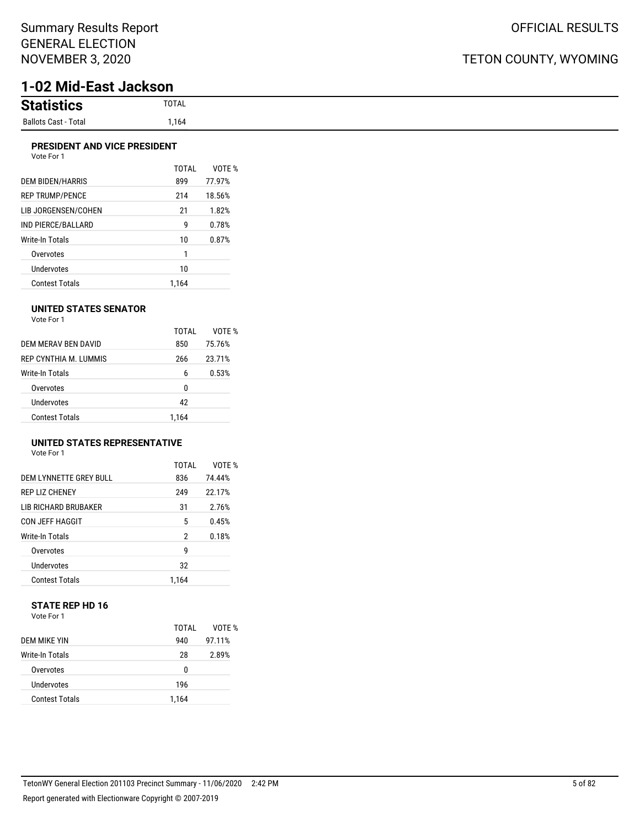# **1-02 Mid-East Jackson**

#### **PRESIDENT AND VICE PRESIDENT** Vote For 1

| <b>VULLET UIT</b>       |              |        |
|-------------------------|--------------|--------|
|                         | <b>TOTAL</b> | VOTF % |
| <b>DEM BIDEN/HARRIS</b> | 899          | 77.97% |
| <b>REP TRUMP/PENCE</b>  | 214          | 18.56% |
| LIB JORGENSEN/COHEN     | 21           | 1.82%  |
| IND PIERCE/BALLARD      | g            | 0.78%  |
| Write-In Totals         | 10           | 0.87%  |
| Overvotes               | 1            |        |
| Undervotes              | 10           |        |
| <b>Contest Totals</b>   | 1.164        |        |

#### **UNITED STATES SENATOR**

Vote For 1

|                       | TOTAI | VOTF % |
|-----------------------|-------|--------|
| DEM MERAV BEN DAVID   | 850   | 75.76% |
| REP CYNTHIA M. LUMMIS | 266   | 23.71% |
| Write-In Totals       | 6     | 0.53%  |
| Overvotes             | 0     |        |
| Undervotes            | 42    |        |
| Contest Totals        | 1.164 |        |

#### **UNITED STATES REPRESENTATIVE**

Vote For 1

|                        | TOTAL | VOTF % |
|------------------------|-------|--------|
| DEM LYNNETTE GREY BULL | 836   | 74.44% |
| <b>REP LIZ CHENEY</b>  | 249   | 22.17% |
| LIB RICHARD BRUBAKER   | 31    | 2.76%  |
| <b>CON JEFF HAGGIT</b> | 5     | 0.45%  |
| <b>Write-In Totals</b> | 2     | 0.18%  |
| Overvotes              | g     |        |
| Undervotes             | 32    |        |
| <b>Contest Totals</b>  | 1.164 |        |

#### **STATE REP HD 16** Vote For 1

|                       | TOTAI | VOTE % |
|-----------------------|-------|--------|
| DEM MIKE YIN          | 940   | 97.11% |
| Write-In Totals       | 28    | 2.89%  |
| Overvotes             | 0     |        |
| Undervotes            | 196   |        |
| <b>Contest Totals</b> | 1.164 |        |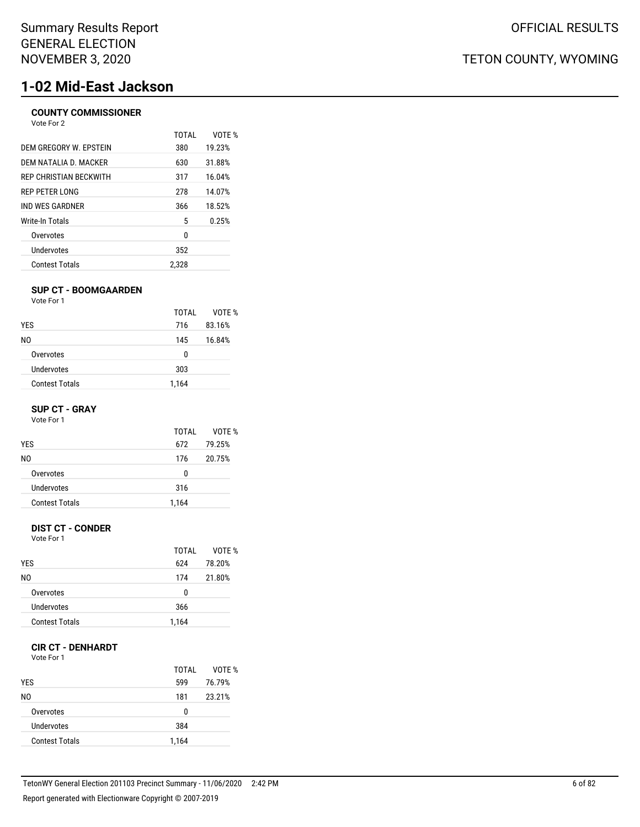# **1-02 Mid-East Jackson**

### **COUNTY COMMISSIONER**

| Vote For 2             |       |        |
|------------------------|-------|--------|
|                        | TOTAI | VOTF % |
| DEM GREGORY W. EPSTEIN | 380   | 19.23% |
| DEM NATALIA D. MACKER  | 630   | 31.88% |
| REP CHRISTIAN BECKWITH | 317   | 16.04% |
| REP PETER LONG         | 278   | 14.07% |
| IND WES GARDNER        | 366   | 18.52% |
| Write-In Totals        | 5     | 0.25%  |
| Overvotes              | 0     |        |
| <b>Undervotes</b>      | 352   |        |
| <b>Contest Totals</b>  | 2.328 |        |
|                        |       |        |

#### **SUP CT - BOOMGAARDEN**

Vote For 1

|                       | TOTAI | VOTE % |
|-----------------------|-------|--------|
| <b>YES</b>            | 716   | 83.16% |
| NO.                   | 145   | 16.84% |
| Overvotes             | 0     |        |
| Undervotes            | 303   |        |
| <b>Contest Totals</b> | 1,164 |        |

#### **SUP CT - GRAY**

Vote For 1

|                       | TOTAI | VOTF % |
|-----------------------|-------|--------|
| <b>YES</b>            | 672   | 79.25% |
| N0                    | 176   | 20.75% |
| Overvotes             | 0     |        |
| Undervotes            | 316   |        |
| <b>Contest Totals</b> | 1,164 |        |

#### **DIST CT - CONDER**

Vote For 1

|                       | TOTAI | VOTF % |
|-----------------------|-------|--------|
| <b>YES</b>            | 624   | 78.20% |
| NO.                   | 174   | 21.80% |
| Overvotes             | 0     |        |
| Undervotes            | 366   |        |
| <b>Contest Totals</b> | 1,164 |        |

#### **CIR CT - DENHARDT**

Vote For 1

| <b>YES</b>            | TOTAI<br>599 | VOTE %<br>76.79% |
|-----------------------|--------------|------------------|
| N0                    | 181          | 23.21%           |
| Overvotes             | 0            |                  |
| Undervotes            | 384          |                  |
| <b>Contest Totals</b> | 1,164        |                  |

TETON COUNTY, WYOMING

OFFICIAL RESULTS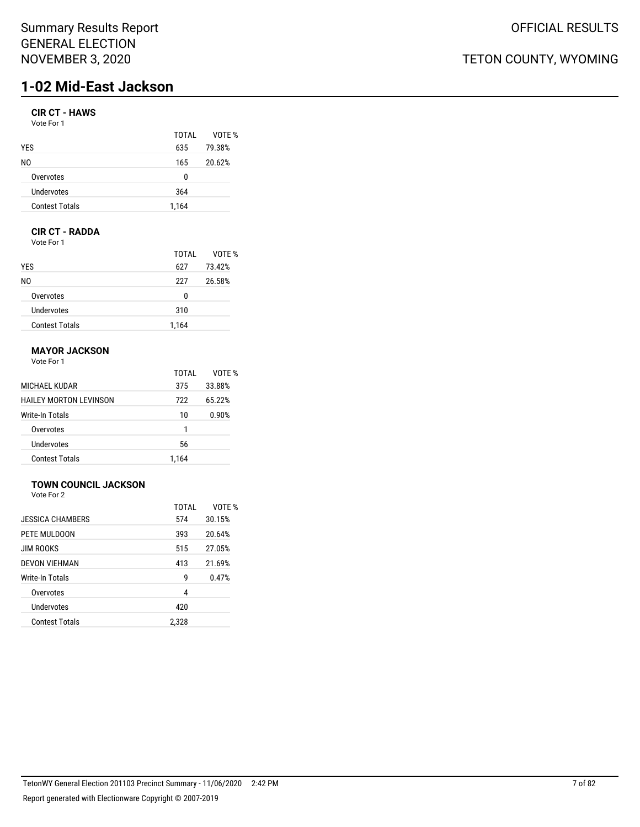## Summary Results Report GENERAL ELECTION NOVEMBER 3, 2020

# **1-02 Mid-East Jackson**

### **CIR CT - HAWS**

| Vote For 1 |  |
|------------|--|
|------------|--|

|                       | TOTAL | VOTE % |
|-----------------------|-------|--------|
| <b>YES</b>            | 635   | 79.38% |
| NO.                   | 165   | 20.62% |
| Overvotes             | 0     |        |
| Undervotes            | 364   |        |
| <b>Contest Totals</b> | 1,164 |        |

## **CIR CT - RADDA**

Vote For 1

|                       | TOTAL | VOTE % |
|-----------------------|-------|--------|
| <b>YES</b>            | 627   | 73.42% |
| NO.                   | 227   | 26.58% |
| Overvotes             | 0     |        |
| Undervotes            | 310   |        |
| <b>Contest Totals</b> | 1,164 |        |

### **MAYOR JACKSON**

Vote For 1

|                               | TOTAI | VOTF % |
|-------------------------------|-------|--------|
| MICHAEL KUDAR                 | 375   | 33.88% |
| <b>HAILEY MORTON LEVINSON</b> | 722   | 65.22% |
| Write-In Totals               | 10    | 0.90%  |
| Overvotes                     | 1     |        |
| Undervotes                    | 56    |        |
| <b>Contest Totals</b>         | 1.164 |        |

## **TOWN COUNCIL JACKSON**

Vote For 2

|                       | TOTAL | VOTF % |
|-----------------------|-------|--------|
| JESSICA CHAMBERS      | 574   | 30.15% |
| PETE MULDOON          | 393   | 20.64% |
| <b>JIM ROOKS</b>      | 515   | 27.05% |
| <b>DEVON VIEHMAN</b>  | 413   | 21.69% |
| Write-In Totals       | g     | 0.47%  |
| Overvotes             | 4     |        |
| Undervotes            | 420   |        |
| <b>Contest Totals</b> | 2,328 |        |
|                       |       |        |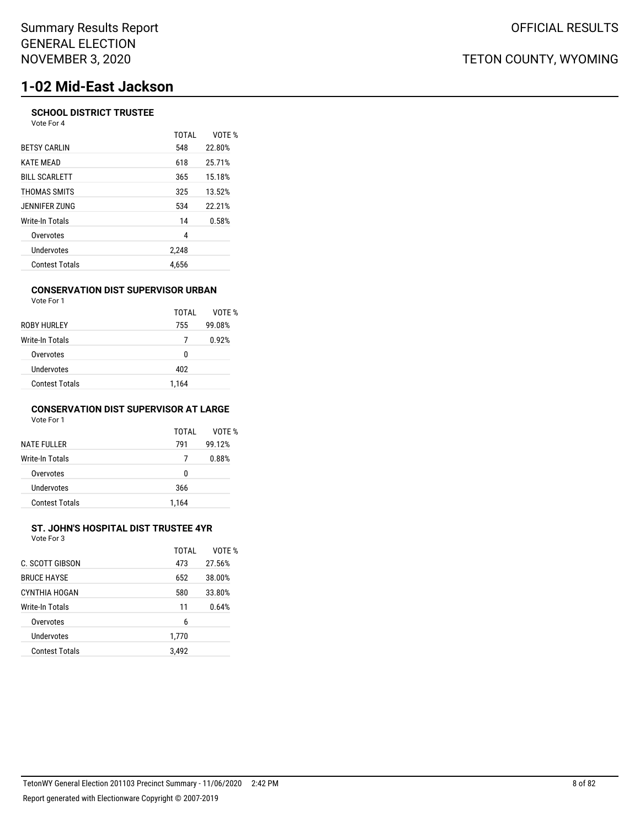# **1-02 Mid-East Jackson**

#### **SCHOOL DISTRICT TRUSTEE** Vote For 4

|                       | <b>TOTAL</b> | VOTE % |
|-----------------------|--------------|--------|
| <b>BETSY CARLIN</b>   | 548          | 22.80% |
| <b>KATE MEAD</b>      | 618          | 25.71% |
| <b>BILL SCARLETT</b>  | 365          | 15.18% |
| THOMAS SMITS          | 325          | 13.52% |
| JENNIFER ZUNG         | 534          | 22.21% |
| Write-In Totals       | 14           | 0.58%  |
| Overvotes             | 4            |        |
| Undervotes            | 2,248        |        |
| <b>Contest Totals</b> | 4.656        |        |
|                       |              |        |

#### **CONSERVATION DIST SUPERVISOR URBAN**

| Vote For 1            |       |        |
|-----------------------|-------|--------|
|                       | TOTAI | VOTE % |
| ROBY HURLEY           | 755   | 99.08% |
| Write-In Totals       | 7     | 0.92%  |
| Overvotes             | 0     |        |
| Undervotes            | 402   |        |
| <b>Contest Totals</b> | 1.164 |        |

#### **CONSERVATION DIST SUPERVISOR AT LARGE** Vote For 1

| <b>NATE FULLER</b>    | TOTAI<br>791 | VOTF %<br>99.12% |
|-----------------------|--------------|------------------|
| Write-In Totals       | 7            | 0.88%            |
| Overvotes             | U            |                  |
| Undervotes            | 366          |                  |
| <b>Contest Totals</b> | 1.164        |                  |

#### **ST. JOHN'S HOSPITAL DIST TRUSTEE 4YR**  $V_{\text{min}}$  For  $\sigma$

| VOIE FOL 3            |       |        |
|-----------------------|-------|--------|
|                       | TOTAL | VOTE % |
| C. SCOTT GIBSON       | 473   | 27.56% |
| <b>BRUCE HAYSE</b>    | 652   | 38.00% |
| CYNTHIA HOGAN         | 580   | 33.80% |
| Write-In Totals       | 11    | 0.64%  |
| Overvotes             | 6     |        |
| Undervotes            | 1,770 |        |
| <b>Contest Totals</b> | 3.492 |        |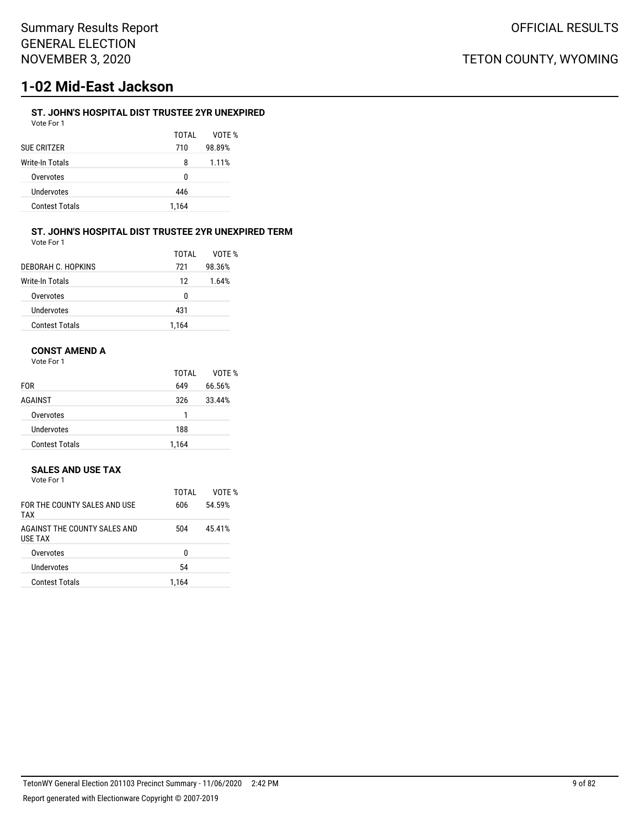# **1-02 Mid-East Jackson**

### **ST. JOHN'S HOSPITAL DIST TRUSTEE 2YR UNEXPIRED**

Vote For 1

TOTAL VOTE % SUE CRITZER 710 98.89% Write-In Totals 8 1.11% Overvotes 0 Undervotes 446 Contest Totals 1,164

#### **ST. JOHN'S HOSPITAL DIST TRUSTEE 2YR UNEXPIRED TERM**

| Vote For 1            |       |        |
|-----------------------|-------|--------|
|                       | TOTAI | VOTF % |
| DEBORAH C. HOPKINS    | 721   | 98.36% |
| Write-In Totals       | 12    | 1.64%  |
| Overvotes             | 0     |        |
| <b>Undervotes</b>     | 431   |        |
| <b>Contest Totals</b> | 1.164 |        |

#### **CONST AMEND A**

Vote For 1

|                       | TOTAL | VOTE % |
|-----------------------|-------|--------|
| <b>FOR</b>            | 649   | 66.56% |
| AGAINST               | 326   | 33.44% |
| Overvotes             |       |        |
| Undervotes            | 188   |        |
| <b>Contest Totals</b> | 1.164 |        |

#### **SALES AND USE TAX**

| Vote For 1 |  |  |
|------------|--|--|
|            |  |  |

| TOTAI | VOTF % |
|-------|--------|
| 606   | 54.59% |
| 504   | 45.41% |
| U     |        |
| 54    |        |
| 1.164 |        |
|       |        |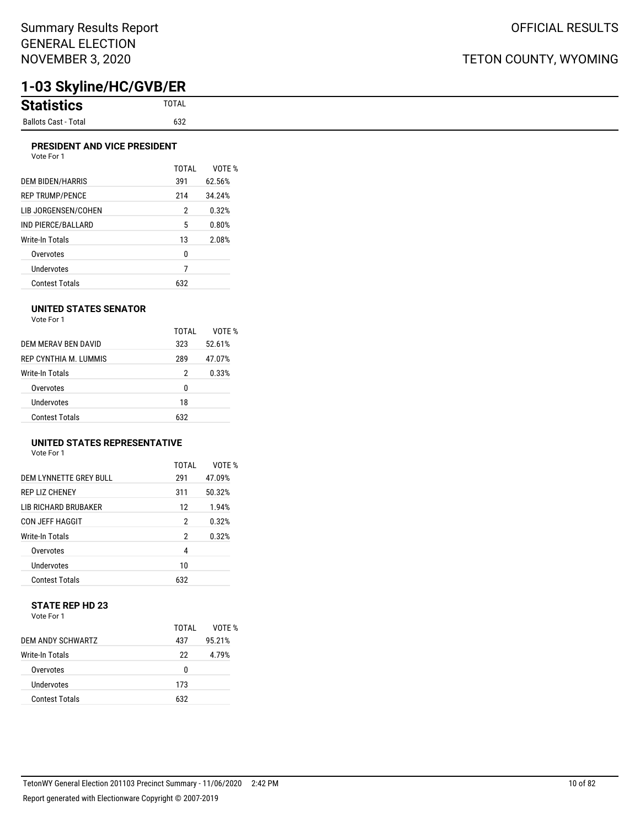# **1-03 Skyline/HC/GVB/ER**

| <b>Statistic</b>                    |
|-------------------------------------|
| <b>Ballots Cast -</b><br>Total<br>. |

#### **PRESIDENT AND VICE PRESIDENT**

|                        | TOTAL | VOTF % |
|------------------------|-------|--------|
| DEM BIDEN/HARRIS       | 391   | 62.56% |
| <b>REP TRUMP/PENCE</b> | 214   | 34.24% |
| LIB JORGENSEN/COHEN    | 2     | 0.32%  |
| IND PIERCE/BALLARD     | 5     | 0.80%  |
| Write-In Totals        | 13    | 2.08%  |
| Overvotes              | 0     |        |
| <b>Undervotes</b>      | 7     |        |
| <b>Contest Totals</b>  | 632   |        |

#### **UNITED STATES SENATOR**

Vote For 1

|                        | TOTAI | VOTF % |
|------------------------|-------|--------|
| DEM MERAV BEN DAVID    | 323   | 52.61% |
| REP CYNTHIA M. LUMMIS  | 289   | 47.07% |
| <b>Write-In Totals</b> | 2     | 0.33%  |
| Overvotes              | 0     |        |
| Undervotes             | 18    |        |
| Contest Totals         | 632   |        |

## **UNITED STATES REPRESENTATIVE**

Vote For 1

|                             | TOTAL | VOTE % |
|-----------------------------|-------|--------|
| DEM LYNNETTE GREY BULL      | 291   | 47.09% |
| <b>REP LIZ CHENEY</b>       | 311   | 50.32% |
| <b>LIB RICHARD BRUBAKER</b> | 12    | 1.94%  |
| <b>CON JEFF HAGGIT</b>      | 2     | 0.32%  |
| Write-In Totals             | 2     | 0.32%  |
| Overvotes                   | 4     |        |
| Undervotes                  | 10    |        |
| <b>Contest Totals</b>       | 632   |        |

#### **STATE REP HD 23** Vote For 1

|                       | TOTAI | VOTF % |
|-----------------------|-------|--------|
| DEM ANDY SCHWARTZ     | 437   | 95.21% |
| Write-In Totals       | 22    | 4.79%  |
| Overvotes             | U     |        |
| Undervotes            | 173   |        |
| <b>Contest Totals</b> | 632   |        |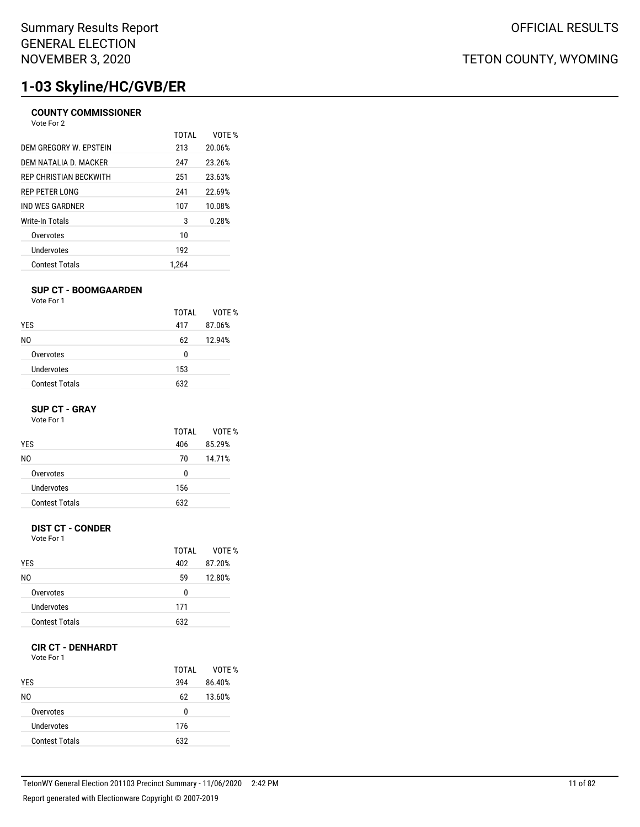# **1-03 Skyline/HC/GVB/ER**

### **COUNTY COMMISSIONER**

Vote For 2

|                        | TOTAI | VOTF % |
|------------------------|-------|--------|
| DEM GREGORY W. EPSTEIN | 213   | 20.06% |
| DEM NATALIA D. MACKER  | 247   | 23.26% |
| REP CHRISTIAN BECKWITH | 251   | 23.63% |
| REP PETER LONG         | 241   | 22.69% |
| IND WES GARDNER        | 107   | 10.08% |
| Write-In Totals        | 3     | 0.28%  |
| Overvotes              | 10    |        |
| Undervotes             | 192   |        |
| <b>Contest Totals</b>  | 1.264 |        |

#### **SUP CT - BOOMGAARDEN**

|                       | TOTAI | VOTE % |
|-----------------------|-------|--------|
| <b>YES</b>            | 417   | 87.06% |
| NO.                   | 62    | 12.94% |
| Overvotes             | 0     |        |
| Undervotes            | 153   |        |
| <b>Contest Totals</b> | 632   |        |

#### **SUP CT - GRAY**

Vote For 1

| 406 |            |
|-----|------------|
|     | 85.29%     |
| 70  | 14.71%     |
| 0   |            |
|     |            |
|     |            |
|     | 156<br>632 |

#### **DIST CT - CONDER**

Vote For 1

|                       | TOTAI | VOTF % |
|-----------------------|-------|--------|
| <b>YES</b>            | 402   | 87.20% |
| N0                    | 59    | 12.80% |
| Overvotes             | U     |        |
| Undervotes            | 171   |        |
| <b>Contest Totals</b> | 632   |        |

#### **CIR CT - DENHARDT**

Vote For 1

| <b>YES</b>            | TOTAI<br>394 | VOTE %<br>86.40% |
|-----------------------|--------------|------------------|
| N0                    | 62           | 13.60%           |
| Overvotes             | 0            |                  |
| Undervotes            | 176          |                  |
| <b>Contest Totals</b> | 632          |                  |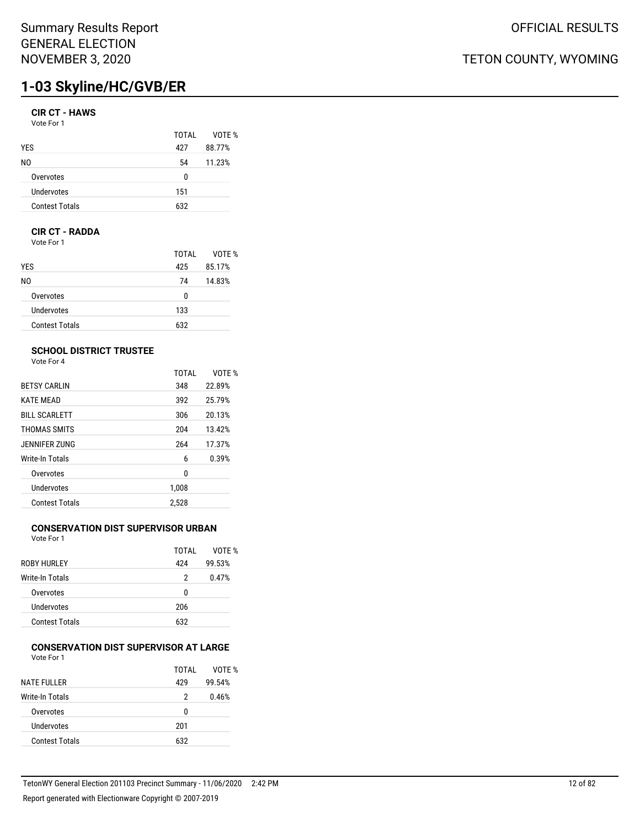# **1-03 Skyline/HC/GVB/ER**

### **CIR CT - HAWS**

Vote For 1

|                       | TOTAI | VOTF % |
|-----------------------|-------|--------|
| <b>YES</b>            | 427   | 88.77% |
| NO.                   | 54    | 11.23% |
| Overvotes             | n     |        |
| Undervotes            | 151   |        |
| <b>Contest Totals</b> | 632   |        |

#### **CIR CT - RADDA**

Vote For 1

|                       | TOTAL | VOTE % |
|-----------------------|-------|--------|
| <b>YES</b>            | 425   | 85.17% |
| NO.                   | 74    | 14.83% |
| Overvotes             | 0     |        |
| Undervotes            | 133   |        |
| <b>Contest Totals</b> | 632   |        |

### **SCHOOL DISTRICT TRUSTEE**

Vote For 4

|                      | <b>TOTAL</b> | VOTE % |
|----------------------|--------------|--------|
| <b>BETSY CARLIN</b>  | 348          | 22.89% |
| <b>KATE MEAD</b>     | 392          | 25.79% |
| <b>BILL SCARLETT</b> | 306          | 20.13% |
| THOMAS SMITS         | 204          | 13.42% |
| JENNIFER ZUNG        | 264          | 17.37% |
| Write-In Totals      | 6            | 0.39%  |
| Overvotes            | 0            |        |
| Undervotes           | 1,008        |        |
| Contest Totals       | 2.528        |        |

## **CONSERVATION DIST SUPERVISOR URBAN**

Vote For 1

|                        | TOTAI | VOTF % |
|------------------------|-------|--------|
| <b>ROBY HURLEY</b>     | 424   | 99.53% |
| <b>Write-In Totals</b> | 2     | 0.47%  |
| Overvotes              | U     |        |
| Undervotes             | 206   |        |
| <b>Contest Totals</b>  | 632   |        |

#### **CONSERVATION DIST SUPERVISOR AT LARGE** Vote For 1

|                       | TOTAI | VOTE % |
|-----------------------|-------|--------|
| <b>NATE FULLER</b>    | 429   | 99.54% |
| Write-In Totals       | 2     | 0.46%  |
| Overvotes             | U     |        |
| Undervotes            | 201   |        |
| <b>Contest Totals</b> | 632   |        |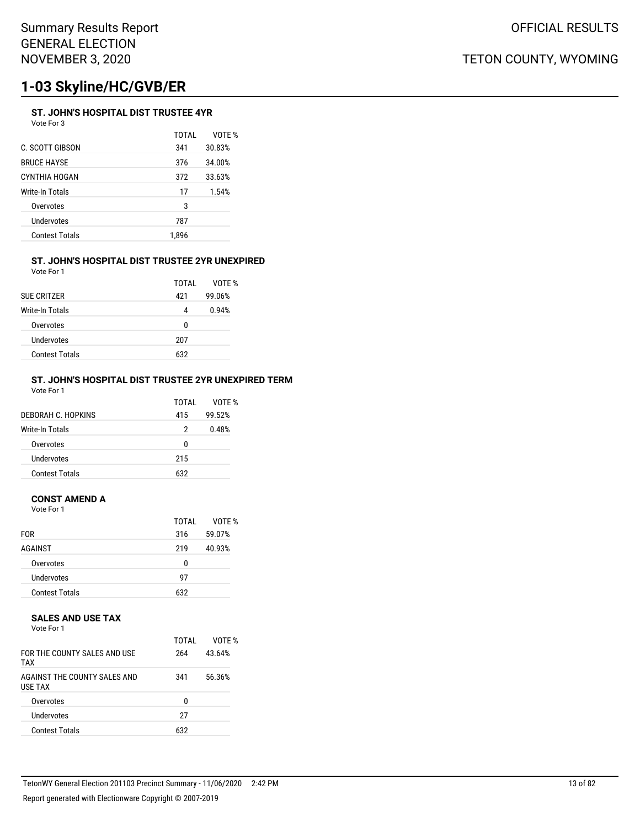# **1-03 Skyline/HC/GVB/ER**

### **ST. JOHN'S HOSPITAL DIST TRUSTEE 4YR**

Vote For 3

|                       | TOTAI | VOTF % |
|-----------------------|-------|--------|
| C. SCOTT GIBSON       | 341   | 30.83% |
| <b>BRUCE HAYSE</b>    | 376   | 34.00% |
| CYNTHIA HOGAN         | 372   | 33.63% |
| Write-In Totals       | 17    | 1.54%  |
| Overvotes             | 3     |        |
| Undervotes            | 787   |        |
| <b>Contest Totals</b> | 1,896 |        |
|                       |       |        |

#### **ST. JOHN'S HOSPITAL DIST TRUSTEE 2YR UNEXPIRED** Vote For 1

| <b>SUE CRITZER</b>     | TOTAI<br>421 | VOTF %<br>99.06% |
|------------------------|--------------|------------------|
| <b>Write-In Totals</b> | 4            | 0.94%            |
| Overvotes              | n            |                  |
| Undervotes             | 207          |                  |
| <b>Contest Totals</b>  | 632          |                  |

#### **ST. JOHN'S HOSPITAL DIST TRUSTEE 2YR UNEXPIRED TERM** Vote For 1

| DEBORAH C. HOPKINS    | TOTAI<br>415 | VOTF %<br>99.52% |
|-----------------------|--------------|------------------|
| Write-In Totals       | 2            | 0.48%            |
| Overvotes             | 0            |                  |
| Undervotes            | 215          |                  |
| <b>Contest Totals</b> | 632          |                  |

#### **CONST AMEND A**

Vote For 1

|                       | TOTAI | VOTE % |
|-----------------------|-------|--------|
| <b>FOR</b>            | 316   | 59.07% |
| AGAINST               | 219   | 40.93% |
| Overvotes             | 0     |        |
| Undervotes            | 97    |        |
| <b>Contest Totals</b> | 632   |        |

#### **SALES AND USE TAX**

Vote For 1

| FOR THE COUNTY SALES AND USE<br><b>TAX</b>     | TOTAI<br>264 | VOTF %<br>43.64% |
|------------------------------------------------|--------------|------------------|
| AGAINST THE COUNTY SALES AND<br><b>USE TAX</b> | 341          | 56.36%           |
| Overvotes                                      | n            |                  |
| Undervotes                                     | 27           |                  |
| <b>Contest Totals</b>                          | 632          |                  |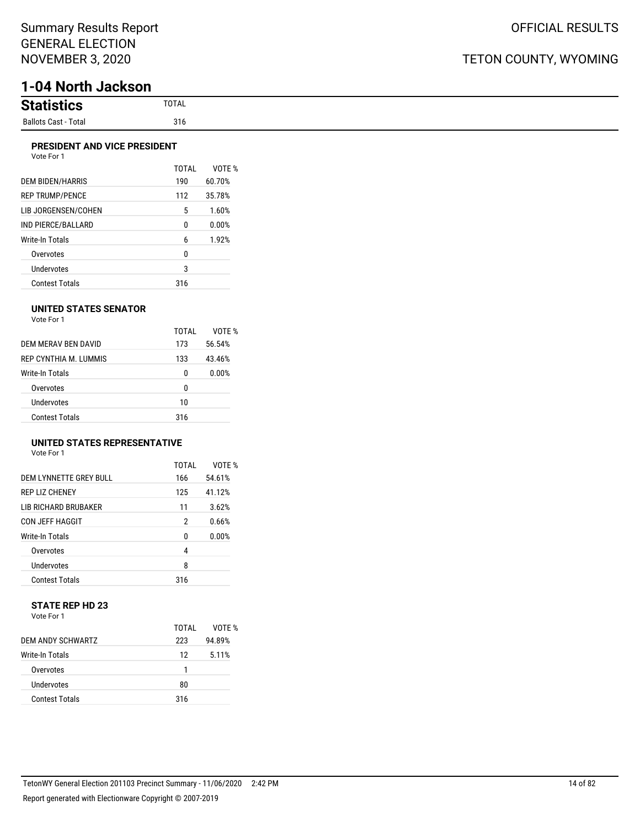# **1-04 North Jackson**

| <b>Statistion</b><br>SUCS.  |
|-----------------------------|
| <b>Ballots Cast - Total</b> |

#### **PRESIDENT AND VICE PRESIDENT** Vote For 1

|                         | <b>TOTAL</b> | VOTE % |
|-------------------------|--------------|--------|
| <b>DEM BIDEN/HARRIS</b> | 190          | 60.70% |
| <b>REP TRUMP/PENCE</b>  | 112          | 35.78% |
| LIB JORGENSEN/COHEN     | 5            | 1.60%  |
| IND PIERCE/BALLARD      | 0            | 0.00%  |
| Write-In Totals         | 6            | 1.92%  |
| Overvotes               | 0            |        |
| Undervotes              | 3            |        |
| <b>Contest Totals</b>   | 316          |        |

#### **UNITED STATES SENATOR**

| Vote For 1 |  |
|------------|--|
|            |  |

|                       | TOTAI | VOTF % |
|-----------------------|-------|--------|
| DEM MERAV BEN DAVID   | 173   | 56.54% |
| REP CYNTHIA M TUMMIS  | 133   | 43.46% |
| Write-In Totals       | 0     | 0.00%  |
| Overvotes             | 0     |        |
| Undervotes            | 10    |        |
| <b>Contest Totals</b> | 316   |        |

## **UNITED STATES REPRESENTATIVE**

| Vote For 1 |  |
|------------|--|
|------------|--|

|                         | TOTAL | VOTF % |
|-------------------------|-------|--------|
| DEM I YNNETTE GREY BULL | 166   | 54.61% |
| <b>REP LIZ CHENEY</b>   | 125   | 41.12% |
| LIB RICHARD BRUBAKER    | 11    | 3.62%  |
| CON JEFF HAGGIT         | 2     | 0.66%  |
| Write-In Totals         | U     | 0.00%  |
| Overvotes               | 4     |        |
| Undervotes              | 8     |        |
| <b>Contest Totals</b>   | 316   |        |

#### **STATE REP HD 23** Vote For 1

|                       | TOTAI | VOTF % |
|-----------------------|-------|--------|
| DEM ANDY SCHWARTZ     | 223   | 94.89% |
| Write-In Totals       | 12    | 5.11%  |
| Overvotes             |       |        |
| Undervotes            | 80    |        |
| <b>Contest Totals</b> | 316   |        |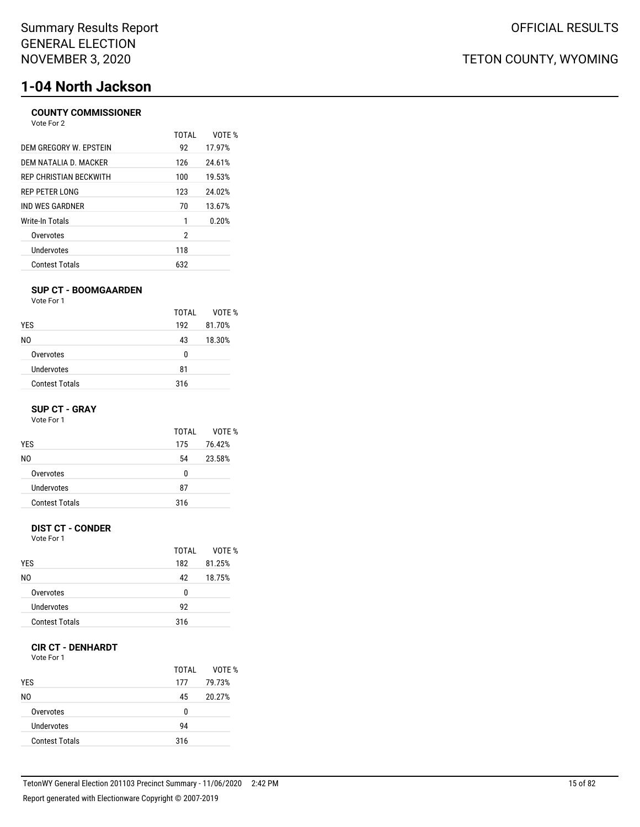# **1-04 North Jackson**

#### **COUNTY COMMISSIONER** Vote For 2

|                        | TOTAI | VOTF % |
|------------------------|-------|--------|
| DEM GREGORY W. EPSTEIN | 92    | 17.97% |
| DEM NATALIA D. MACKER  | 126   | 24.61% |
| REP CHRISTIAN BECKWITH | 100   | 19.53% |
| <b>REP PETER LONG</b>  | 123   | 24.02% |
| IND WES GARDNER        | 70    | 13.67% |
| Write-In Totals        | 1     | 0.20%  |
| Overvotes              | 2     |        |
| Undervotes             | 118   |        |
| <b>Contest Totals</b>  | 632   |        |

#### **SUP CT - BOOMGAARDEN**

Vote For 1

|                       | TOTAI | VOTF % |
|-----------------------|-------|--------|
| <b>YES</b>            | 192   | 81.70% |
| NO.                   | 43    | 18.30% |
| Overvotes             | 0     |        |
| Undervotes            | 81    |        |
| <b>Contest Totals</b> | 316   |        |

#### **SUP CT - GRAY**

Vote For 1

|                       | TOTAI | VOTE % |
|-----------------------|-------|--------|
| <b>YES</b>            | 175   | 76.42% |
| N0                    | 54    | 23.58% |
| Overvotes             | 0     |        |
| Undervotes            | 87    |        |
| <b>Contest Totals</b> | 316   |        |

#### **DIST CT - CONDER**

Vote For 1

|                       | TOTAI | VOTF % |
|-----------------------|-------|--------|
| <b>YES</b>            | 182   | 81.25% |
| NO.                   | 42    | 18.75% |
| Overvotes             | 0     |        |
| Undervotes            | 92    |        |
| <b>Contest Totals</b> | 316   |        |

### **CIR CT - DENHARDT**

Vote For 1

| <b>YES</b>            | TOTAL<br>177 | VOTE %<br>79.73% |
|-----------------------|--------------|------------------|
| N0                    | 45           | 20.27%           |
| Overvotes             | 0            |                  |
| Undervotes            | 94           |                  |
| <b>Contest Totals</b> | 316          |                  |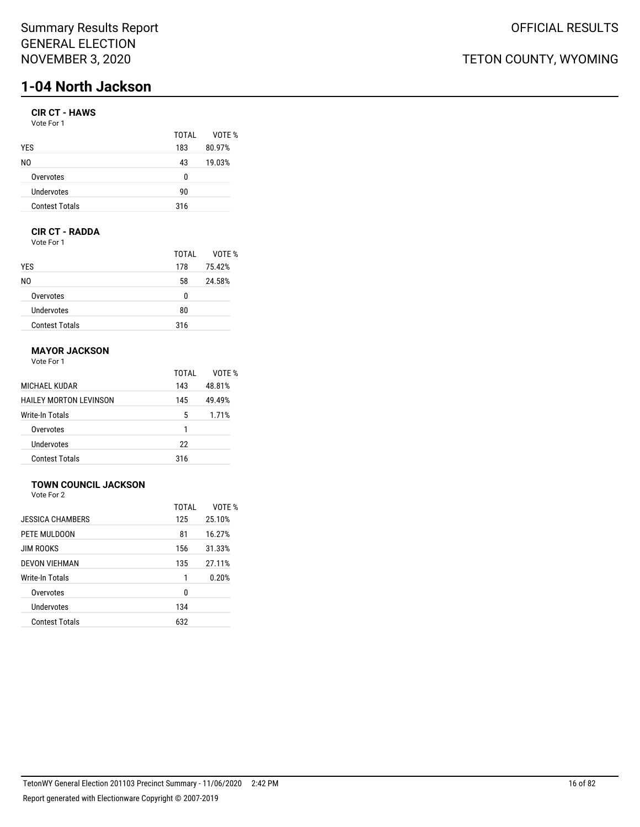## Summary Results Report GENERAL ELECTION NOVEMBER 3, 2020

# **1-04 North Jackson**

## **CIR CT - HAWS**

| Vote For 1 |  |
|------------|--|
|------------|--|

|                       | TOTAL | VOTE % |
|-----------------------|-------|--------|
| <b>YES</b>            | 183   | 80.97% |
| N0                    | 43    | 19.03% |
| Overvotes             | n     |        |
| Undervotes            | 90    |        |
| <b>Contest Totals</b> | 316   |        |
|                       |       |        |

## **CIR CT - RADDA**

Vote For 1

|                       | TOTAI | VOTE % |
|-----------------------|-------|--------|
| <b>YES</b>            | 178   | 75.42% |
| NO.                   | 58    | 24.58% |
| Overvotes             | 0     |        |
| Undervotes            | 80    |        |
| <b>Contest Totals</b> | 316   |        |

## **MAYOR JACKSON**

Vote For 1

|                        | TOTAI | VOTF % |
|------------------------|-------|--------|
| MICHAEL KUDAR          | 143   | 48.81% |
| HAILEY MORTON LEVINSON | 145   | 49.49% |
| Write-In Totals        | 5     | 1.71%  |
| Overvotes              | 1     |        |
| Undervotes             | 22    |        |
| <b>Contest Totals</b>  | 316   |        |

## **TOWN COUNCIL JACKSON**

Vote For 2

|                       | TOTAL | VOTF % |
|-----------------------|-------|--------|
| JESSICA CHAMBERS      | 125   | 25.10% |
| PETE MULDOON          | 81    | 16.27% |
| <b>JIM ROOKS</b>      | 156   | 31.33% |
| <b>DEVON VIEHMAN</b>  | 135   | 27.11% |
| Write-In Totals       | 1     | 0.20%  |
| Overvotes             | 0     |        |
| Undervotes            | 134   |        |
| <b>Contest Totals</b> | 632   |        |
|                       |       |        |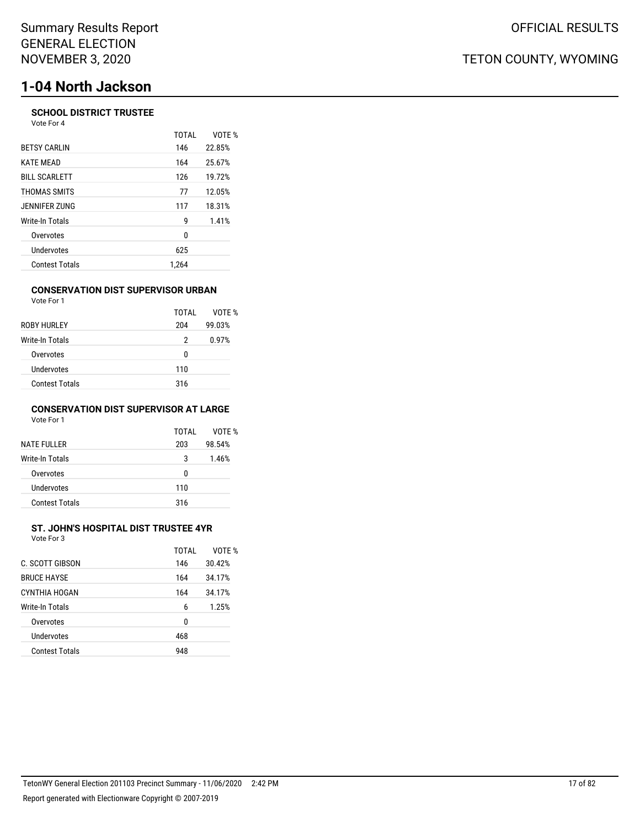# **1-04 North Jackson**

#### **SCHOOL DISTRICT TRUSTEE** Vote For 4

|                       | <b>TOTAL</b> | VOTE % |
|-----------------------|--------------|--------|
| <b>BETSY CARLIN</b>   | 146          | 22.85% |
| <b>KATE MEAD</b>      | 164          | 25.67% |
| <b>BILL SCARLETT</b>  | 126          | 19.72% |
| THOMAS SMITS          | 77           | 12.05% |
| JENNIFER ZUNG         | 117          | 18.31% |
| Write-In Totals       | g            | 1.41%  |
| Overvotes             | 0            |        |
| Undervotes            | 625          |        |
| <b>Contest Totals</b> | 1.264        |        |

#### **CONSERVATION DIST SUPERVISOR URBAN** Vote For 1

| <b>VULLET UIL</b>     |       |        |
|-----------------------|-------|--------|
|                       | TOTAI | VOTE % |
| ROBY HURLEY           | 204   | 99.03% |
| Write-In Totals       | 2     | 0.97%  |
| Overvotes             | 0     |        |
| Undervotes            | 110   |        |
| <b>Contest Totals</b> | 316   |        |
|                       |       |        |

#### **CONSERVATION DIST SUPERVISOR AT LARGE** Vote For 1

| <b>NATE FULLER</b>    | TOTAI<br>203 | VOTE %<br>98.54% |
|-----------------------|--------------|------------------|
| Write-In Totals       | 3            | 1.46%            |
| Overvotes             | 0            |                  |
| Undervotes            | 110          |                  |
| <b>Contest Totals</b> | 316          |                  |

# **ST. JOHN'S HOSPITAL DIST TRUSTEE 4YR**

| Vote For 3             |       |        |
|------------------------|-------|--------|
|                        | TOTAI | VOTF % |
| <b>C. SCOTT GIBSON</b> | 146   | 30.42% |
| <b>BRUCE HAYSE</b>     | 164   | 34.17% |
| CYNTHIA HOGAN          | 164   | 34.17% |
| Write-In Totals        | 6     | 1.25%  |
| Overvotes              | 0     |        |
| Undervotes             | 468   |        |
|                        |       |        |

Contest Totals 948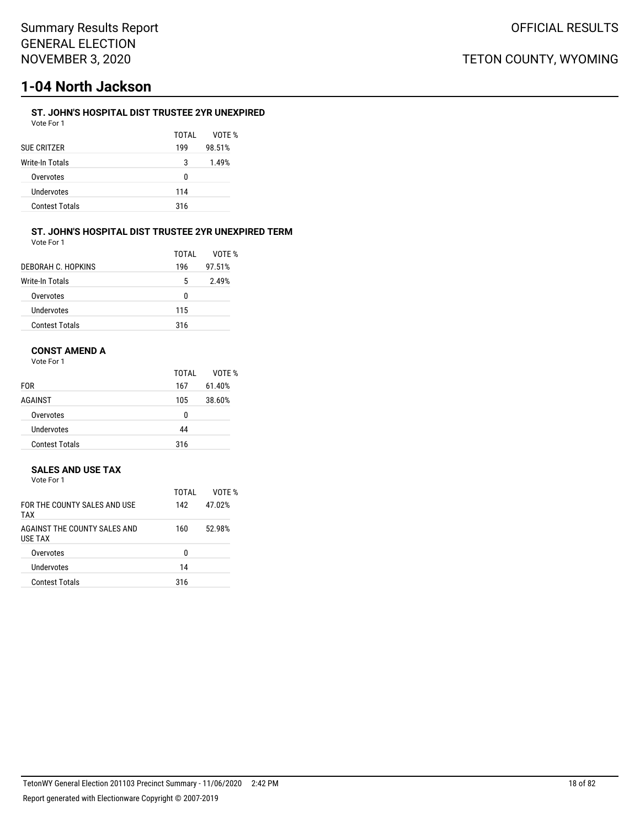# **1-04 North Jackson**

### **ST. JOHN'S HOSPITAL DIST TRUSTEE 2YR UNEXPIRED**

| Vote For 1            |       |        |
|-----------------------|-------|--------|
|                       | TOTAL | VOTE % |
| <b>SUE CRITZER</b>    | 199   | 98.51% |
| Write-In Totals       | 3     | 1.49%  |
| Overvotes             | 0     |        |
| Undervotes            | 114   |        |
| <b>Contest Totals</b> | 316   |        |
|                       |       |        |

#### **ST. JOHN'S HOSPITAL DIST TRUSTEE 2YR UNEXPIRED TERM** Vote For 1

|                       | TOTAI | VOTF % |
|-----------------------|-------|--------|
| DEBORAH C. HOPKINS    | 196   | 97.51% |
| Write-In Totals       | 5     | 2.49%  |
| Overvotes             | n     |        |
| Undervotes            | 115   |        |
| <b>Contest Totals</b> | 316   |        |

## **CONST AMEND A**

Vote For 1

|                       | TOTAI | VOTE % |
|-----------------------|-------|--------|
| <b>FOR</b>            | 167   | 61.40% |
| AGAINST               | 105   | 38.60% |
| Overvotes             | 0     |        |
| Undervotes            | 44    |        |
| <b>Contest Totals</b> | 316   |        |

#### **SALES AND USE TAX**

|     | Vote For 1                                     |       |        |
|-----|------------------------------------------------|-------|--------|
|     |                                                | TOTAI | VOTE % |
| TAX | FOR THE COUNTY SALES AND USE                   | 142   | 47.02% |
|     | AGAINST THE COUNTY SALES AND<br><b>USE TAX</b> | 160   | 52.98% |
|     | Overvotes                                      | n     |        |
|     | Undervotes                                     | 14    |        |

Contest Totals 316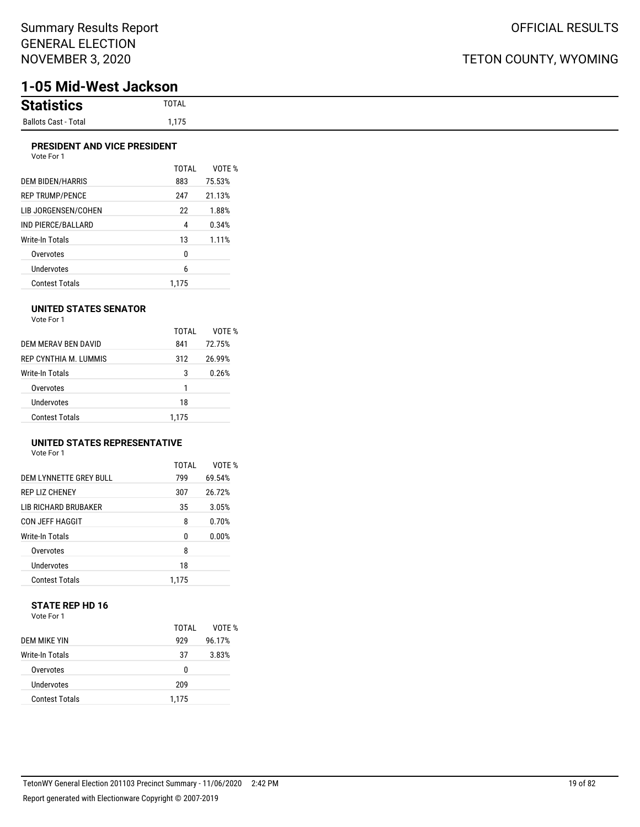# **1-05 Mid-West Jackson**

| <b>Statistics</b>           | TOTAL |
|-----------------------------|-------|
| <b>Ballots Cast - Total</b> | 1,175 |

#### **PRESIDENT AND VICE PRESIDENT**

| Vote For 1             |       |        |
|------------------------|-------|--------|
|                        | TOTAI | VOTE % |
| DEM BIDEN/HARRIS       | 883   | 75.53% |
| <b>REP TRUMP/PENCE</b> | 247   | 21.13% |
| LIB JORGENSEN/COHEN    | 22    | 1.88%  |
| IND PIERCE/BALLARD     | 4     | 0.34%  |
| Write-In Totals        | 13    | 1.11%  |
| Overvotes              | 0     |        |
| Undervotes             | 6     |        |
| Contest Totals         | 1.175 |        |

#### **UNITED STATES SENATOR**

| Vote For 1 |  |
|------------|--|
|            |  |

|                       | TOTAI | VOTF % |
|-----------------------|-------|--------|
| DEM MERAV BEN DAVID   | 841   | 72.75% |
| REP CYNTHIA M. LUMMIS | 312   | 26.99% |
| Write-In Totals       | 3     | 0.26%  |
| Overvotes             | 1     |        |
| Undervotes            | 18    |        |
| <b>Contest Totals</b> | 1.175 |        |

### **UNITED STATES REPRESENTATIVE**

| Vote For 1 |  |
|------------|--|
|------------|--|

|                             | TOTAI | VOTF % |
|-----------------------------|-------|--------|
| DEM LYNNETTE GREY BULL      | 799   | 69.54% |
| <b>REP LIZ CHENEY</b>       | 307   | 26.72% |
| <b>LIB RICHARD BRUBAKER</b> | 35    | 3.05%  |
| CON JEFF HAGGIT             | 8     | 0.70%  |
| Write-In Totals             | U     | 0.00%  |
| Overvotes                   | 8     |        |
| Undervotes                  | 18    |        |
| <b>Contest Totals</b>       | 1.175 |        |

#### **STATE REP HD 16** Vote For 1

|                       | TOTAI | VOTF % |
|-----------------------|-------|--------|
| DEM MIKE YIN          | 929   | 96.17% |
| Write-In Totals       | 37    | 3.83%  |
| Overvotes             | 0     |        |
| Undervotes            | 209   |        |
| <b>Contest Totals</b> | 1.175 |        |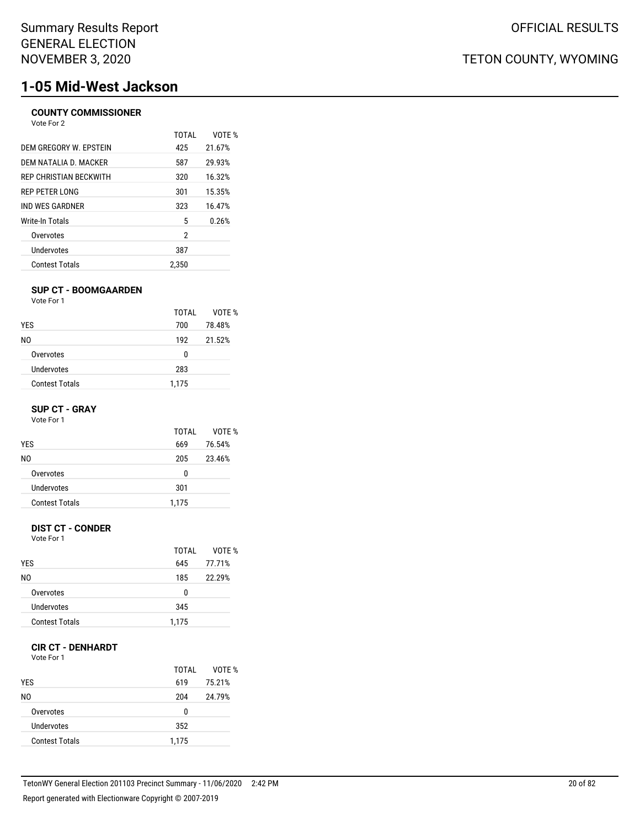# **1-05 Mid-West Jackson**

### **COUNTY COMMISSIONER**

| Vote For 2             |       |        |
|------------------------|-------|--------|
|                        | TOTAI | VOTF % |
| DEM GREGORY W. FPSTEIN | 425   | 21.67% |
| DEM NATALIA D. MACKER  | 587   | 29.93% |
| REP CHRISTIAN BECKWITH | 320   | 16.32% |
| REP PETER LONG         | 301   | 15.35% |
| IND WES GARDNER        | 323   | 16.47% |
| Write-In Totals        | 5     | 0.26%  |
| Overvotes              | 2     |        |
| Undervotes             | 387   |        |
| <b>Contest Totals</b>  | 2,350 |        |
|                        |       |        |

#### **SUP CT - BOOMGAARDEN**

Vote For 1

|                       | TOTAL | VOTE % |
|-----------------------|-------|--------|
| <b>YES</b>            | 700   | 78.48% |
| NO.                   | 192   | 21.52% |
| Overvotes             | 0     |        |
| Undervotes            | 283   |        |
| <b>Contest Totals</b> | 1,175 |        |

#### **SUP CT - GRAY**

Vote For 1

|                       | TOTAI | VOTE % |
|-----------------------|-------|--------|
| <b>YES</b>            | 669   | 76.54% |
| N0                    | 205   | 23.46% |
| Overvotes             | 0     |        |
| Undervotes            | 301   |        |
| <b>Contest Totals</b> | 1,175 |        |

#### **DIST CT - CONDER**

Vote For 1

|                       | TOTAI | VOTF % |
|-----------------------|-------|--------|
| <b>YES</b>            | 645   | 77.71% |
| N0                    | 185   | 22.29% |
| Overvotes             | 0     |        |
| Undervotes            | 345   |        |
| <b>Contest Totals</b> | 1,175 |        |

#### **CIR CT - DENHARDT**

Vote For 1

| <b>YES</b>            | TOTAL<br>619 | VOTE %<br>75.21% |
|-----------------------|--------------|------------------|
| N0                    | 204          | 24.79%           |
| Overvotes             | 0            |                  |
| Undervotes            | 352          |                  |
| <b>Contest Totals</b> | 1,175        |                  |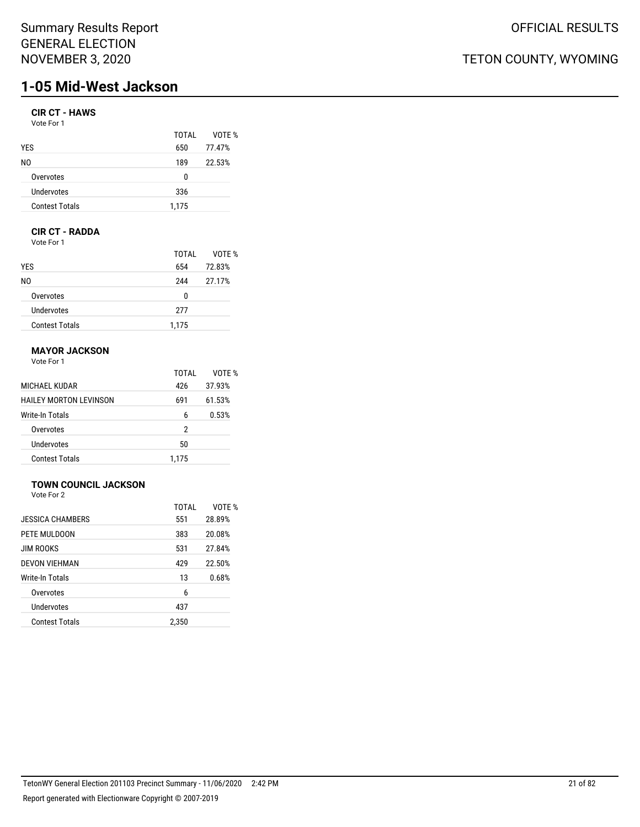## Summary Results Report GENERAL ELECTION NOVEMBER 3, 2020

# **1-05 Mid-West Jackson**

### **CIR CT - HAWS**

| Vote For 1 |  |
|------------|--|
|------------|--|

|                       | TOTAI | VOTE % |
|-----------------------|-------|--------|
| <b>YES</b>            | 650   | 77.47% |
| NO.                   | 189   | 22.53% |
| Overvotes             | 0     |        |
| Undervotes            | 336   |        |
| <b>Contest Totals</b> | 1,175 |        |

## **CIR CT - RADDA**

Vote For 1

|                       | TOTAI | VOTE % |
|-----------------------|-------|--------|
| <b>YES</b>            | 654   | 72.83% |
| NO.                   | 244   | 27.17% |
| Overvotes             | 0     |        |
| Undervotes            | 277   |        |
| <b>Contest Totals</b> | 1,175 |        |

### **MAYOR JACKSON**

Vote For 1

|                        | TOTAI | VOTF % |
|------------------------|-------|--------|
| MICHAEL KUDAR          | 426   | 37.93% |
| HAILEY MORTON LEVINSON | 691   | 61.53% |
| Write-In Totals        | 6     | 0.53%  |
| Overvotes              | 2     |        |
| Undervotes             | 50    |        |
| <b>Contest Totals</b>  | 1.175 |        |

### **TOWN COUNCIL JACKSON**

Vote For 2

|                       | TOTAL | VOTE % |
|-----------------------|-------|--------|
| JESSICA CHAMBERS      | 551   | 28.89% |
| PETE MULDOON          | 383   | 20.08% |
| <b>JIM ROOKS</b>      | 531   | 27.84% |
| DEVON VIEHMAN         | 429   | 22.50% |
| Write-In Totals       | 13    | 0.68%  |
| Overvotes             | 6     |        |
| Undervotes            | 437   |        |
| <b>Contest Totals</b> | 2,350 |        |
|                       |       |        |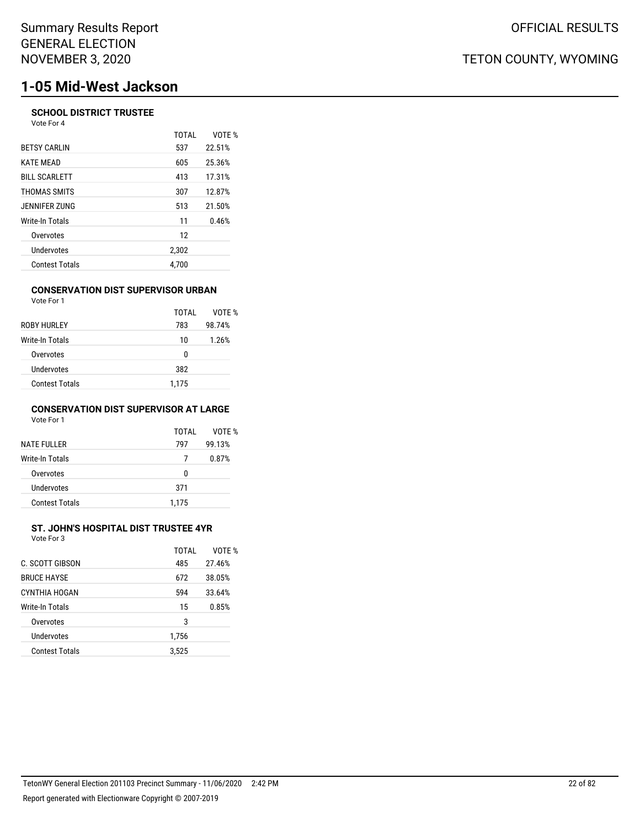# **1-05 Mid-West Jackson**

#### **SCHOOL DISTRICT TRUSTEE** Vote For 4

| $VUE + VI + 7$        |              |        |
|-----------------------|--------------|--------|
|                       | <b>TOTAL</b> | VOTE % |
| <b>BETSY CARLIN</b>   | 537          | 22.51% |
| <b>KATE MEAD</b>      | 605          | 25.36% |
| <b>BILL SCARLETT</b>  | 413          | 17.31% |
| THOMAS SMITS          | 307          | 12.87% |
| JENNIFER ZUNG         | 513          | 21.50% |
| Write-In Totals       | 11           | 0.46%  |
| Overvotes             | 12           |        |
| Undervotes            | 2,302        |        |
| <b>Contest Totals</b> | 4.700        |        |

#### **CONSERVATION DIST SUPERVISOR URBAN** Vote For 1

| , , , , , , , , ,     |       |        |
|-----------------------|-------|--------|
|                       | TOTAI | VOTE % |
| ROBY HURLEY           | 783   | 98.74% |
| Write-In Totals       | 10    | 1.26%  |
| Overvotes             | 0     |        |
| Undervotes            | 382   |        |
| <b>Contest Totals</b> | 1,175 |        |
|                       |       |        |

#### **CONSERVATION DIST SUPERVISOR AT LARGE** Vote For 1

| <b>NATE FULLER</b>     | TOTAI<br>797 | VOTF %<br>99.13% |
|------------------------|--------------|------------------|
| <b>Write-In Totals</b> | 7            | 0.87%            |
| Overvotes              | U            |                  |
| Undervotes             | 371          |                  |
| <b>Contest Totals</b>  | 1.175        |                  |

## **ST. JOHN'S HOSPITAL DIST TRUSTEE 4YR**

| Vote For 3 |  |
|------------|--|
|            |  |

|                       | TOTAL | VOTF % |
|-----------------------|-------|--------|
| C. SCOTT GIBSON       | 485   | 27.46% |
| <b>BRUCE HAYSE</b>    | 672   | 38.05% |
| CYNTHIA HOGAN         | 594   | 33.64% |
| Write-In Totals       | 15    | 0.85%  |
| Overvotes             | 3     |        |
| Undervotes            | 1,756 |        |
| <b>Contest Totals</b> | 3,525 |        |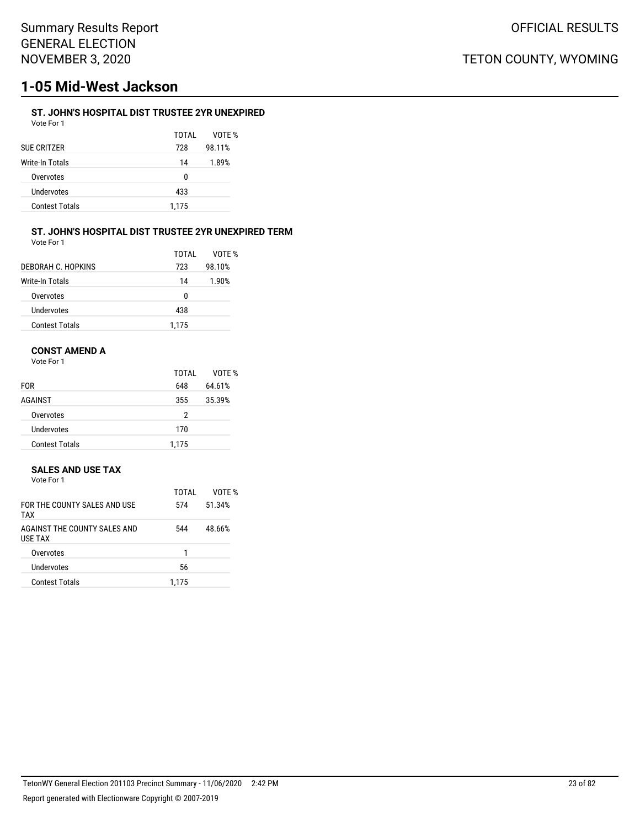# **1-05 Mid-West Jackson**

### **ST. JOHN'S HOSPITAL DIST TRUSTEE 2YR UNEXPIRED**

TOTAL VOTE %

| Vote For 1 |  |  |
|------------|--|--|
|            |  |  |
| JF CRITZFR |  |  |

| SUE CRITZER           | 728   | 98.11% |
|-----------------------|-------|--------|
| Write-In Totals       | 14    | 1.89%  |
| Overvotes             | 0     |        |
| Undervotes            | 433   |        |
| <b>Contest Totals</b> | 1.175 |        |

#### **ST. JOHN'S HOSPITAL DIST TRUSTEE 2YR UNEXPIRED TERM**

| Vote For 1 |  |
|------------|--|
|            |  |

|                       | TOTAI | VOTF % |
|-----------------------|-------|--------|
| DEBORAH C. HOPKINS    | 723   | 98.10% |
| Write-In Totals       | 14    | 1.90%  |
| Overvotes             | 0     |        |
| Undervotes            | 438   |        |
| <b>Contest Totals</b> | 1.175 |        |

### **CONST AMEND A**

Vote For 1

|                       | TOTAL | VOTE % |
|-----------------------|-------|--------|
| <b>FOR</b>            | 648   | 64.61% |
| <b>AGAINST</b>        | 355   | 35.39% |
| Overvotes             | 2     |        |
| Undervotes            | 170   |        |
| <b>Contest Totals</b> | 1,175 |        |

#### **SALES AND USE TAX**

| Vote For 1                                      |       |        |
|-------------------------------------------------|-------|--------|
|                                                 | TOTAI | VOTE % |
| FOR THE COUNTY SAI ES AND USE<br>TAX            | 574   | 51.34% |
| AGAINST THE COUNTY SAI ES AND<br><b>USE TAX</b> | 544   | 48.66% |
| Overvotes                                       |       |        |
| Undervotes                                      | 56    |        |

Contest Totals 1,175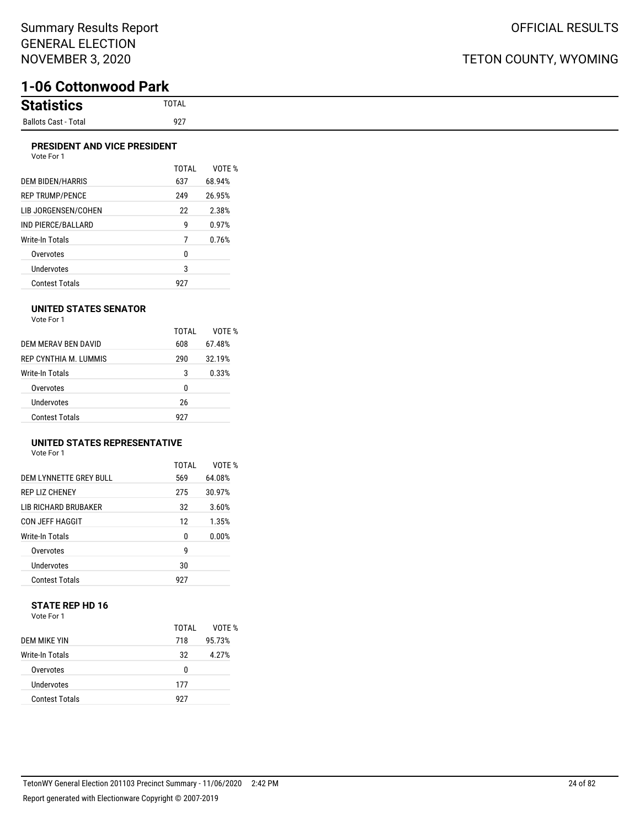# **1-06 Cottonwood Park**

| <b>Statistion</b><br>ilics |
|----------------------------|
| Ballots Cast - Total       |

#### **PRESIDENT AND VICE PRESIDENT**

|                        | TOTAL | VOTF % |
|------------------------|-------|--------|
| DEM BIDEN/HARRIS       | 637   | 68.94% |
| <b>REP TRUMP/PENCE</b> | 249   | 26.95% |
| LIB JORGENSEN/COHEN    | 22    | 2.38%  |
| IND PIERCE/BALLARD     | g     | 0.97%  |
| Write-In Totals        | 7     | 0.76%  |
| Overvotes              | 0     |        |
| <b>Undervotes</b>      | 3     |        |
| <b>Contest Totals</b>  | 927   |        |

#### **UNITED STATES SENATOR**

| Vote For 1 |  |
|------------|--|
|            |  |

|                       | TOTAL | VOTF % |
|-----------------------|-------|--------|
| DEM MERAV BEN DAVID   | 608   | 67.48% |
| REP CYNTHIA M TUMMIS  | 290   | 32.19% |
| Write-In Totals       | 3     | 0.33%  |
| Overvotes             | 0     |        |
| <b>Undervotes</b>     | 26    |        |
| <b>Contest Totals</b> | 927   |        |

## **UNITED STATES REPRESENTATIVE**

Vote For 1

|                             | TOTAL | VOTF % |
|-----------------------------|-------|--------|
| DEM LYNNETTE GREY BULL      | 569   | 64.08% |
| <b>REP LIZ CHENEY</b>       | 275   | 30.97% |
| <b>LIB RICHARD BRUBAKER</b> | 32    | 3.60%  |
| <b>CON JEFF HAGGIT</b>      | 12    | 1.35%  |
| <b>Write-In Totals</b>      | 0     | 0.00%  |
| Overvotes                   | g     |        |
| <b>Undervotes</b>           | 30    |        |
| <b>Contest Totals</b>       | 927   |        |

#### **STATE REP HD 16** Vote For 1

|                       | TOTAI | VOTE % |
|-----------------------|-------|--------|
| DEM MIKE YIN          | 718   | 95.73% |
| Write-In Totals       | 32    | 4.27%  |
| Overvotes             | 0     |        |
| Undervotes            | 177   |        |
| <b>Contest Totals</b> | 927   |        |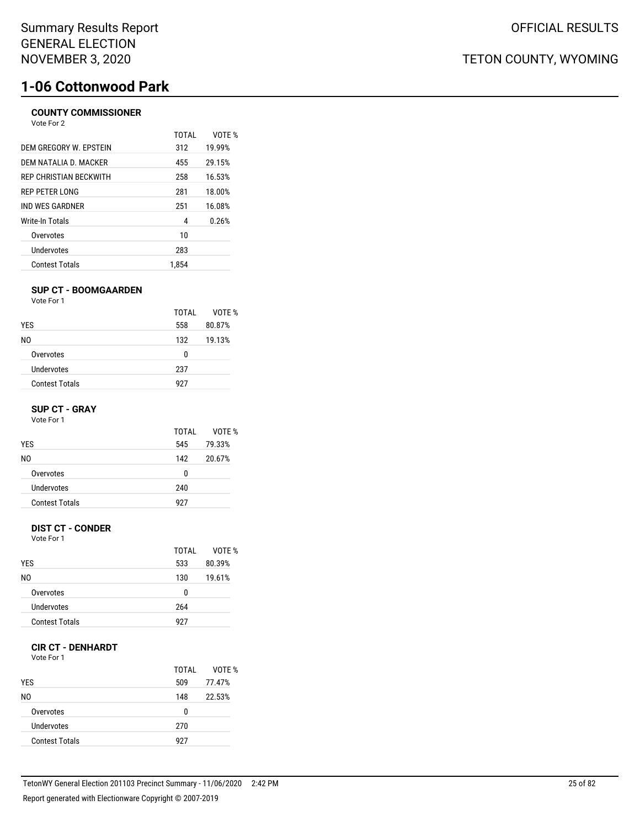### **COUNTY COMMISSIONER**

| Vote For 2 |  |
|------------|--|
|            |  |

|                               | TOTAL | VOTF % |
|-------------------------------|-------|--------|
| DEM GREGORY W. EPSTEIN        | 312   | 19.99% |
| DEM NATALIA D. MACKER         | 455   | 29.15% |
| <b>REP CHRISTIAN BECKWITH</b> | 258   | 16.53% |
| REP PETER LONG                | 281   | 18.00% |
| IND WES GARDNER               | 251   | 16.08% |
| Write-In Totals               | 4     | 0.26%  |
| Overvotes                     | 10    |        |
| Undervotes                    | 283   |        |
| <b>Contest Totals</b>         | 1.854 |        |

#### **SUP CT - BOOMGAARDEN**

Vote For 1

|                       | TOTAI | VOTE % |
|-----------------------|-------|--------|
| <b>YES</b>            | 558   | 80.87% |
| NO.                   | 132   | 19.13% |
| Overvotes             | 0     |        |
| Undervotes            | 237   |        |
| <b>Contest Totals</b> | 927   |        |

#### **SUP CT - GRAY**

Vote For 1

| 545 | 79.33% |
|-----|--------|
| 142 | 20.67% |
| 0   |        |
| 240 |        |
| 927 |        |
|     |        |

#### **DIST CT - CONDER**

Vote For 1

|                       | TOTAI | VOTF % |
|-----------------------|-------|--------|
| <b>YES</b>            | 533   | 80.39% |
| N0                    | 130   | 19.61% |
| Overvotes             | n     |        |
| Undervotes            | 264   |        |
| <b>Contest Totals</b> | 927   |        |

#### **CIR CT - DENHARDT**

Vote For 1

| <b>YES</b>            | TOTAI<br>509 | VOTE %<br>77.47% |
|-----------------------|--------------|------------------|
| N0                    | 148          | 22.53%           |
| Overvotes             | U            |                  |
| Undervotes            | 270          |                  |
| <b>Contest Totals</b> | 927          |                  |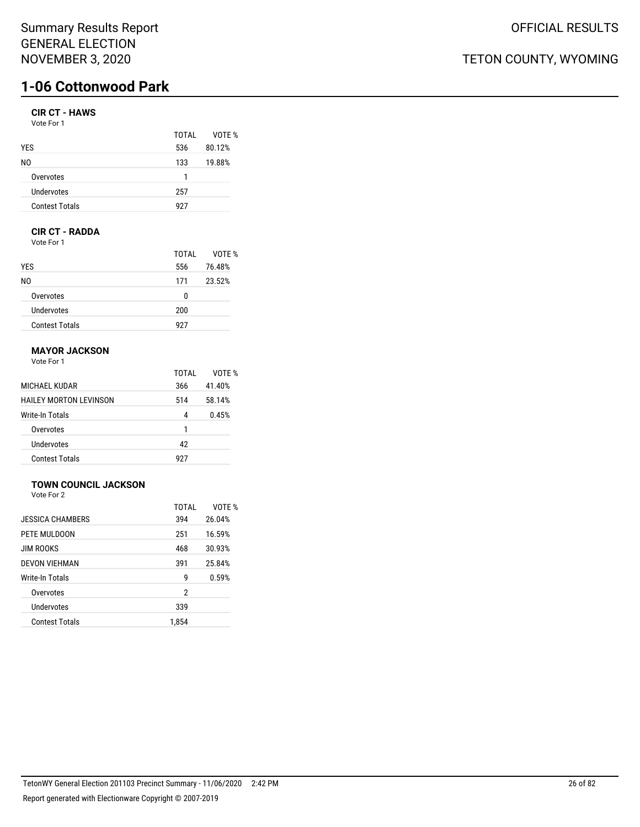## **CIR CT - HAWS**

| Vote For 1 |  |
|------------|--|
|------------|--|

|                       | TOTAI | VOTF % |
|-----------------------|-------|--------|
| <b>YES</b>            | 536   | 80.12% |
| N0                    | 133   | 19.88% |
| Overvotes             | 1     |        |
| Undervotes            | 257   |        |
| <b>Contest Totals</b> | 927   |        |

### **CIR CT - RADDA**

Vote For 1

|                       | TOTAI | VOTE % |
|-----------------------|-------|--------|
| <b>YES</b>            | 556   | 76.48% |
| NO.                   | 171   | 23.52% |
| Overvotes             | 0     |        |
| Undervotes            | 200   |        |
| <b>Contest Totals</b> | 927   |        |

### **MAYOR JACKSON**

Vote For 1

|                        | TOTAL | VOTF % |
|------------------------|-------|--------|
| MICHAEL KUDAR          | 366   | 41.40% |
| HAILEY MORTON LEVINSON | 514   | 58.14% |
| Write-In Totals        | 4     | 0.45%  |
| Overvotes              | 1     |        |
| Undervotes             | 42    |        |
| <b>Contest Totals</b>  | 927   |        |

## **TOWN COUNCIL JACKSON**

Vote For 2

|                         | TOTAL | VOTF % |
|-------------------------|-------|--------|
| <b>JESSICA CHAMBERS</b> | 394   | 26.04% |
| PETE MULDOON            | 251   | 16.59% |
| <b>JIM ROOKS</b>        | 468   | 30.93% |
| <b>DEVON VIEHMAN</b>    | 391   | 25.84% |
| Write-In Totals         | g     | 0.59%  |
| Overvotes               | 2     |        |
| Undervotes              | 339   |        |
| <b>Contest Totals</b>   | 1,854 |        |
|                         |       |        |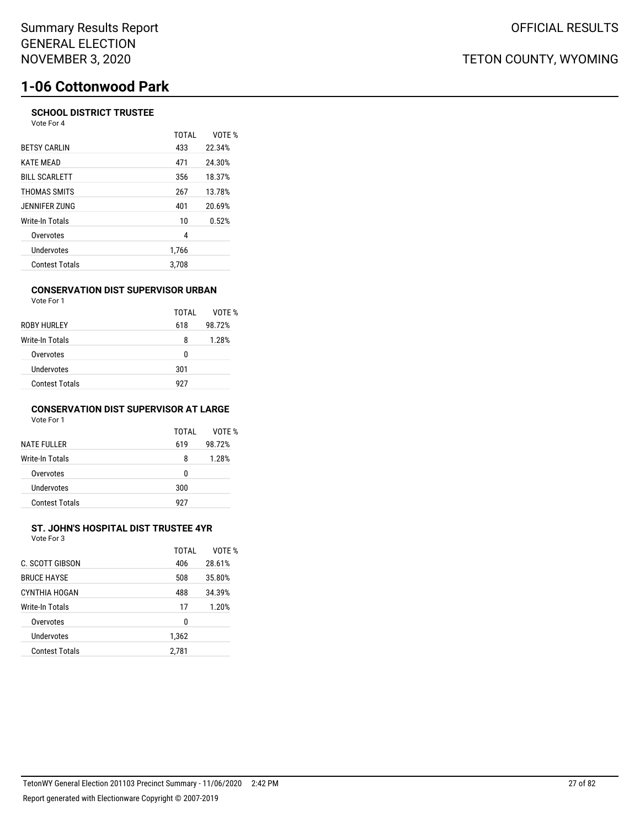#### **SCHOOL DISTRICT TRUSTEE** Vote For 4

|                       | <b>TOTAL</b> | VOTE % |
|-----------------------|--------------|--------|
| <b>BETSY CARLIN</b>   | 433          | 22.34% |
| <b>KATE MEAD</b>      | 471          | 24.30% |
| <b>BILL SCARLETT</b>  | 356          | 18.37% |
| THOMAS SMITS          | 267          | 13.78% |
| JENNIFER ZUNG         | 401          | 20.69% |
| Write-In Totals       | 10           | 0.52%  |
| Overvotes             | 4            |        |
| Undervotes            | 1,766        |        |
| <b>Contest Totals</b> | 3.708        |        |

#### **CONSERVATION DIST SUPERVISOR URBAN**

| Vote For 1            |       |        |
|-----------------------|-------|--------|
|                       | TOTAI | VOTE % |
| ROBY HURLEY           | 618   | 98.72% |
| Write-In Totals       | 8     | 1.28%  |
| Overvotes             | 0     |        |
| Undervotes            | 301   |        |
| <b>Contest Totals</b> | 927   |        |

#### **CONSERVATION DIST SUPERVISOR AT LARGE** Vote For 1

| <b>NATE FULLER</b>    | TOTAI<br>619 | VOTF %<br>98.72% |
|-----------------------|--------------|------------------|
| Write-In Totals       | 8            | 1.28%            |
| Overvotes             | U            |                  |
| Undervotes            | 300          |                  |
| <b>Contest Totals</b> | 927          |                  |

#### **ST. JOHN'S HOSPITAL DIST TRUSTEE 4YR** Vote For 3

| C. SCOTT GIBSON       | TOTAI<br>406 | VOTF %<br>28.61% |
|-----------------------|--------------|------------------|
| <b>BRUCE HAYSE</b>    | 508          | 35.80%           |
| CYNTHIA HOGAN         | 488          | 34.39%           |
| Write-In Totals       | 17           | 1.20%            |
| Overvotes             | 0            |                  |
| Undervotes            | 1,362        |                  |
| <b>Contest Totals</b> | 2,781        |                  |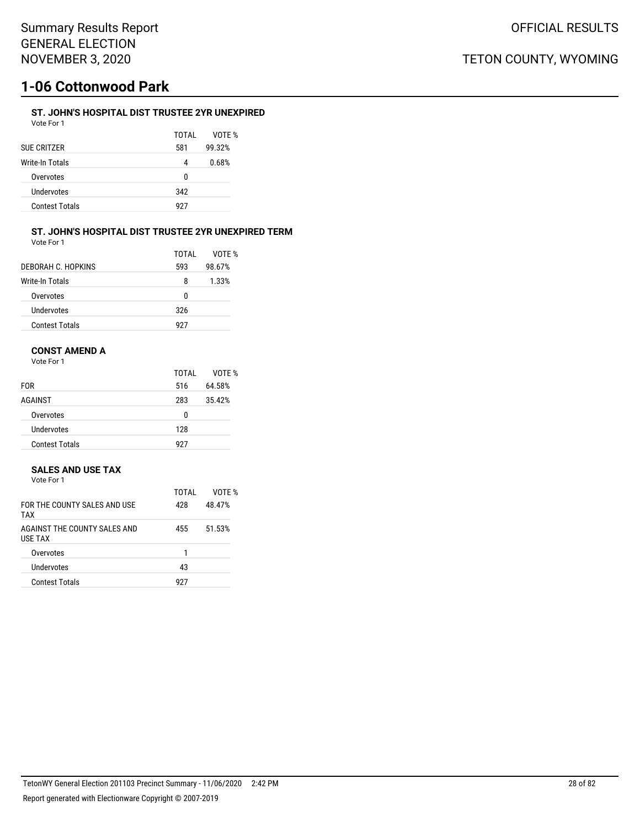### **ST. JOHN'S HOSPITAL DIST TRUSTEE 2YR UNEXPIRED**

| Vote For 1            |       |        |
|-----------------------|-------|--------|
|                       | TOTAI | VOTF % |
| SUE CRITZER           | 581   | 99.32% |
| Write-In Totals       | 4     | 0.68%  |
| Overvotes             | 0     |        |
| Undervotes            | 342   |        |
| <b>Contest Totals</b> | 927   |        |

#### **ST. JOHN'S HOSPITAL DIST TRUSTEE 2YR UNEXPIRED TERM** Vote For 1

|                       | TOTAI | VOTF % |
|-----------------------|-------|--------|
| DEBORAH C. HOPKINS    | 593   | 98.67% |
| Write-In Totals       | 8     | 1.33%  |
| Overvotes             | n     |        |
| Undervotes            | 326   |        |
| <b>Contest Totals</b> | 927   |        |

### **CONST AMEND A**

Vote For 1

|                       | TOTAL | VOTE % |
|-----------------------|-------|--------|
| <b>FOR</b>            | 516   | 64.58% |
| <b>AGAINST</b>        | 283   | 35.42% |
| Overvotes             | 0     |        |
| Undervotes            | 128   |        |
| <b>Contest Totals</b> | 927   |        |

#### **SALES AND USE TAX**

| Vote For 1 |  |  |
|------------|--|--|
|------------|--|--|

|                                                | TOTAI | VOTF % |
|------------------------------------------------|-------|--------|
| FOR THE COUNTY SAI FS AND USE<br><b>TAX</b>    | 428   | 48.47% |
| AGAINST THE COUNTY SALES AND<br><b>USE TAX</b> | 455   | 51.53% |
| Overvotes                                      | 1     |        |
| Undervotes                                     | 43    |        |
| <b>Contest Totals</b>                          | 927   |        |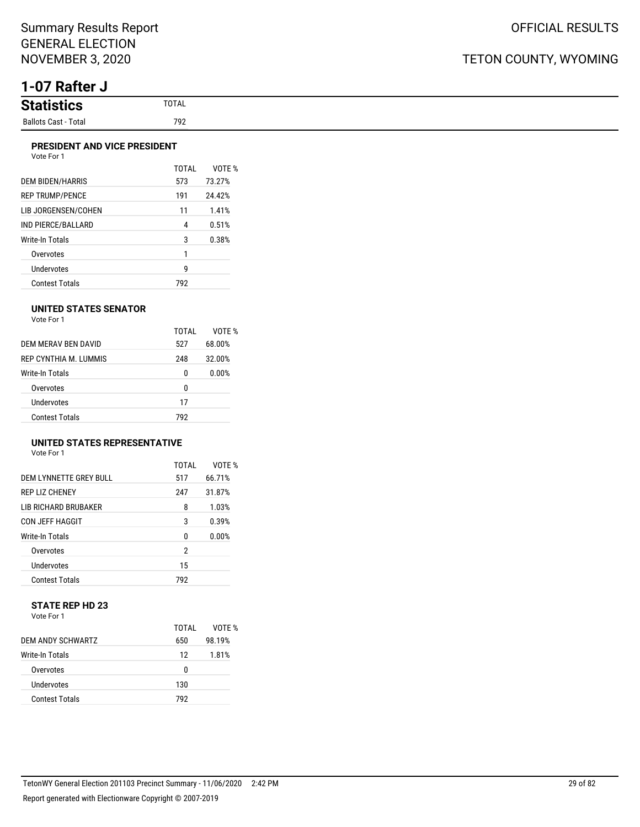# **1-07 Rafter J**

#### **PRESIDENT AND VICE PRESIDENT**

| <b>DEM BIDEN/HARRIS</b> | TOTAI<br>573 | VOTF %<br>73.27% |
|-------------------------|--------------|------------------|
| <b>REP TRUMP/PENCE</b>  | 191          | 24.42%           |
| LIB JORGENSEN/COHEN     | 11           | 1.41%            |
| IND PIERCE/BALLARD      | 4            | 0.51%            |
| Write-In Totals         | 3            | 0.38%            |
| Overvotes               | 1            |                  |
| <b>Undervotes</b>       | g            |                  |
| <b>Contest Totals</b>   | 792          |                  |

#### **UNITED STATES SENATOR**

Vote For 1

|                        | TOTAI | VOTF % |
|------------------------|-------|--------|
| DEM MERAV BEN DAVID    | 527   | 68.00% |
| REP CYNTHIA M. LUMMIS  | 248   | 32.00% |
| <b>Write-In Totals</b> | 0     | 0.00%  |
| Overvotes              | 0     |        |
| Undervotes             | 17    |        |
| <b>Contest Totals</b>  | 792   |        |

## **UNITED STATES REPRESENTATIVE**

Vote For 1

|                         | TOTAL | VOTF % |
|-------------------------|-------|--------|
| DEM I YNNETTE GREY BULL | 517   | 66.71% |
| <b>REP LIZ CHENEY</b>   | 247   | 31.87% |
| LIB RICHARD BRUBAKER    | 8     | 1.03%  |
| CON JEFF HAGGIT         | 3     | 0.39%  |
| Write-In Totals         | N     | 0.00%  |
| Overvotes               | 2     |        |
| Undervotes              | 15    |        |
| <b>Contest Totals</b>   | 792   |        |

#### **STATE REP HD 23** Vote For 1

|                       | TOTAI | VOTF % |
|-----------------------|-------|--------|
| DEM ANDY SCHWARTZ     | 650   | 98.19% |
| Write-In Totals       | 12    | 1.81%  |
| Overvotes             | U     |        |
| Undervotes            | 130   |        |
| <b>Contest Totals</b> | 792   |        |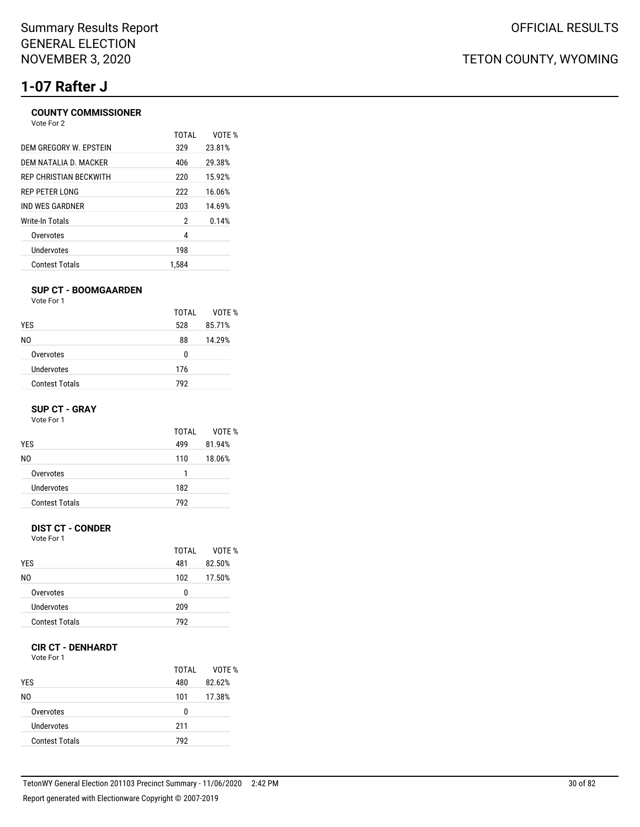# **1-07 Rafter J**

#### **COUNTY COMMISSIONER** Vote For 2

| TOTAI | VOTE % |
|-------|--------|
| 329   | 23.81% |
| 406   | 29.38% |
| 220   | 15.92% |
| 222   | 16.06% |
| 203   | 14.69% |
| 2     | 0.14%  |
| 4     |        |
| 198   |        |
| 1.584 |        |
|       |        |

#### **SUP CT - BOOMGAARDEN**

Vote For 1

|                       | TOTAI | VOTE % |
|-----------------------|-------|--------|
| <b>YES</b>            | 528   | 85.71% |
| NO.                   | 88    | 14.29% |
| Overvotes             | 0     |        |
| Undervotes            | 176   |        |
| <b>Contest Totals</b> | 792   |        |

#### **SUP CT - GRAY**

Vote For 1

|                       | TOTAI | VOTF % |
|-----------------------|-------|--------|
| <b>YES</b>            | 499   | 81.94% |
| N0                    | 110   | 18.06% |
| Overvotes             | 1     |        |
| Undervotes            | 182   |        |
| <b>Contest Totals</b> | 792   |        |

### **DIST CT - CONDER**

Vote For 1

|                       | TOTAI | VOTF % |
|-----------------------|-------|--------|
| <b>YES</b>            | 481   | 82.50% |
| N0                    | 102   | 17.50% |
| Overvotes             | 0     |        |
| Undervotes            | 209   |        |
| <b>Contest Totals</b> | 792   |        |

### **CIR CT - DENHARDT**

Vote For 1

| <b>YES</b>            | TOTAI<br>480 | VOTE %<br>82.62% |
|-----------------------|--------------|------------------|
| N0                    | 101          | 17.38%           |
| Overvotes             | 0            |                  |
| Undervotes            | 211          |                  |
| <b>Contest Totals</b> | 792          |                  |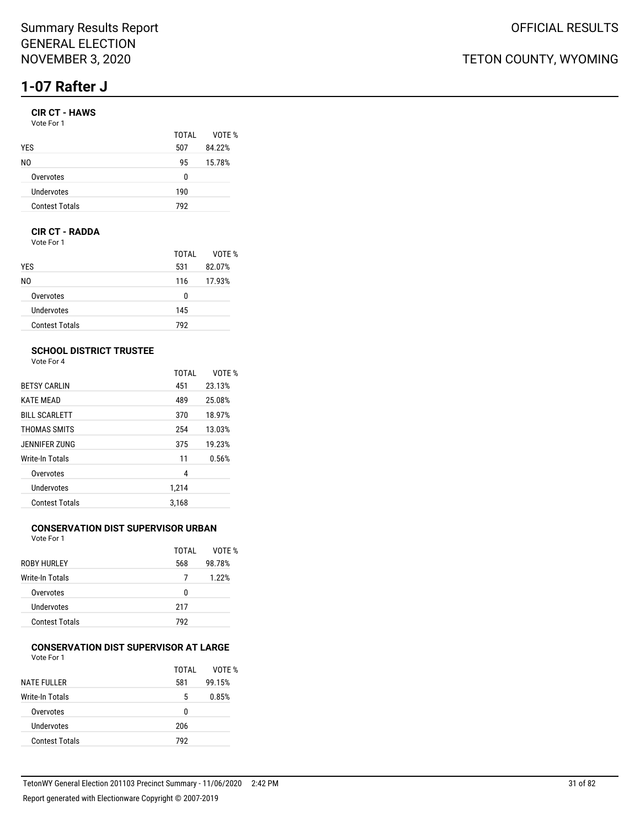# **1-07 Rafter J**

### **CIR CT - HAWS**

| TOTAI | VOTE % |
|-------|--------|
| 507   | 84.22% |
| 95    | 15.78% |
| n     |        |
| 190   |        |
| 792   |        |
|       |        |

#### **CIR CT - RADDA**

Vote For 1

|                       | TOTAL | VOTE % |
|-----------------------|-------|--------|
| <b>YES</b>            | 531   | 82.07% |
| NO.                   | 116   | 17.93% |
| Overvotes             | 0     |        |
| Undervotes            | 145   |        |
| <b>Contest Totals</b> | 792   |        |

#### **SCHOOL DISTRICT TRUSTEE**

Vote For 4

|                       | <b>TOTAL</b> | VOTF % |
|-----------------------|--------------|--------|
| <b>BETSY CARLIN</b>   | 451          | 23.13% |
| <b>KATE MEAD</b>      | 489          | 25.08% |
| <b>BILL SCARLETT</b>  | 370          | 18.97% |
| THOMAS SMITS          | 254          | 13.03% |
| JENNIFER ZUNG         | 375          | 19.23% |
| Write-In Totals       | 11           | 0.56%  |
| Overvotes             | 4            |        |
| Undervotes            | 1,214        |        |
| <b>Contest Totals</b> | 3.168        |        |

## **CONSERVATION DIST SUPERVISOR URBAN**

Vote For 1

|                       | TOTAI | VOTE % |
|-----------------------|-------|--------|
| ROBY HURLEY           | 568   | 98.78% |
| Write-In Totals       | 7     | 1.22%  |
| Overvotes             | 0     |        |
| Undervotes            | 217   |        |
| <b>Contest Totals</b> | 792   |        |
|                       |       |        |

#### **CONSERVATION DIST SUPERVISOR AT LARGE** Vote For 1

| .                     |       |        |
|-----------------------|-------|--------|
|                       | TOTAI | VOTE % |
| <b>NATE FULLER</b>    | 581   | 99.15% |
| Write-In Totals       | 5     | 0.85%  |
| Overvotes             | U     |        |
| Undervotes            | 206   |        |
| <b>Contest Totals</b> | 792   |        |
|                       |       |        |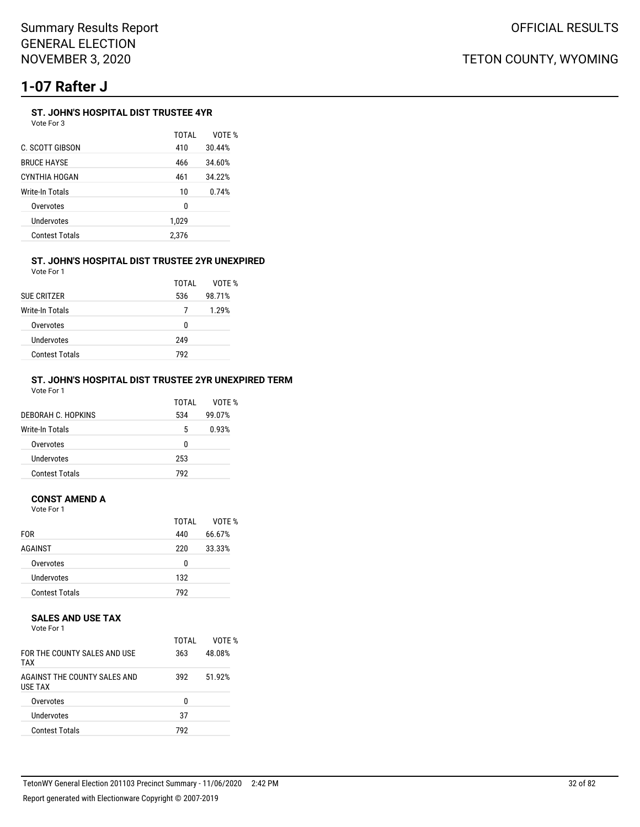# **1-07 Rafter J**

### **ST. JOHN'S HOSPITAL DIST TRUSTEE 4YR**

Vote For 3

|                       | TOTAI | VOTE % |
|-----------------------|-------|--------|
| C. SCOTT GIBSON       | 410   | 30.44% |
| <b>BRUCE HAYSE</b>    | 466   | 34.60% |
| CYNTHIA HOGAN         | 461   | 34.22% |
| Write-In Totals       | 10    | 0.74%  |
| Overvotes             | 0     |        |
| Undervotes            | 1,029 |        |
| <b>Contest Totals</b> | 2.376 |        |

#### **ST. JOHN'S HOSPITAL DIST TRUSTEE 2YR UNEXPIRED** Vote For 1

| <b>SUE CRITZER</b>    | TOTAL<br>536 | VOTF %<br>98.71% |
|-----------------------|--------------|------------------|
| Write-In Totals       |              | 1.29%            |
| Overvotes             | n            |                  |
| <b>Undervotes</b>     | 249          |                  |
| <b>Contest Totals</b> | 792          |                  |

#### **ST. JOHN'S HOSPITAL DIST TRUSTEE 2YR UNEXPIRED TERM** Vote For 1

| DEBORAH C. HOPKINS    | TOTAL<br>534 | VOTF %<br>99.07% |
|-----------------------|--------------|------------------|
| Write-In Totals       | 5            | 0.93%            |
| Overvotes             | 0            |                  |
| Undervotes            | 253          |                  |
| <b>Contest Totals</b> | 792          |                  |

#### **CONST AMEND A**

Vote For 1

| <b>FOR</b>            | TOTAI<br>440 | VOTE %<br>66.67% |
|-----------------------|--------------|------------------|
| AGAINST               | 220          | 33.33%           |
| Overvotes             | 0            |                  |
| Undervotes            | 132          |                  |
| <b>Contest Totals</b> | 792          |                  |

#### **SALES AND USE TAX**

Vote For 1

| FOR THE COUNTY SALES AND USE<br><b>TAX</b>     | TOTAI<br>363 | VOTF %<br>48.08% |
|------------------------------------------------|--------------|------------------|
| AGAINST THE COUNTY SALES AND<br><b>USE TAX</b> | 392          | 51.92%           |
| Overvotes                                      | n            |                  |
| Undervotes                                     | 37           |                  |
| <b>Contest Totals</b>                          | 792          |                  |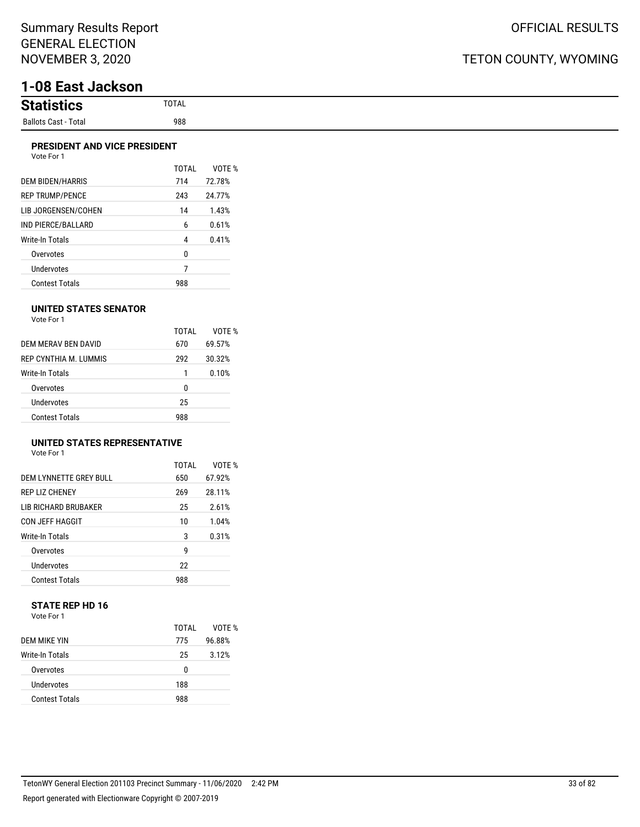# **1-08 East Jackson**

| <b>Statistion</b><br>ucs |
|--------------------------|
| Ballots Cast - Total     |

 $\%$ 

#### **PRESIDENT AND VICE PRESIDENT** Vote For 1

| VULT FUIT               |              |             |
|-------------------------|--------------|-------------|
|                         | <b>TOTAL</b> | <b>VOTE</b> |
| <b>DEM BIDEN/HARRIS</b> | 714          | 72.78%      |
| <b>REP TRUMP/PENCE</b>  | 243          | 24.77%      |
| LIB JORGENSEN/COHEN     | 14           | 1.43%       |
| IND PIERCE/BALLARD      | 6            | 0.61%       |
| <b>Write-In Totals</b>  | 4            | 0.41%       |
| Overvotes               | 0            |             |
| <b>Undervotes</b>       | 7            |             |
| Contest Totals          | 988          |             |

#### **UNITED STATES SENATOR**

| Vote For 1 |  |
|------------|--|
|            |  |

|                        | TOTAI | VOTF % |
|------------------------|-------|--------|
| DEM MERAV BEN DAVID    | 670   | 69.57% |
| REP CYNTHIA M TUMMIS   | 292   | 30.32% |
| <b>Write-In Totals</b> | 1     | 0.10%  |
| Overvotes              | 0     |        |
| Undervotes             | 25    |        |
| <b>Contest Totals</b>  | 988   |        |

#### **UNITED STATES REPRESENTATIVE**

Vote For 1

|                             | TOTAL | VOTF % |
|-----------------------------|-------|--------|
| DEM LYNNETTE GREY BULL      | 650   | 67.92% |
| <b>REP LIZ CHENEY</b>       | 269   | 28.11% |
| <b>LIB RICHARD BRUBAKER</b> | 25    | 2.61%  |
| <b>CON JEFF HAGGIT</b>      | 10    | 1.04%  |
| Write-In Totals             | 3     | 0.31%  |
| Overvotes                   | g     |        |
| <b>Undervotes</b>           | 22    |        |
| <b>Contest Totals</b>       | 988   |        |

#### **STATE REP HD 16** Vote For 1

|                       | TOTAI | VOTF % |
|-----------------------|-------|--------|
| DEM MIKE YIN          | 775   | 96.88% |
| Write-In Totals       | 25    | 3.12%  |
| Overvotes             | 0     |        |
| Undervotes            | 188   |        |
| <b>Contest Totals</b> | 988   |        |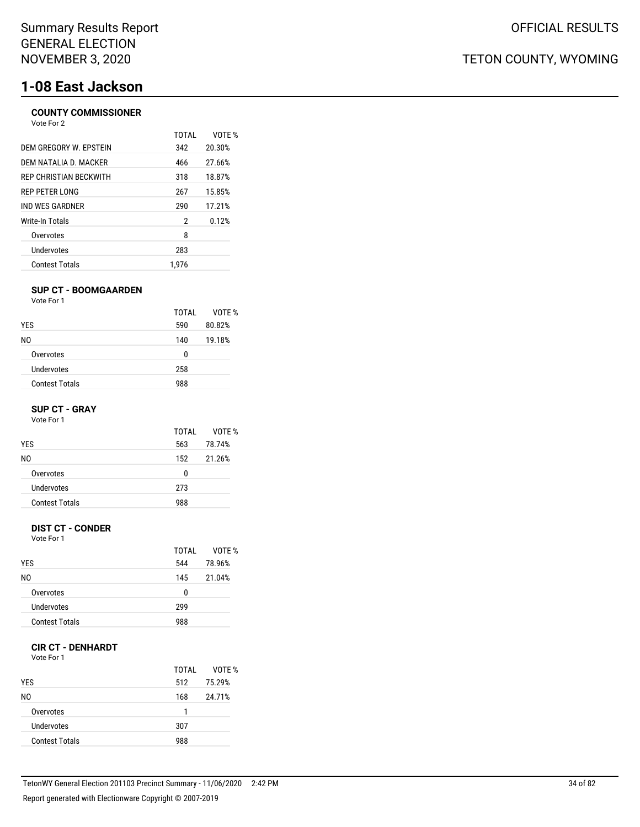# **1-08 East Jackson**

### **COUNTY COMMISSIONER**

| Vote For 2                    |       |        |
|-------------------------------|-------|--------|
|                               | TOTAI | VOTE % |
| DEM GREGORY W. EPSTEIN        | 342   | 20.30% |
| DEM NATALIA D. MACKER         | 466   | 27.66% |
| <b>REP CHRISTIAN BECKWITH</b> | 318   | 18.87% |
| REP PETER LONG                | 267   | 15.85% |
| IND WES GARDNER               | 290   | 17.21% |
| Write-In Totals               | 2     | 0.12%  |
| Overvotes                     | 8     |        |
| Undervotes                    | 283   |        |
| <b>Contest Totals</b>         | 1.976 |        |

#### **SUP CT - BOOMGAARDEN**

Vote For 1

|                       | TOTAI | VOTF % |
|-----------------------|-------|--------|
| <b>YES</b>            | 590   | 80.82% |
| NO.                   | 140   | 19.18% |
| Overvotes             | 0     |        |
| Undervotes            | 258   |        |
| <b>Contest Totals</b> | 988   |        |

#### **SUP CT - GRAY**

Vote For 1

| TOTAI | VOTF % |
|-------|--------|
| 563   | 78.74% |
| 152   | 21.26% |
| 0     |        |
| 273   |        |
| 988   |        |
|       |        |

#### **DIST CT - CONDER**

Vote For 1

|                       | TOTAI | VOTF % |
|-----------------------|-------|--------|
| <b>YES</b>            | 544   | 78.96% |
| N0                    | 145   | 21.04% |
| Overvotes             | 0     |        |
| Undervotes            | 299   |        |
| <b>Contest Totals</b> | 988   |        |

#### **CIR CT - DENHARDT**

Vote For 1

| <b>YES</b>            | TOTAI<br>512 | VOTE %<br>75.29% |
|-----------------------|--------------|------------------|
| N0                    | 168          | 24.71%           |
| Overvotes             | 1            |                  |
| Undervotes            | 307          |                  |
| <b>Contest Totals</b> | 988          |                  |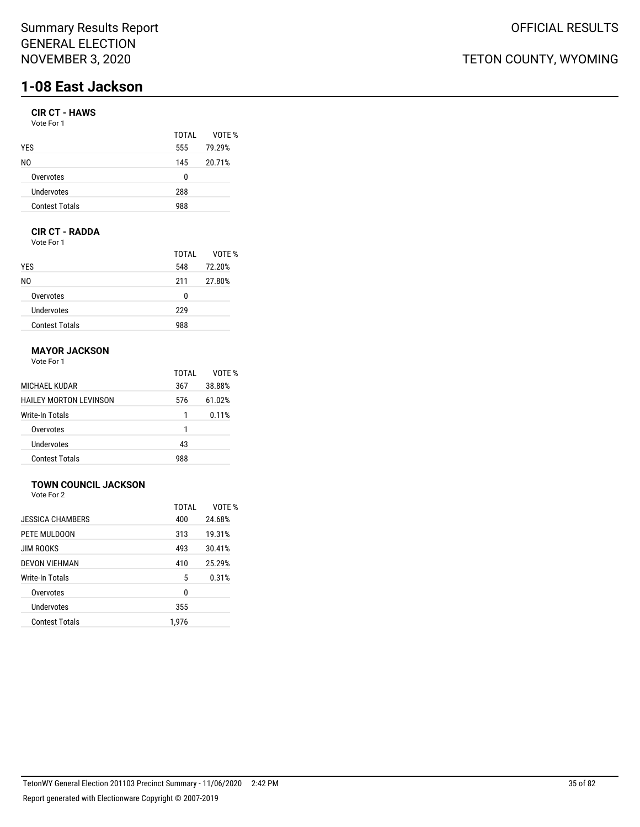# **1-08 East Jackson**

#### **CIR CT - HAWS**

| Vote For 1            |       |        |
|-----------------------|-------|--------|
|                       | TOTAL | VOTE % |
| <b>YES</b>            | 555   | 79.29% |
| N0                    | 145   | 20.71% |
| Overvotes             | 0     |        |
| Undervotes            | 288   |        |
| <b>Contest Totals</b> | 988   |        |
|                       |       |        |

### **CIR CT - RADDA**

Vote For 1

|                       | TOTAI | VOTE % |
|-----------------------|-------|--------|
| <b>YES</b>            | 548   | 72.20% |
| NO.                   | 211   | 27.80% |
| Overvotes             | 0     |        |
| Undervotes            | 229   |        |
| <b>Contest Totals</b> | 988   |        |

## **MAYOR JACKSON**

Vote For 1

|                               | TOTAI | VOTF % |
|-------------------------------|-------|--------|
| MICHAEL KUDAR                 | 367   | 38.88% |
| <b>HAILEY MORTON LEVINSON</b> | 576   | 61.02% |
| Write-In Totals               |       | 0.11%  |
| Overvotes                     | 1     |        |
| Undervotes                    | 43    |        |
| <b>Contest Totals</b>         | 988   |        |

## **TOWN COUNCIL JACKSON**

Vote For 2

|                       | TOTAL | VOTF % |
|-----------------------|-------|--------|
| JESSICA CHAMBERS      | 400   | 24.68% |
| PETE MULDOON          | 313   | 19.31% |
| <b>JIM ROOKS</b>      | 493   | 30.41% |
| <b>DEVON VIEHMAN</b>  | 410   | 25.29% |
| Write-In Totals       | 5     | 0.31%  |
| Overvotes             | 0     |        |
| Undervotes            | 355   |        |
| <b>Contest Totals</b> | 1,976 |        |
|                       |       |        |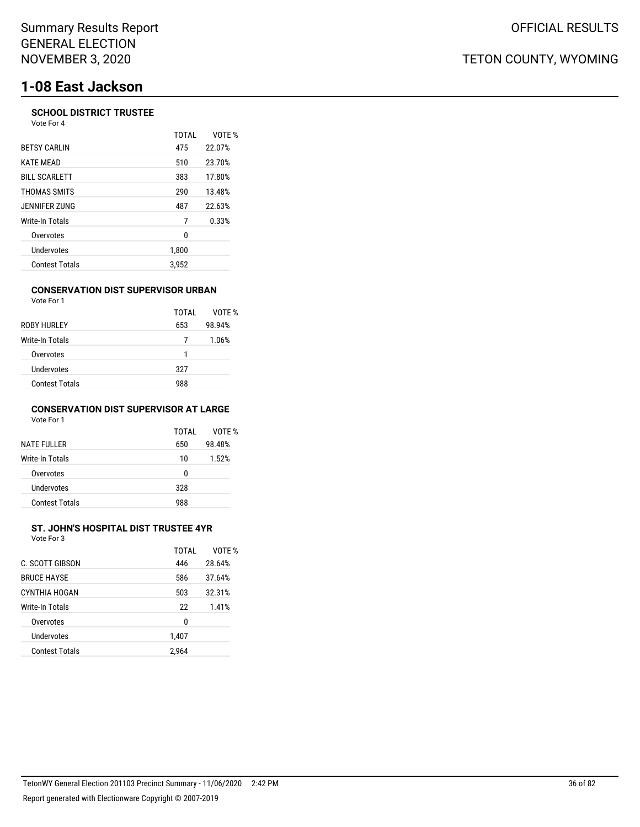# **1-08 East Jackson**

#### **SCHOOL DISTRICT TRUSTEE** Vote For 4

|                       | <b>TOTAL</b> | VOTE % |
|-----------------------|--------------|--------|
| <b>BETSY CARLIN</b>   | 475          | 22.07% |
| <b>KATE MEAD</b>      | 510          | 23.70% |
| <b>BILL SCARLETT</b>  | 383          | 17.80% |
| THOMAS SMITS          | 290          | 13.48% |
| JENNIFER ZUNG         | 487          | 22.63% |
| Write-In Totals       | 7            | 0.33%  |
| Overvotes             | 0            |        |
| Undervotes            | 1,800        |        |
| <b>Contest Totals</b> | 3.952        |        |

#### **CONSERVATION DIST SUPERVISOR URBAN**

| Vote For 1            |       |        |
|-----------------------|-------|--------|
|                       | TOTAI | VOTE % |
| ROBY HURLEY           | 653   | 98.94% |
| Write-In Totals       | 7     | 1.06%  |
| Overvotes             | 1     |        |
| Undervotes            | 327   |        |
| <b>Contest Totals</b> | 988   |        |

#### **CONSERVATION DIST SUPERVISOR AT LARGE** Vote For 1

| <b>NATE FULLER</b>    | TOTAI<br>650 | VOTF %<br>98.48% |
|-----------------------|--------------|------------------|
| Write-In Totals       | 10           | 1.52%            |
| Overvotes             | n            |                  |
| Undervotes            | 328          |                  |
| <b>Contest Totals</b> | 988          |                  |

#### **ST. JOHN'S HOSPITAL DIST TRUSTEE 4YR** Vote For 3

| C. SCOTT GIBSON       | TOTAI<br>446 | VOTF %<br>28.64% |
|-----------------------|--------------|------------------|
| <b>BRUCE HAYSE</b>    | 586          | 37.64%           |
| CYNTHIA HOGAN         | 503          | 32.31%           |
| Write-In Totals       | 22           | 1.41%            |
| Overvotes             | 0            |                  |
| Undervotes            | 1,407        |                  |
| <b>Contest Totals</b> | 2,964        |                  |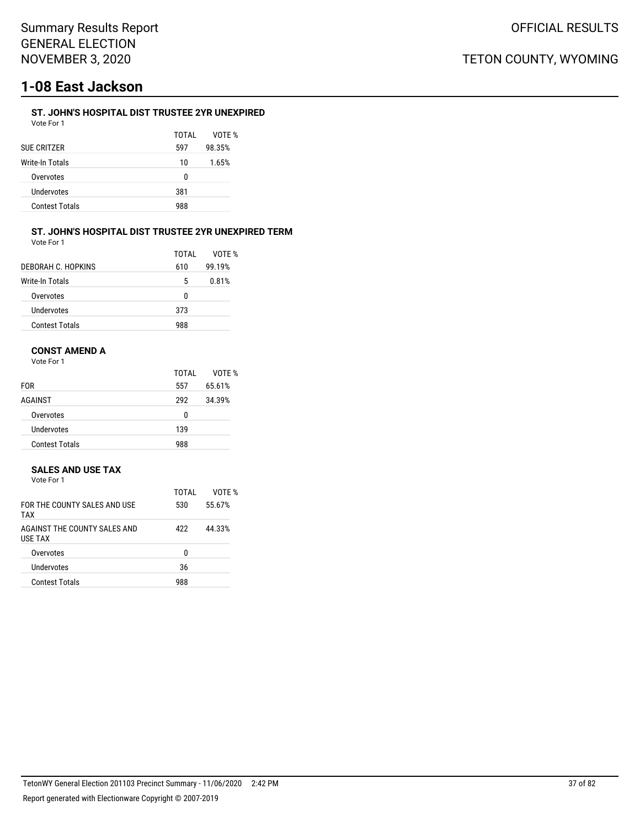# **1-08 East Jackson**

## **ST. JOHN'S HOSPITAL DIST TRUSTEE 2YR UNEXPIRED**

| Vote For 1            |       |        |
|-----------------------|-------|--------|
|                       | TOTAI | VOTF % |
| SUE CRITZER           | 597   | 98.35% |
| Write-In Totals       | 10    | 1.65%  |
| Overvotes             | U     |        |
| Undervotes            | 381   |        |
| <b>Contest Totals</b> | 988   |        |
|                       |       |        |

#### **ST. JOHN'S HOSPITAL DIST TRUSTEE 2YR UNEXPIRED TERM** Vote For 1

| 1 U U U<br>$\sim$<br>$\sim$ |  |
|-----------------------------|--|
|                             |  |
|                             |  |
|                             |  |
|                             |  |

|                       | TOTAI    | VOTF % |
|-----------------------|----------|--------|
| DEBORAH C. HOPKINS    | 610      | 99.19% |
| Write-In Totals       | 5        | 0.81%  |
| Overvotes             | $\Omega$ |        |
| Undervotes            | 373      |        |
| <b>Contest Totals</b> | 988      |        |

## **CONST AMEND A**

Vote For 1

|                       | TOTAI | VOTE % |
|-----------------------|-------|--------|
| <b>FOR</b>            | 557   | 65.61% |
| AGAINST               | 292   | 34.39% |
| Overvotes             | 0     |        |
| Undervotes            | 139   |        |
| <b>Contest Totals</b> | 988   |        |

## **SALES AND USE TAX**

| Vote For 1 |  |  |
|------------|--|--|
|            |  |  |

|                                                | TOTAI | VOTF % |
|------------------------------------------------|-------|--------|
| FOR THE COUNTY SALES AND USE<br><b>TAX</b>     | 530   | 55.67% |
| AGAINST THE COUNTY SALES AND<br><b>USE TAX</b> | 422   | 44.33% |
| Overvotes                                      | U     |        |
| <b>Undervotes</b>                              | 36    |        |
| <b>Contest Totals</b>                          | 988   |        |
|                                                |       |        |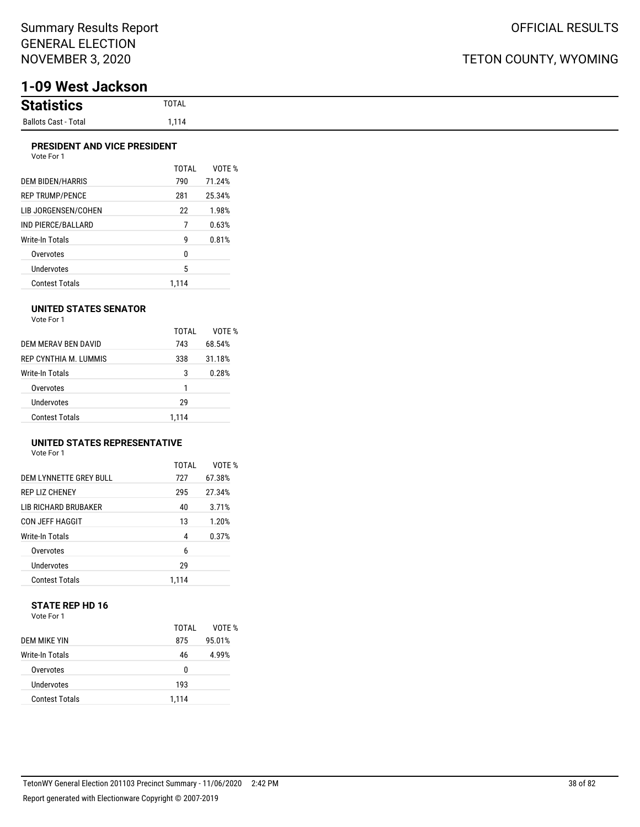# **1-09 West Jackson**

### **PRESIDENT AND VICE PRESIDENT**

| Vote For 1 |  |
|------------|--|
|            |  |

|                        | TOTAI | VOTF % |
|------------------------|-------|--------|
| DEM BIDEN/HARRIS       | 790   | 71.24% |
| <b>REP TRUMP/PENCE</b> | 281   | 25.34% |
| LIB JORGENSEN/COHEN    | 22    | 1.98%  |
| IND PIERCE/BALLARD     | 7     | 0.63%  |
| Write-In Totals        | g     | 0.81%  |
| Overvotes              | 0     |        |
| <b>Undervotes</b>      | 5     |        |
| Contest Totals         | 1.114 |        |

### **UNITED STATES SENATOR**

Vote For 1

|                       | TOTAL | VOTF % |
|-----------------------|-------|--------|
| DEM MERAV BEN DAVID   | 743   | 68.54% |
| REP CYNTHIA M. LUMMIS | 338   | 31.18% |
| Write-In Totals       | 3     | 0.28%  |
| Overvotes             | 1     |        |
| Undervotes            | 29    |        |
| <b>Contest Totals</b> | 1.114 |        |

## **UNITED STATES REPRESENTATIVE**

Vote For 1

|                        | TOTAL | VOTE % |
|------------------------|-------|--------|
| DEM LYNNETTE GREY BULL | 727   | 67.38% |
| <b>REP LIZ CHENEY</b>  | 295   | 27.34% |
| LIB RICHARD BRUBAKER   | 40    | 3.71%  |
| CON JEFF HAGGIT        | 13    | 1.20%  |
| Write-In Totals        | 4     | 0.37%  |
| Overvotes              | 6     |        |
| Undervotes             | 29    |        |
| <b>Contest Totals</b>  | 1.114 |        |

### **STATE REP HD 16** Vote For 1

|                       | TOTAI | VOTF % |
|-----------------------|-------|--------|
| DEM MIKE YIN          | 875   | 95.01% |
| Write-In Totals       | 46    | 4.99%  |
| Overvotes             | 0     |        |
| Undervotes            | 193   |        |
| <b>Contest Totals</b> | 1.114 |        |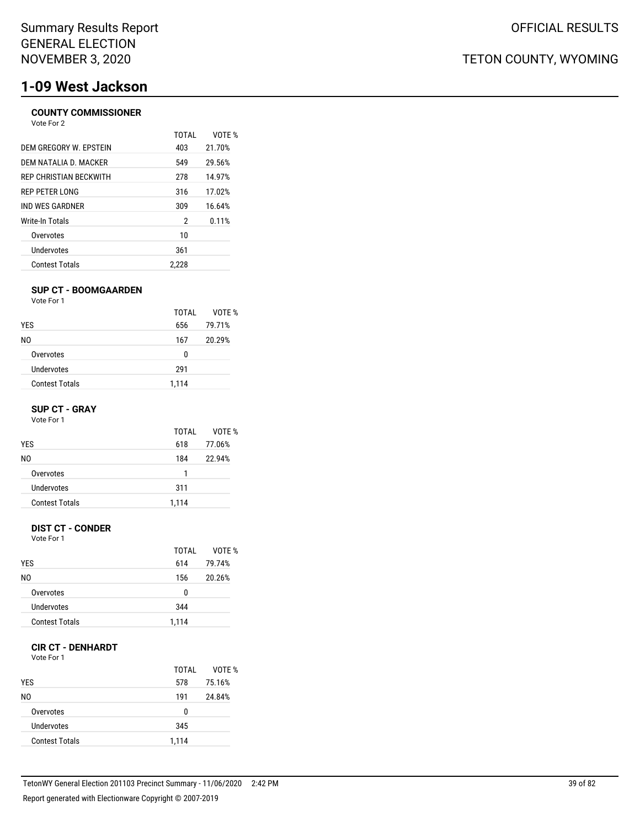# **1-09 West Jackson**

### **COUNTY COMMISSIONER** Vote For 2

|                        | <b>TOTAL</b> | VOTF % |
|------------------------|--------------|--------|
| DEM GREGORY W. EPSTEIN | 403          | 21.70% |
| DEM NATALIA D. MACKER  | 549          | 29.56% |
| REP CHRISTIAN BECKWITH | 278          | 14.97% |
| REP PETER LONG         | 316          | 17.02% |
| IND WES GARDNER        | 309          | 16.64% |
| Write-In Totals        | 2            | 0.11%  |
| Overvotes              | 10           |        |
| Undervotes             | 361          |        |
| <b>Contest Totals</b>  | 2.228        |        |

### **SUP CT - BOOMGAARDEN**

Vote For 1

|                       | TOTAI | VOTE % |
|-----------------------|-------|--------|
| <b>YES</b>            | 656   | 79.71% |
| NO.                   | 167   | 20.29% |
| Overvotes             | 0     |        |
| Undervotes            | 291   |        |
| <b>Contest Totals</b> | 1,114 |        |

### **SUP CT - GRAY**

Vote For 1

|                       | TOTAI | VOTF % |
|-----------------------|-------|--------|
| <b>YES</b>            | 618   | 77.06% |
| N0                    | 184   | 22.94% |
| Overvotes             | 1     |        |
| Undervotes            | 311   |        |
| <b>Contest Totals</b> | 1,114 |        |

## **DIST CT - CONDER**

Vote For 1

|                       | TOTAI | VOTE % |
|-----------------------|-------|--------|
| <b>YES</b>            | 614   | 79.74% |
| N0                    | 156   | 20.26% |
| Overvotes             | 0     |        |
| Undervotes            | 344   |        |
| <b>Contest Totals</b> | 1,114 |        |
|                       |       |        |

## **CIR CT - DENHARDT**

Vote For 1

| <b>YES</b>            | TOTAL<br>578 | VOTE %<br>75.16% |
|-----------------------|--------------|------------------|
| NO.                   | 191          | 24.84%           |
| Overvotes             | 0            |                  |
| Undervotes            | 345          |                  |
| <b>Contest Totals</b> | 1,114        |                  |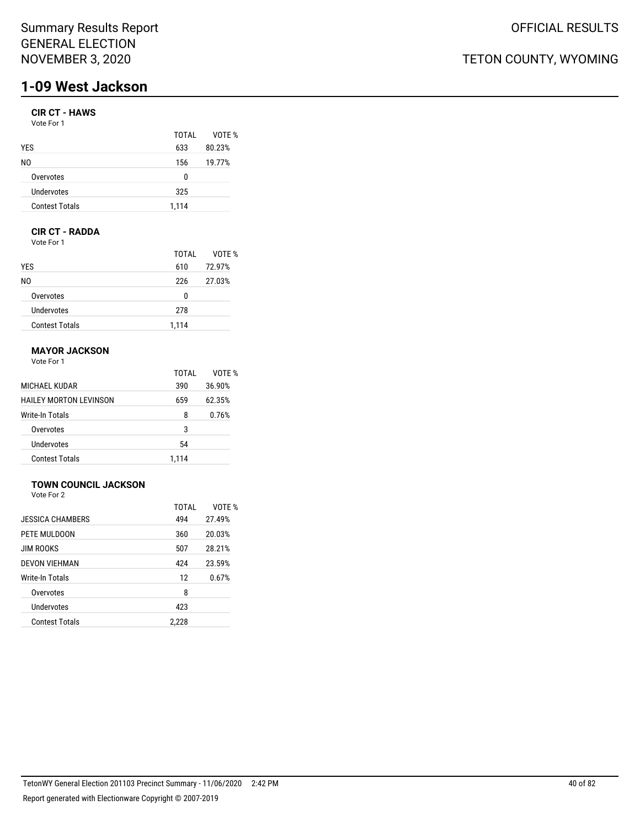## Summary Results Report GENERAL ELECTION NOVEMBER 3, 2020

# **1-09 West Jackson**

## **CIR CT - HAWS**

Vote For 1

|                       | TOTAI | VOTE % |
|-----------------------|-------|--------|
| <b>YES</b>            | 633   | 80.23% |
| NO.                   | 156   | 19.77% |
| Overvotes             | 0     |        |
| Undervotes            | 325   |        |
| <b>Contest Totals</b> | 1,114 |        |

## **CIR CT - RADDA**

Vote For 1

|                       | TOTAI | VOTE % |
|-----------------------|-------|--------|
| <b>YES</b>            | 610   | 72.97% |
| NO.                   | 226   | 27.03% |
| Overvotes             | 0     |        |
| Undervotes            | 278   |        |
| <b>Contest Totals</b> | 1.114 |        |

## **MAYOR JACKSON**

Vote For 1

|                        | TOTAI | VOTF % |
|------------------------|-------|--------|
| MICHAEL KUDAR          | 390   | 36.90% |
| HAILEY MORTON LEVINSON | 659   | 62.35% |
| Write-In Totals        | 8     | 0.76%  |
| Overvotes              | 3     |        |
| Undervotes             | 54    |        |
| <b>Contest Totals</b>  | 1.114 |        |

## **TOWN COUNCIL JACKSON**

Vote For 2

|                       | TOTAL | VOTE % |
|-----------------------|-------|--------|
| JESSICA CHAMBERS      | 494   | 27.49% |
| PETE MULDOON          | 360   | 20.03% |
| <b>JIM ROOKS</b>      | 507   | 28.21% |
| DEVON VIEHMAN         | 424   | 23.59% |
| Write-In Totals       | 12    | 0.67%  |
| Overvotes             | 8     |        |
| Undervotes            | 423   |        |
| <b>Contest Totals</b> | 2,228 |        |
|                       |       |        |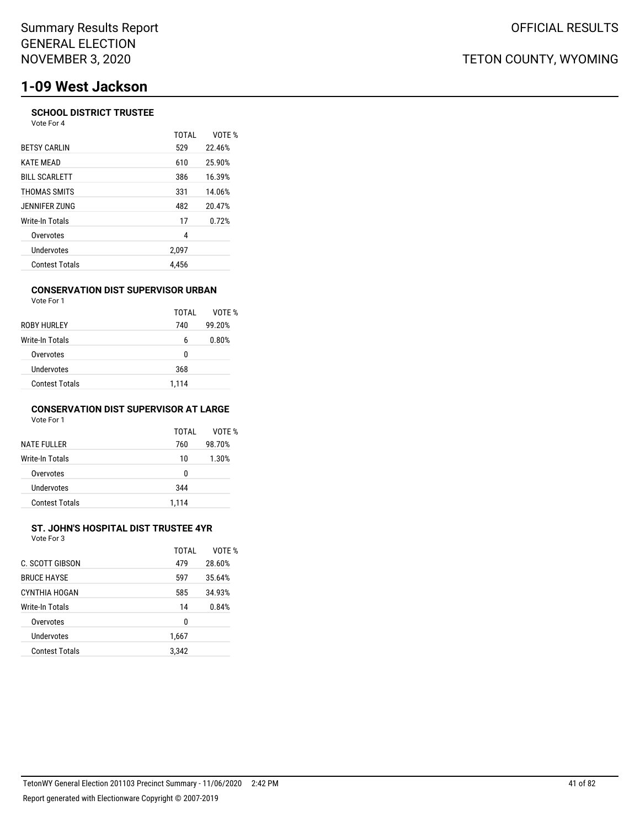# **1-09 West Jackson**

### **SCHOOL DISTRICT TRUSTEE** Vote For 4

|                       | TOTAI | VOTE % |
|-----------------------|-------|--------|
| <b>BETSY CARLIN</b>   | 529   | 22.46% |
| <b>KATE MEAD</b>      | 610   | 25.90% |
| <b>BILL SCARLETT</b>  | 386   | 16.39% |
| THOMAS SMITS          | 331   | 14.06% |
| JENNIFER ZUNG         | 482   | 20.47% |
| Write-In Totals       | 17    | 0.72%  |
| Overvotes             | 4     |        |
| Undervotes            | 2.097 |        |
| <b>Contest Totals</b> | 4.456 |        |

#### **CONSERVATION DIST SUPERVISOR URBAN** Vote For 1

| <b>VULCIUI</b>         |       |        |
|------------------------|-------|--------|
|                        | TOTAI | VOTE % |
| ROBY HURLEY            | 740   | 99.20% |
| <b>Write-In Totals</b> | 6     | 0.80%  |
| Overvotes              | 0     |        |
| Undervotes             | 368   |        |
| <b>Contest Totals</b>  | 1.114 |        |

### **CONSERVATION DIST SUPERVISOR AT LARGE** Vote For 1

| <b>NATE FULLER</b>     | TOTAI<br>760 | VOTF %<br>98.70% |
|------------------------|--------------|------------------|
| <b>Write-In Totals</b> | 10           | 1.30%            |
| Overvotes              | U            |                  |
| Undervotes             | 344          |                  |
| <b>Contest Totals</b>  | 1.114        |                  |

## **ST. JOHN'S HOSPITAL DIST TRUSTEE 4YR**

| Vote For 3         |       |        |
|--------------------|-------|--------|
|                    | TOTAI | VOTE % |
| C. SCOTT GIBSON    | 479   | 28.60% |
| <b>BRUCE HAYSE</b> | 597   | 35.64% |
| CYNTHIA HOGAN      | 585   | 34.93% |
| Write-In Totals    | 14    | 0.84%  |
| Overvotes          | 0     |        |
| Undervotes         | 1,667 |        |
|                    |       |        |

Contest Totals 3,342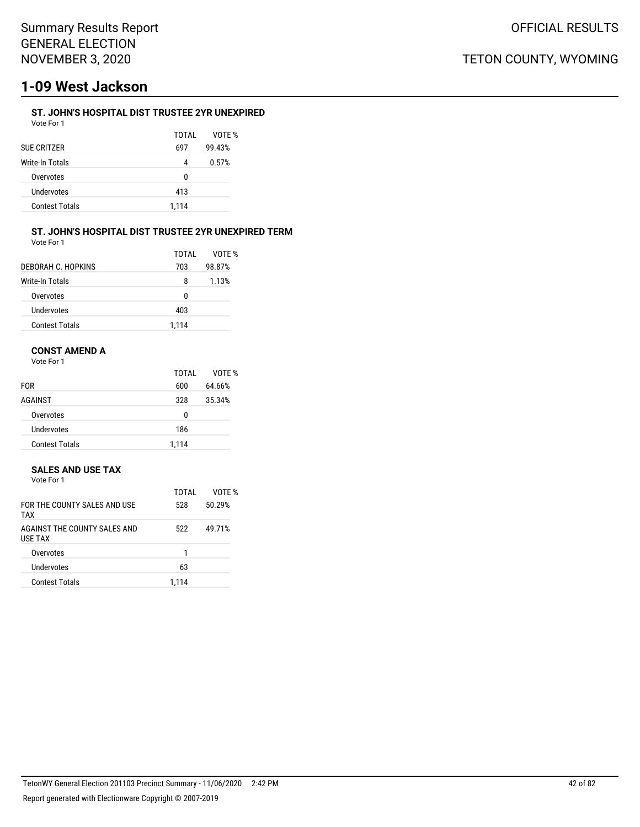# **1-09 West Jackson**

## **ST. JOHN'S HOSPITAL DIST TRUSTEE 2YR UNEXPIRED**

| Vote For 1            |       |        |
|-----------------------|-------|--------|
|                       | TOTAI | VOTF % |
| SUE CRITZER           | 697   | 99.43% |
| Write-In Totals       | 4     | 0.57%  |
| Overvotes             | U     |        |
| Undervotes            | 413   |        |
| <b>Contest Totals</b> | 1,114 |        |
|                       |       |        |

#### **ST. JOHN'S HOSPITAL DIST TRUSTEE 2YR UNEXPIRED TERM** Vote For 1

|  | vote For T |  |
|--|------------|--|
|  |            |  |

|                       | TOTAI | VOTF % |
|-----------------------|-------|--------|
| DEBORAH C. HOPKINS    | 703   | 98.87% |
| Write-In Totals       | 8     | 1.13%  |
| Overvotes             | n     |        |
| Undervotes            | 403   |        |
| <b>Contest Totals</b> | 1,114 |        |

## **CONST AMEND A**

Vote For 1

|                       | TOTAL | VOTE % |
|-----------------------|-------|--------|
| <b>FOR</b>            | 600   | 64.66% |
| AGAINST               | 328   | 35.34% |
| Overvotes             | 0     |        |
| Undervotes            | 186   |        |
| <b>Contest Totals</b> | 1,114 |        |

## **SALES AND USE TAX**

| Vote For 1 |  |
|------------|--|
|            |  |

| FOR THE COUNTY SALES AND USE<br>TAX            | 528   | 50.29% |
|------------------------------------------------|-------|--------|
| AGAINST THE COUNTY SALES AND<br><b>USE TAX</b> | 522   | 49.71% |
| Overvotes                                      |       |        |
| <b>Undervotes</b>                              | 63    |        |
| <b>Contest Totals</b>                          | 1.114 |        |
|                                                |       |        |

TOTAL VOTE %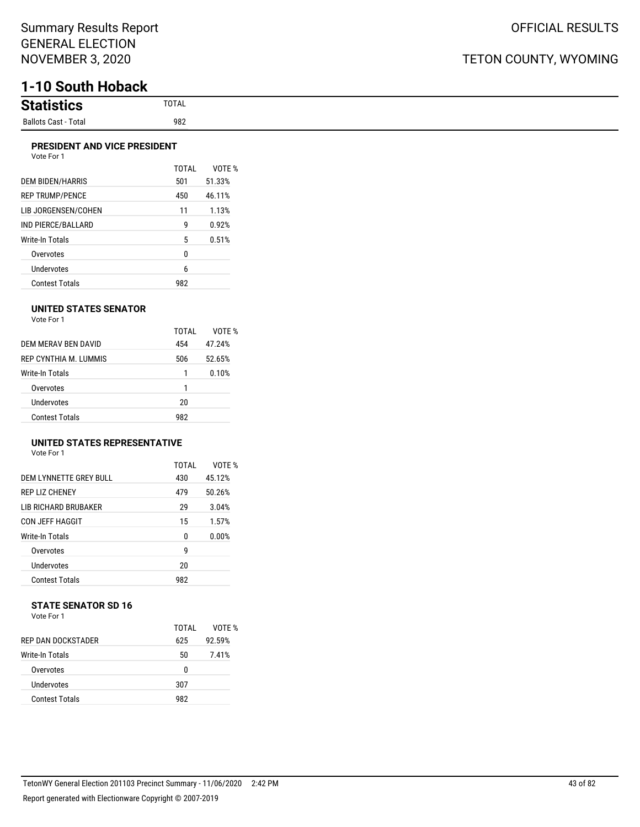# **1-10 South Hoback**

| <b>Statis</b><br>้แนร   |
|-------------------------|
| Ballots Cast -<br>Total |

### **PRESIDENT AND VICE PRESIDENT**

| Vote For 1             |       |        |
|------------------------|-------|--------|
|                        | TOTAL | VOTE % |
| DEM BIDEN/HARRIS       | 501   | 51.33% |
| <b>REP TRUMP/PENCE</b> | 450   | 46.11% |
| LIB JORGENSEN/COHEN    | 11    | 1.13%  |
| IND PIERCE/BALLARD     | g     | 0.92%  |
| Write-In Totals        | 5     | 0.51%  |
| Overvotes              | 0     |        |
| Undervotes             | 6     |        |
| <b>Contest Totals</b>  | 982   |        |

### **UNITED STATES SENATOR**

Vote For 1

|                        | TOTAI | VOTE % |
|------------------------|-------|--------|
| DEM MERAV BEN DAVID    | 454   | 47.24% |
| REP CYNTHIA M. LUMMIS  | 506   | 52.65% |
| <b>Write-In Totals</b> | 1     | 0.10%  |
| Overvotes              | 1     |        |
| Undervotes             | 20    |        |
| Contest Totals         | 982   |        |

## **UNITED STATES REPRESENTATIVE**

Vote For 1

|                             | TOTAL | VOTF % |
|-----------------------------|-------|--------|
| DEM LYNNETTE GREY BULL      | 430   | 45.12% |
| <b>REP LIZ CHENEY</b>       | 479   | 50.26% |
| <b>LIB RICHARD BRUBAKER</b> | 29    | 3.04%  |
| <b>CON JEFF HAGGIT</b>      | 15    | 1.57%  |
| Write-In Totals             | 0     | 0.00%  |
| Overvotes                   | g     |        |
| <b>Undervotes</b>           | 20    |        |
| <b>Contest Totals</b>       | 982   |        |

# **STATE SENATOR SD 16**

| Vote For 1 |  |  |
|------------|--|--|
|            |  |  |

|                           | TOTAI | VOTF % |
|---------------------------|-------|--------|
| <b>REP DAN DOCKSTADER</b> | 625   | 92.59% |
| Write-In Totals           | 50    | 7.41%  |
| Overvotes                 | 0     |        |
| Undervotes                | 307   |        |
| <b>Contest Totals</b>     | 982   |        |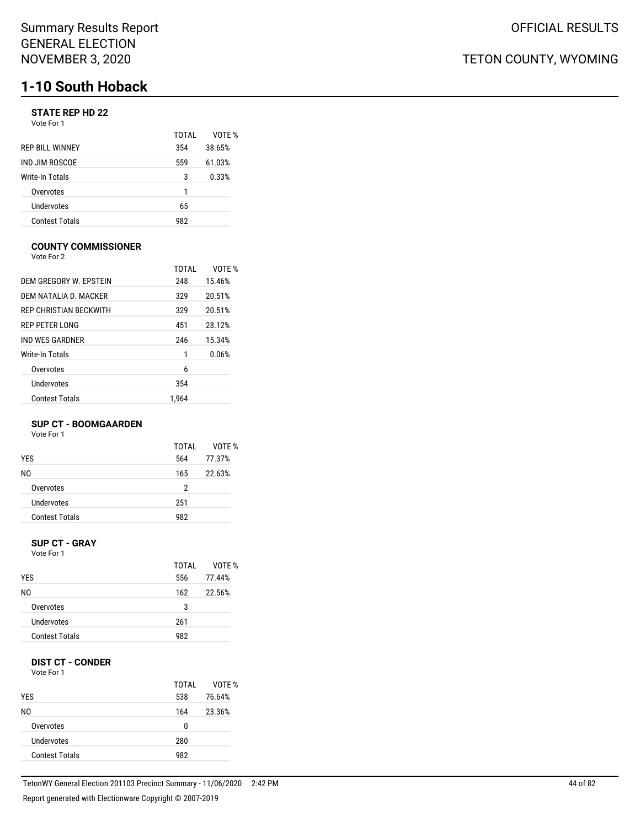## **STATE REP HD 22**

| Vote For 1 |  |  |
|------------|--|--|
|------------|--|--|

|                        | TOTAI | VOTF % |
|------------------------|-------|--------|
| <b>REP BILL WINNEY</b> | 354   | 38.65% |
| IND JIM ROSCOE         | 559   | 61.03% |
| Write-In Totals        | 3     | 0.33%  |
| Overvotes              | 1     |        |
| Undervotes             | 65    |        |
| <b>Contest Totals</b>  | 982   |        |

### **COUNTY COMMISSIONER**

Vote For 2

|                               | TOTAI | VOTF % |
|-------------------------------|-------|--------|
| DEM GREGORY W. EPSTEIN        | 248   | 15.46% |
| DEM NATALIA D. MACKER         | 329   | 20.51% |
| <b>REP CHRISTIAN BECKWITH</b> | 329   | 20.51% |
| <b>REP PETER LONG</b>         | 451   | 28.12% |
| IND WES GARDNER               | 246   | 15.34% |
| Write-In Totals               | 1     | 0.06%  |
| Overvotes                     | 6     |        |
| Undervotes                    | 354   |        |
| <b>Contest Totals</b>         | 1.964 |        |

### **SUP CT - BOOMGAARDEN**

Vote For 1

|                       | TOTAI | VOTF % |
|-----------------------|-------|--------|
| <b>YES</b>            | 564   | 77.37% |
| N0                    | 165   | 22.63% |
| Overvotes             | 2     |        |
| Undervotes            | 251   |        |
| <b>Contest Totals</b> | 982   |        |
|                       |       |        |

#### **SUP CT - GRAY** Vote For 1

| <b>YES</b>            | TOTAL<br>556 | VOTE %<br>77.44% |
|-----------------------|--------------|------------------|
| N0                    | 162          | 22.56%           |
| Overvotes             | 3            |                  |
| Undervotes            | 261          |                  |
| <b>Contest Totals</b> | 982          |                  |

## **DIST CT - CONDER**

Vote For 1

|                       | TOTAI | VOTE % |
|-----------------------|-------|--------|
| <b>YES</b>            | 538   | 76.64% |
| NO.                   | 164   | 23.36% |
| Overvotes             | 0     |        |
| Undervotes            | 280   |        |
| <b>Contest Totals</b> | 982   |        |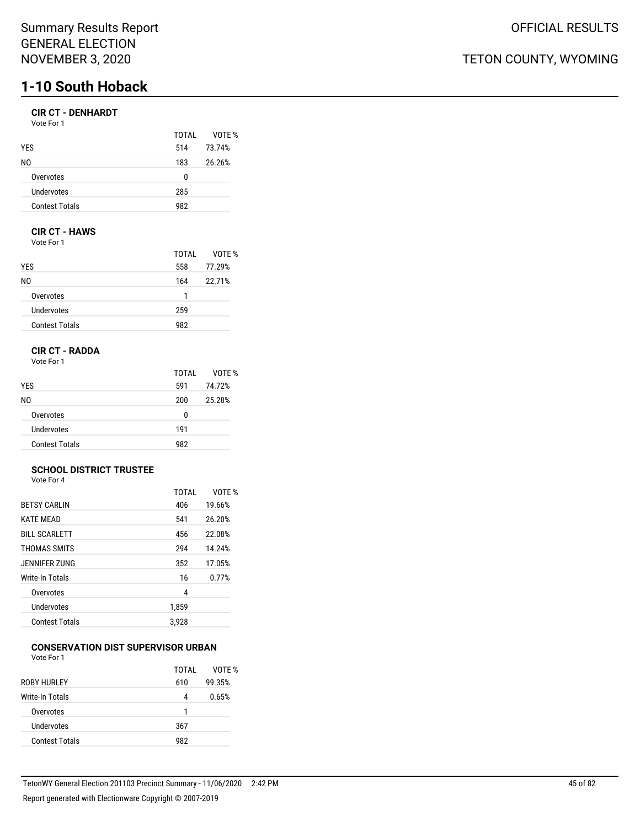## **CIR CT - DENHARDT**

| Vote For 1 |  |  |
|------------|--|--|
|            |  |  |

|                       | TOTAI | VOTE % |
|-----------------------|-------|--------|
| YES                   | 514   | 73.74% |
| N0                    | 183   | 26.26% |
| Overvotes             | 0     |        |
| Undervotes            | 285   |        |
| <b>Contest Totals</b> | 982   |        |

## **CIR CT - HAWS**

Vote For 1

|                       | TOTAI | VOTE % |
|-----------------------|-------|--------|
| <b>YES</b>            | 558   | 77.29% |
| NO.                   | 164   | 22.71% |
| Overvotes             | 1     |        |
| Undervotes            | 259   |        |
| <b>Contest Totals</b> | 982   |        |

## **CIR CT - RADDA**

Vote For 1

|                       | TOTAL | VOTE % |
|-----------------------|-------|--------|
| <b>YES</b>            | 591   | 74.72% |
| NO.                   | 200   | 25.28% |
| Overvotes             | n     |        |
| Undervotes            | 191   |        |
| <b>Contest Totals</b> | 982   |        |

#### **SCHOOL DISTRICT TRUSTEE** Vote For 4

|                       | <b>TOTAL</b> | VOTF % |
|-----------------------|--------------|--------|
| <b>BETSY CARLIN</b>   | 406          | 19.66% |
| <b>KATE MEAD</b>      | 541          | 26.20% |
| <b>BILL SCARLETT</b>  | 456          | 22.08% |
| THOMAS SMITS          | 294          | 14.24% |
| JENNIFER ZUNG         | 352          | 17.05% |
| Write-In Totals       | 16           | 0.77%  |
| Overvotes             | 4            |        |
| Undervotes            | 1,859        |        |
| <b>Contest Totals</b> | 3.928        |        |

#### **CONSERVATION DIST SUPERVISOR URBAN** Vote For 1

| .                     |       |        |
|-----------------------|-------|--------|
|                       | TOTAI | VOTE % |
| ROBY HURLEY           | 610   | 99.35% |
| Write-In Totals       | 4     | 0.65%  |
| Overvotes             |       |        |
| Undervotes            | 367   |        |
| <b>Contest Totals</b> | 982   |        |
|                       |       |        |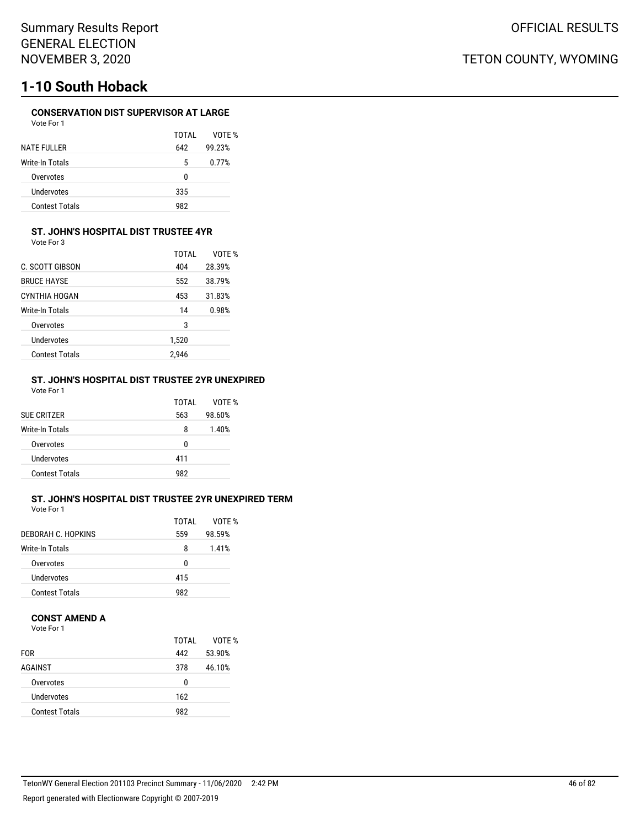## **CONSERVATION DIST SUPERVISOR AT LARGE**

VOTE % 99.23%

| Vote For 1         |       |        |
|--------------------|-------|--------|
|                    | TOTAI | VOTE   |
| <b>NATE FULLER</b> | 642   | 99.23% |
| Write-In Totals    | 5     | 0.77%  |
| Overvotes          | n     |        |
| Undervotes         | 335   |        |

Contest Totals 982

### **ST. JOHN'S HOSPITAL DIST TRUSTEE 4YR**

Vote For 3

|                       | TOTAI | VOTF % |
|-----------------------|-------|--------|
| C. SCOTT GIBSON       | 404   | 28.39% |
| <b>BRUCE HAYSE</b>    | 552   | 38.79% |
| CYNTHIA HOGAN         | 453   | 31.83% |
| Write-In Totals       | 14    | 0.98%  |
| Overvotes             | 3     |        |
| Undervotes            | 1,520 |        |
| <b>Contest Totals</b> | 2.946 |        |

#### **ST. JOHN'S HOSPITAL DIST TRUSTEE 2YR UNEXPIRED** Vote For 1

| <b>SUE CRITZER</b>     | TOTAI<br>563 | VOTF %<br>98.60% |
|------------------------|--------------|------------------|
| <b>Write-In Totals</b> | 8            | 1.40%            |
| Overvotes              | 0            |                  |
| Undervotes             | 411          |                  |
| <b>Contest Totals</b>  | 982          |                  |

## **ST. JOHN'S HOSPITAL DIST TRUSTEE 2YR UNEXPIRED TERM**

Vote For 1

|                       | TOTAL | VOTF % |
|-----------------------|-------|--------|
| DEBORAH C. HOPKINS    | 559   | 98.59% |
| Write-In Totals       | 8     | 1.41%  |
| Overvotes             | n     |        |
| Undervotes            | 415   |        |
| <b>Contest Totals</b> | 982   |        |

### **CONST AMEND A**

Vote For 1

|                       | TOTAI | VOTF % |
|-----------------------|-------|--------|
| <b>FOR</b>            | 442   | 53.90% |
| AGAINST               | 378   | 46.10% |
| Overvotes             | 0     |        |
| Undervotes            | 162   |        |
| <b>Contest Totals</b> | 982   |        |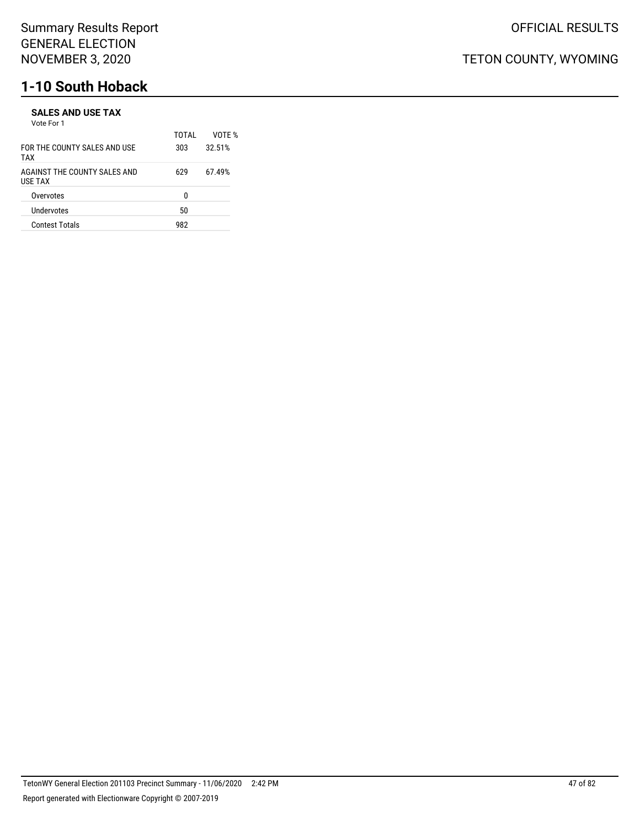#### **SALES AND USE TAX** Vote For 1

| <b>VULLET UIT</b>                       | TOTAI | VOTF % |
|-----------------------------------------|-------|--------|
| FOR THE COUNTY SALES AND USE<br>TAX     | 303   | 32.51% |
| AGAINST THE COUNTY SALES AND<br>USE TAX | 629   | 67.49% |
| Overvotes                               | n     |        |
| Undervotes                              | 50    |        |
| <b>Contest Totals</b>                   | 982   |        |
|                                         |       |        |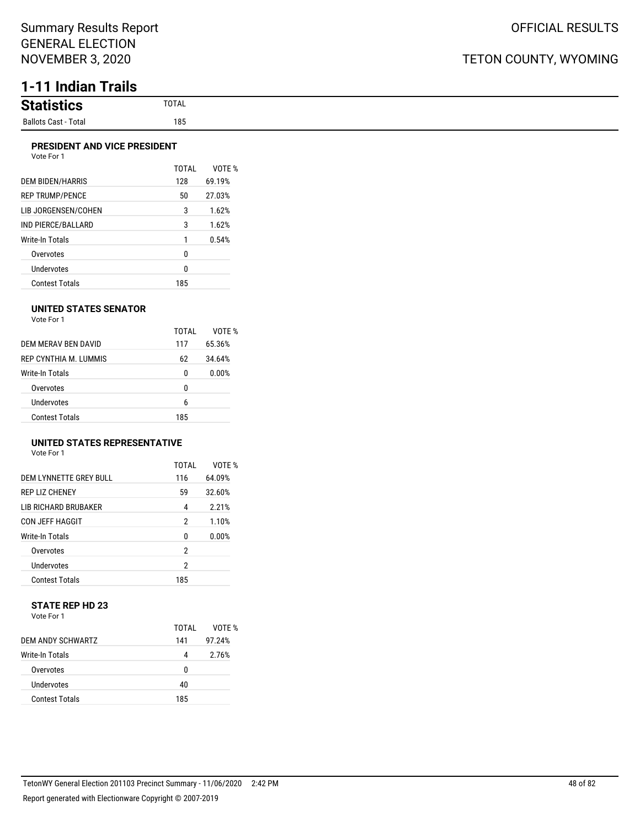# **1-11 Indian Trails**

| <b>Statistics</b>    | <b>TOTAL</b><br>the contract of the contract of the |
|----------------------|-----------------------------------------------------|
| Ballots Cast - Total | 185                                                 |

### **PRESIDENT AND VICE PRESIDENT**

| Vote For 1 |  |
|------------|--|
|            |  |

|                           | TOTAI | VOTF % |
|---------------------------|-------|--------|
| DEM BIDEN/HARRIS          | 128   | 69.19% |
| <b>REP TRUMP/PENCE</b>    | 50    | 27.03% |
| LIB JORGENSEN/COHEN       | 3     | 1.62%  |
| <b>IND PIERCE/BALLARD</b> | 3     | 1.62%  |
| <b>Write-In Totals</b>    | 1     | 0.54%  |
| Overvotes                 | 0     |        |
| <b>Undervotes</b>         | 0     |        |
| Contest Totals            | 185   |        |

### **UNITED STATES SENATOR**

Vote For 1

|                        | TOTAI | VOTE % |
|------------------------|-------|--------|
| DEM MERAV BEN DAVID    | 117   | 65.36% |
| REP CYNTHIA M. LUMMIS  | 62    | 34.64% |
| <b>Write-In Totals</b> | 0     | 0.00%  |
| Overvotes              | 0     |        |
| Undervotes             | 6     |        |
| <b>Contest Totals</b>  | 185   |        |

## **UNITED STATES REPRESENTATIVE**

Vote For 1

|                             | TOTAI | VOTF % |
|-----------------------------|-------|--------|
| DEM LYNNETTE GREY BULL      | 116   | 64.09% |
| <b>REP LIZ CHENEY</b>       | 59    | 32.60% |
| <b>LIB RICHARD BRUBAKER</b> | 4     | 2.21%  |
| CON JEFF HAGGIT             | 2     | 1.10%  |
| Write-In Totals             | 0     | 0.00%  |
| Overvotes                   | 2     |        |
| <b>Undervotes</b>           | 2     |        |
| <b>Contest Totals</b>       | 185   |        |

### **STATE REP HD 23** Vote For 1

|                       | TOTAI | VOTF % |
|-----------------------|-------|--------|
| DEM ANDY SCHWARTZ     | 141   | 97.24% |
| Write-In Totals       | 4     | 2.76%  |
| Overvotes             | U     |        |
| Undervotes            | 40    |        |
| <b>Contest Totals</b> | 185   |        |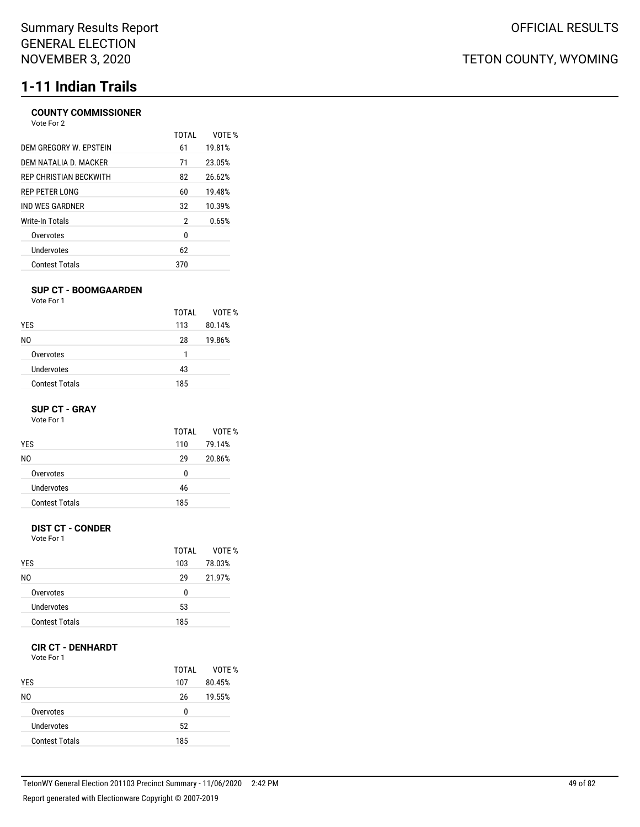# **1-11 Indian Trails**

## **COUNTY COMMISSIONER**

| TOTAL          | VOTF % |
|----------------|--------|
|                |        |
|                | 19.81% |
| 71             | 23.05% |
| 82             | 26.62% |
| 60             | 19.48% |
| 32             | 10.39% |
| $\overline{2}$ | 0.65%  |
| 0              |        |
| 62             |        |
| 370            |        |
|                | 61     |

### **SUP CT - BOOMGAARDEN**

Vote For 1

|                       | TOTAI | VOTE % |
|-----------------------|-------|--------|
| <b>YES</b>            | 113   | 80.14% |
| NO.                   | 28    | 19.86% |
| Overvotes             |       |        |
| Undervotes            | 43    |        |
| <b>Contest Totals</b> | 185   |        |

### **SUP CT - GRAY**

Vote For 1

| TOTAI | VOTF % |
|-------|--------|
| 110   | 79.14% |
| 29    | 20.86% |
| 0     |        |
| 46    |        |
| 185   |        |
|       |        |

## **DIST CT - CONDER**

Vote For 1

|                       | TOTAI | VOTF % |
|-----------------------|-------|--------|
| <b>YES</b>            | 103   | 78.03% |
| N0                    | 29    | 21.97% |
| Overvotes             | 0     |        |
| Undervotes            | 53    |        |
| <b>Contest Totals</b> | 185   |        |

## **CIR CT - DENHARDT**

Vote For 1

| <b>YES</b>            | TOTAI<br>107 | VOTE %<br>80.45% |
|-----------------------|--------------|------------------|
| N0                    | 26           | 19.55%           |
| Overvotes             | 0            |                  |
| Undervotes            | 52           |                  |
| <b>Contest Totals</b> | 185          |                  |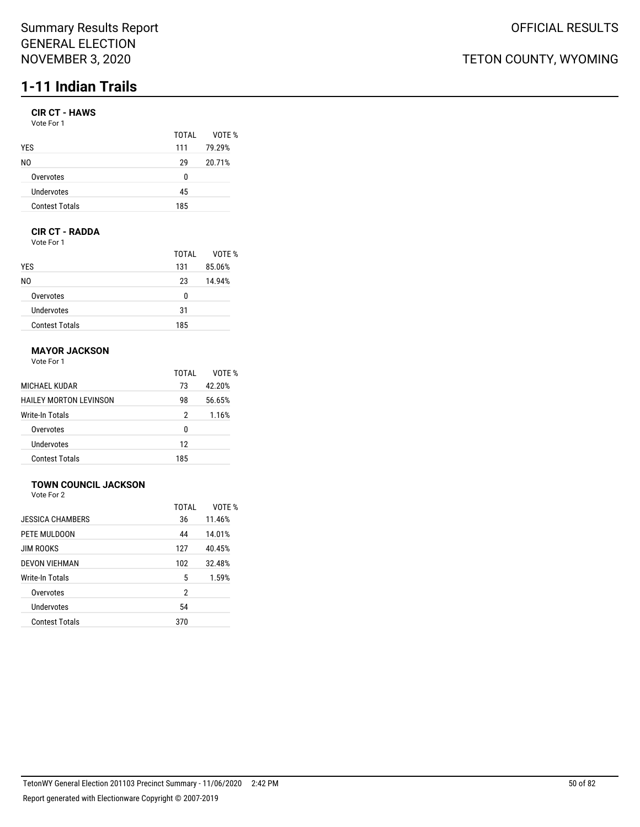## Summary Results Report GENERAL ELECTION NOVEMBER 3, 2020

# **1-11 Indian Trails**

## **CIR CT - HAWS**

| TOTAI | VOTF % |
|-------|--------|
| 111   | 79.29% |
| 29    | 20.71% |
| N     |        |
| 45    |        |
| 185   |        |
|       |        |

## **CIR CT - RADDA**

Vote For 1

|                       | TOTAI | VOTE % |
|-----------------------|-------|--------|
| <b>YES</b>            | 131   | 85.06% |
| NO.                   | 23    | 14.94% |
| Overvotes             | 0     |        |
| Undervotes            | 31    |        |
| <b>Contest Totals</b> | 185   |        |

## **MAYOR JACKSON**

Vote For 1

|                        | TOTAI | VOTF % |
|------------------------|-------|--------|
| MICHAEL KUDAR          | 73    | 42.20% |
| HAILEY MORTON LEVINSON | 98    | 56.65% |
| Write-In Totals        | 2     | 1.16%  |
| Overvotes              | 0     |        |
| Undervotes             | 12    |        |
| <b>Contest Totals</b>  | 185   |        |

## **TOWN COUNCIL JACKSON**

Vote For 2

|                         | TOTAL | VOTE % |
|-------------------------|-------|--------|
| <b>JESSICA CHAMBERS</b> | 36    | 11.46% |
| PETE MULDOON            | 44    | 14.01% |
| <b>JIM ROOKS</b>        | 127   | 40.45% |
| <b>DEVON VIEHMAN</b>    | 102   | 32.48% |
| Write-In Totals         | 5     | 1.59%  |
| Overvotes               | 2     |        |
| Undervotes              | 54    |        |
| <b>Contest Totals</b>   | 370   |        |
|                         |       |        |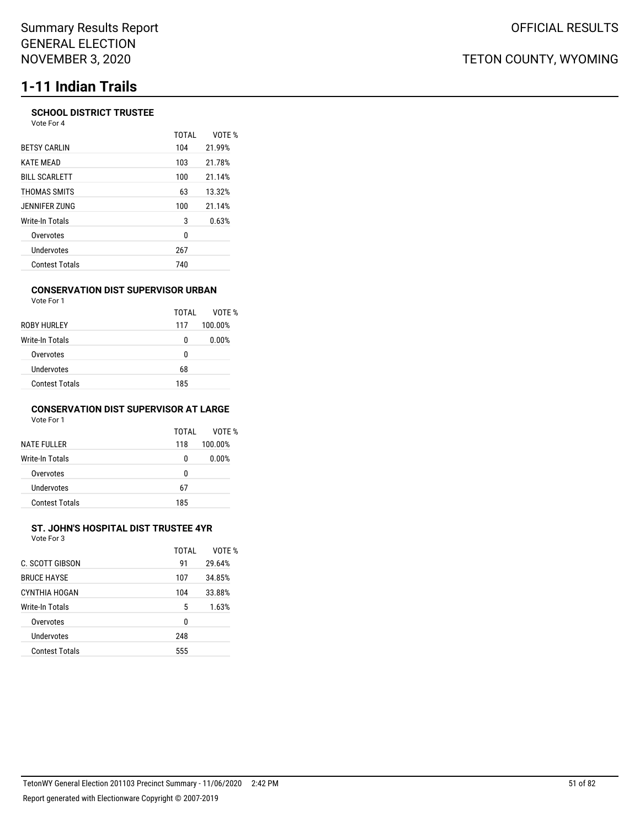# **1-11 Indian Trails**

### **SCHOOL DISTRICT TRUSTEE** Vote For 4

|                       | <b>TOTAL</b> | VOTE % |
|-----------------------|--------------|--------|
| <b>BETSY CARLIN</b>   | 104          | 21.99% |
| <b>KATE MEAD</b>      | 103          | 21.78% |
| <b>BILL SCARLETT</b>  | 100          | 21.14% |
| THOMAS SMITS          | 63           | 13.32% |
| JENNIFER ZUNG         | 100          | 21.14% |
| Write-In Totals       | 3            | 0.63%  |
| Overvotes             | 0            |        |
| Undervotes            | 267          |        |
| <b>Contest Totals</b> | 740          |        |
|                       |              |        |

### **CONSERVATION DIST SUPERVISOR URBAN**

| Vote For 1            |       |         |
|-----------------------|-------|---------|
|                       | TOTAL | VOTF %  |
| ROBY HURLEY           | 117   | 100.00% |
| Write-In Totals       | 0     | 0.00%   |
| Overvotes             | 0     |         |
| Undervotes            | 68    |         |
| <b>Contest Totals</b> | 185   |         |

### **CONSERVATION DIST SUPERVISOR AT LARGE** Vote For 1

| <b>NATE FULLER</b>    | TOTAI<br>118 | VOTF %<br>100.00% |
|-----------------------|--------------|-------------------|
| Write-In Totals       | 0            | 0.00%             |
| Overvotes             | 0            |                   |
| Undervotes            | 67           |                   |
| <b>Contest Totals</b> | 185          |                   |

### **ST. JOHN'S HOSPITAL DIST TRUSTEE 4YR** Vote For 3

| C. SCOTT GIBSON       | TOTAI<br>91 | VOTF %<br>29.64% |
|-----------------------|-------------|------------------|
| <b>BRUCE HAYSE</b>    | 107         | 34.85%           |
| CYNTHIA HOGAN         | 104         | 33.88%           |
| Write-In Totals       | 5           | 1.63%            |
| Overvotes             | 0           |                  |
| Undervotes            | 248         |                  |
| <b>Contest Totals</b> | 555         |                  |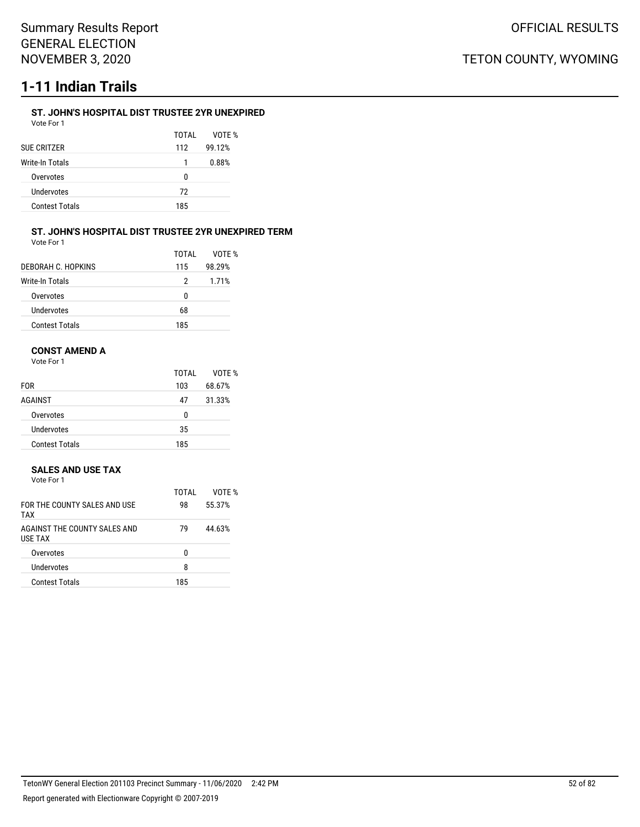# **1-11 Indian Trails**

## **ST. JOHN'S HOSPITAL DIST TRUSTEE 2YR UNEXPIRED**

| Vote For 1            |       |        |
|-----------------------|-------|--------|
|                       | TOTAI | VOTF % |
| SUE CRITZER           | 112   | 99.12% |
| Write-In Totals       |       | 0.88%  |
| Overvotes             | U     |        |
| Undervotes            | 72    |        |
| <b>Contest Totals</b> | 185   |        |
|                       |       |        |

#### **ST. JOHN'S HOSPITAL DIST TRUSTEE 2YR UNEXPIRED TERM** Vote For 1

| וטנפו טו |  |  |  |
|----------|--|--|--|
|          |  |  |  |
|          |  |  |  |
|          |  |  |  |

|                       | TOTAI | VOTF % |
|-----------------------|-------|--------|
| DEBORAH C. HOPKINS    | 115   | 98.29% |
| Write-In Totals       | 2     | 1.71%  |
| Overvotes             | 0     |        |
| Undervotes            | 68    |        |
| <b>Contest Totals</b> | 185   |        |

## **CONST AMEND A**

Vote For 1

|                       | TOTAL | VOTE % |
|-----------------------|-------|--------|
| <b>FOR</b>            | 103   | 68.67% |
| AGAINST               | 47    | 31.33% |
| Overvotes             | 0     |        |
| Undervotes            | 35    |        |
| <b>Contest Totals</b> | 185   |        |

## **SALES AND USE TAX**

| Vote For 1                                     |       |        |
|------------------------------------------------|-------|--------|
|                                                | TOTAL | VOTE % |
| FOR THE COUNTY SALES AND USE<br>TAX            | 98    | 55.37% |
| AGAINST THE COUNTY SALES AND<br><b>USE TAX</b> | 79    | 44.63% |
| Overvotes                                      | n     |        |
| Undervotes                                     |       |        |

Contest Totals 185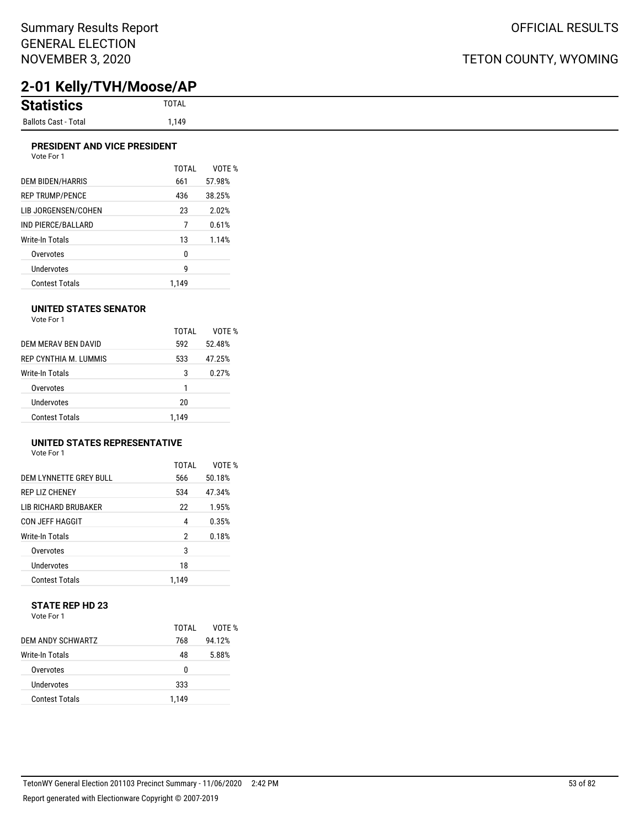# **2-01 Kelly/TVH/Moose/AP**

## **PRESIDENT AND VICE PRESIDENT**

| Vote For 1       |       |        |
|------------------|-------|--------|
|                  | TOTAL | VOTE   |
| DEM BIDEN/HARRIS | 661   | 57.98% |
| REP TRUMP/PENCE  | 436   | 38.25% |
|                  |       |        |

| REP TRUMP/PENCE       | 436   | 38.25% |
|-----------------------|-------|--------|
| LIB JORGENSEN/COHEN   | 23    | 2.02%  |
| IND PIERCE/BALLARD    | 7     | 0.61%  |
| Write-In Totals       | 13    | 1.14%  |
| Overvotes             | 0     |        |
| Undervotes            | g     |        |
| <b>Contest Totals</b> | 1.149 |        |

TOTAL VOTE %

### **UNITED STATES SENATOR**

Vote For 1

|                       | TOTAI | VOTF % |
|-----------------------|-------|--------|
| DEM MERAV BEN DAVID   | 592   | 52.48% |
| REP CYNTHIA M. LUMMIS | 533   | 47.25% |
| Write-In Totals       | 3     | 0.27%  |
| Overvotes             | 1     |        |
| Undervotes            | 20    |        |
| <b>Contest Totals</b> | 1.149 |        |

## **UNITED STATES REPRESENTATIVE**

| Vote For 1 |  |
|------------|--|
|------------|--|

|                             | TOTAI | VOTF % |
|-----------------------------|-------|--------|
| DEM LYNNETTE GREY BULL      | 566   | 50.18% |
| <b>REP LIZ CHENEY</b>       | 534   | 47.34% |
| <b>LIB RICHARD BRUBAKER</b> | 22    | 1.95%  |
| CON JEFF HAGGIT             | 4     | 0.35%  |
| Write-In Totals             | 2     | 0.18%  |
| Overvotes                   | 3     |        |
| Undervotes                  | 18    |        |
| <b>Contest Totals</b>       | 1.149 |        |

#### **STATE REP HD 23** Vote For 1

|                       | TOTAI | VOTF % |
|-----------------------|-------|--------|
| DEM ANDY SCHWARTZ     | 768   | 94.12% |
| Write-In Totals       | 48    | 5.88%  |
| Overvotes             | 0     |        |
| Undervotes            | 333   |        |
| <b>Contest Totals</b> | 1.149 |        |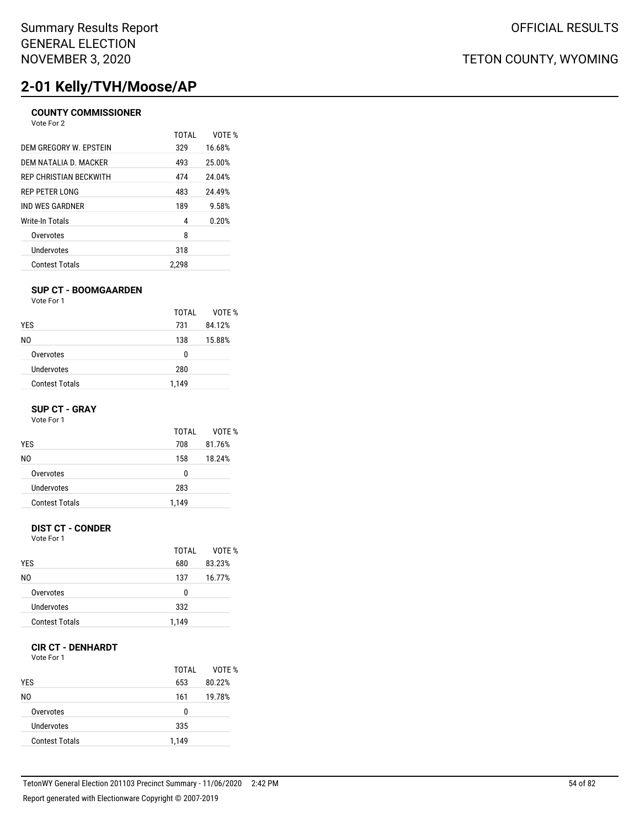# **2-01 Kelly/TVH/Moose/AP**

## **COUNTY COMMISSIONER**

| Vote For 2 |  |  |
|------------|--|--|
|------------|--|--|

|                        | TOTAL | VOTF % |
|------------------------|-------|--------|
| DEM GREGORY W. EPSTEIN | 329   | 16.68% |
| DEM NATALIA D. MACKER  | 493   | 25.00% |
| REP CHRISTIAN BECKWITH | 474   | 24.04% |
| <b>REP PETER LONG</b>  | 483   | 24.49% |
| IND WES GARDNER        | 189   | 9.58%  |
| Write-In Totals        | 4     | 0.20%  |
| Overvotes              | 8     |        |
| <b>Undervotes</b>      | 318   |        |
| <b>Contest Totals</b>  | 2.298 |        |

### **SUP CT - BOOMGAARDEN**

Vote For 1

|                       | TOTAI | VOTE % |
|-----------------------|-------|--------|
| <b>YES</b>            | 731   | 84.12% |
| NO.                   | 138   | 15.88% |
| Overvotes             | 0     |        |
| Undervotes            | 280   |        |
| <b>Contest Totals</b> | 1,149 |        |

### **SUP CT - GRAY**

Vote For 1

| TOTAI | VOTF % |
|-------|--------|
| 708   | 81.76% |
| 158   | 18.24% |
| 0     |        |
| 283   |        |
| 1,149 |        |
|       |        |

## **DIST CT - CONDER**

Vote For 1

|                       | TOTAI | VOTF % |
|-----------------------|-------|--------|
| <b>YES</b>            | 680   | 83.23% |
| N0                    | 137   | 16.77% |
| Overvotes             | U     |        |
| Undervotes            | 332   |        |
| <b>Contest Totals</b> | 1,149 |        |

### **CIR CT - DENHARDT**

Vote For 1

| <b>YES</b>            | TOTAL<br>653 | VOTE %<br>80.22% |
|-----------------------|--------------|------------------|
| N0                    | 161          | 19.78%           |
| Overvotes             | 0            |                  |
| Undervotes            | 335          |                  |
| <b>Contest Totals</b> | 1.149        |                  |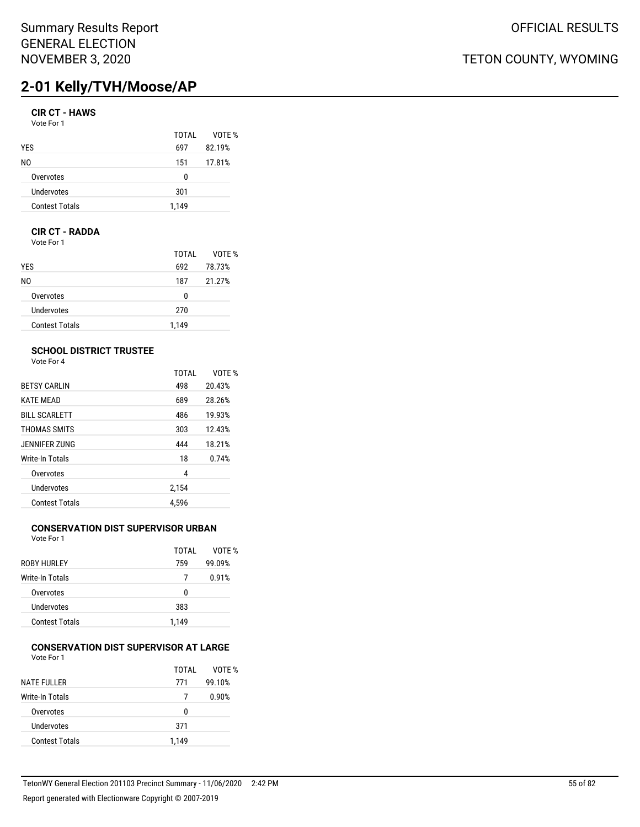# **2-01 Kelly/TVH/Moose/AP**

## **CIR CT - HAWS**

Vote For 1

|                       | TOTAI | VOTE % |
|-----------------------|-------|--------|
| <b>YES</b>            | 697   | 82.19% |
| N0                    | 151   | 17.81% |
| Overvotes             | n     |        |
| Undervotes            | 301   |        |
| <b>Contest Totals</b> | 1,149 |        |

## **CIR CT - RADDA**

Vote For 1

|                       | TOTAI | VOTE % |
|-----------------------|-------|--------|
| YES                   | 692   | 78.73% |
| N0                    | 187   | 21.27% |
| Overvotes             | 0     |        |
| Undervotes            | 270   |        |
| <b>Contest Totals</b> | 1.149 |        |

## **SCHOOL DISTRICT TRUSTEE**

Vote For 4

|                       | <b>TOTAL</b> | VOTF % |
|-----------------------|--------------|--------|
| <b>BETSY CARLIN</b>   | 498          | 20.43% |
| <b>KATE MEAD</b>      | 689          | 28.26% |
| <b>BILL SCARLETT</b>  | 486          | 19.93% |
| THOMAS SMITS          | 303          | 12.43% |
| JENNIFER ZUNG         | 444          | 18.21% |
| Write-In Totals       | 18           | 0.74%  |
| Overvotes             | 4            |        |
| <b>Undervotes</b>     | 2,154        |        |
| <b>Contest Totals</b> | 4.596        |        |

## **CONSERVATION DIST SUPERVISOR URBAN**

Vote For 1

|                        | TOTAI | VOTF % |
|------------------------|-------|--------|
| <b>ROBY HURLEY</b>     | 759   | 99.09% |
| <b>Write-In Totals</b> | 7     | 0.91%  |
| Overvotes              | U     |        |
| Undervotes             | 383   |        |
| <b>Contest Totals</b>  | 1.149 |        |

#### **CONSERVATION DIST SUPERVISOR AT LARGE** Vote For 1

|                       | TOTAI | VOTE % |
|-----------------------|-------|--------|
| <b>NATE FULLER</b>    | 771   | 99.10% |
| Write-In Totals       |       | 0.90%  |
| Overvotes             | U     |        |
| Undervotes            | 371   |        |
| <b>Contest Totals</b> | 1.149 |        |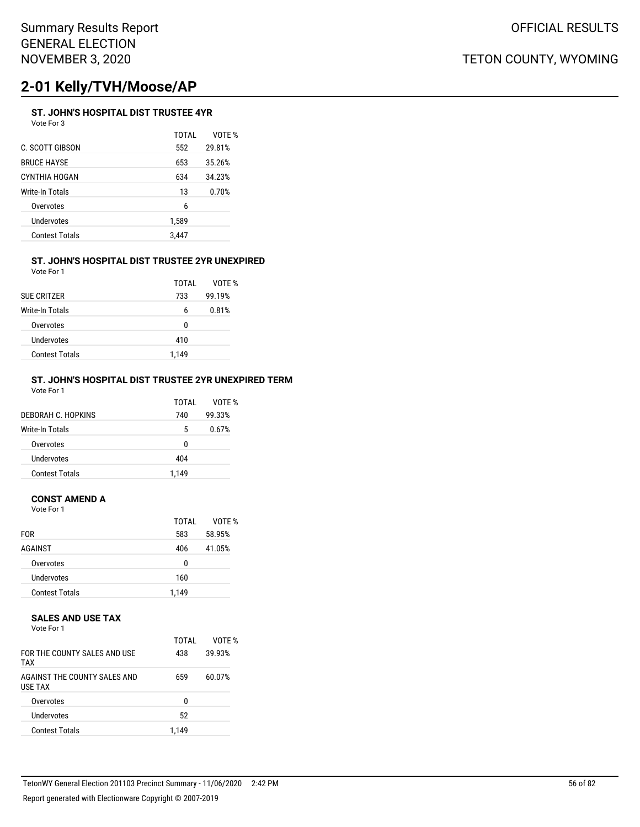# **2-01 Kelly/TVH/Moose/AP**

## **ST. JOHN'S HOSPITAL DIST TRUSTEE 4YR**

Vote For 3

|                       | TOTAI | VOTE % |
|-----------------------|-------|--------|
| C. SCOTT GIBSON       | 552   | 29.81% |
| BRUCE HAYSE           | 653   | 35.26% |
| CYNTHIA HOGAN         | 634   | 34.23% |
| Write-In Totals       | 13    | 0.70%  |
| Overvotes             | 6     |        |
| Undervotes            | 1,589 |        |
| <b>Contest Totals</b> | 3,447 |        |
|                       |       |        |

### **ST. JOHN'S HOSPITAL DIST TRUSTEE 2YR UNEXPIRED** Vote For 1

| <b>SUE CRITZER</b>    | TOTAI<br>733 | VOTF %<br>99.19% |
|-----------------------|--------------|------------------|
| Write-In Totals       | 6            | 0.81%            |
| Overvotes             | U            |                  |
| Undervotes            | 410          |                  |
| <b>Contest Totals</b> | 1.149        |                  |

### **ST. JOHN'S HOSPITAL DIST TRUSTEE 2YR UNEXPIRED TERM** Vote For 1

| DEBORAH C. HOPKINS    | TOTAI<br>740 | VOTF %<br>99.33% |
|-----------------------|--------------|------------------|
| Write-In Totals       | 5            | 0.67%            |
| Overvotes             | 0            |                  |
| Undervotes            | 404          |                  |
| <b>Contest Totals</b> | 1.149        |                  |

## **CONST AMEND A**

Vote For 1

|                       | TOTAI | VOTE % |
|-----------------------|-------|--------|
| <b>FOR</b>            | 583   | 58.95% |
| AGAINST               | 406   | 41.05% |
| Overvotes             | 0     |        |
| Undervotes            | 160   |        |
| <b>Contest Totals</b> | 1,149 |        |

### **SALES AND USE TAX**

Vote For 1

| FOR THE COUNTY SALES AND USE<br><b>TAX</b>     | TOTAI<br>438 | VOTF %<br>39.93% |
|------------------------------------------------|--------------|------------------|
| AGAINST THE COUNTY SALES AND<br><b>USE TAX</b> | 659          | 60.07%           |
| Overvotes                                      | n            |                  |
| Undervotes                                     | 52           |                  |
| <b>Contest Totals</b>                          | 1.149        |                  |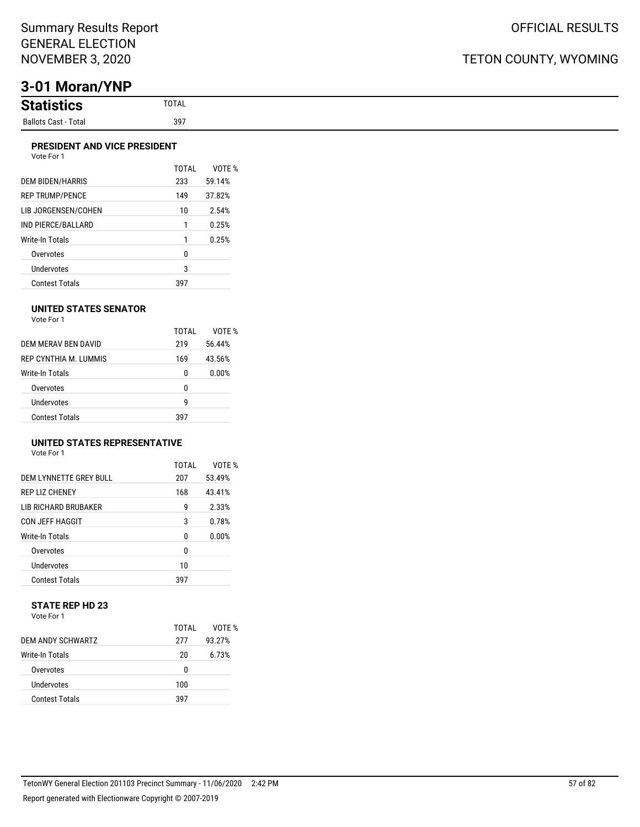# **3-01 Moran/YNP**

### **PRESIDENT AND VICE PRESIDENT**

| Vote For 1 |  |
|------------|--|
|            |  |

| <b>DEM BIDEN/HARRIS</b> | TOTAI<br>233 | VOTF %<br>59.14% |
|-------------------------|--------------|------------------|
| <b>REP TRUMP/PENCE</b>  | 149          | 37.82%           |
| LIB JORGENSEN/COHEN     | 10           | 2.54%            |
| IND PIERCE/BALLARD      | 1            | 0.25%            |
| Write-In Totals         | 1            | 0.25%            |
| Overvotes               | 0            |                  |
| <b>Undervotes</b>       | 3            |                  |
| <b>Contest Totals</b>   | 397          |                  |

### **UNITED STATES SENATOR**

Vote For 1

|                        | TOTAI | VOTF % |
|------------------------|-------|--------|
| DEM MERAV BEN DAVID    | 219   | 56.44% |
| REP CYNTHIA M. LUMMIS  | 169   | 43.56% |
| <b>Write-In Totals</b> | 0     | 0.00%  |
| Overvotes              | 0     |        |
| Undervotes             | q     |        |
| <b>Contest Totals</b>  | 397   |        |

## **UNITED STATES REPRESENTATIVE**

Vote For 1

|                             | TOTAL | VOTF % |
|-----------------------------|-------|--------|
| DEM LYNNETTE GREY BULL      | 207   | 53.49% |
| <b>REP LIZ CHENEY</b>       | 168   | 43.41% |
| <b>LIB RICHARD BRUBAKER</b> | g     | 2.33%  |
| <b>CON JEFF HAGGIT</b>      | 3     | 0.78%  |
| Write-In Totals             | N     | 0.00%  |
| Overvotes                   | 0     |        |
| Undervotes                  | 10    |        |
| <b>Contest Totals</b>       | 397   |        |

### **STATE REP HD 23** Vote For 1

|                       | TOTAI | VOTF % |
|-----------------------|-------|--------|
| DEM ANDY SCHWARTZ     | 277   | 93.27% |
| Write-In Totals       | 20    | 6.73%  |
| Overvotes             | U     |        |
| Undervotes            | 100   |        |
| <b>Contest Totals</b> | 397   |        |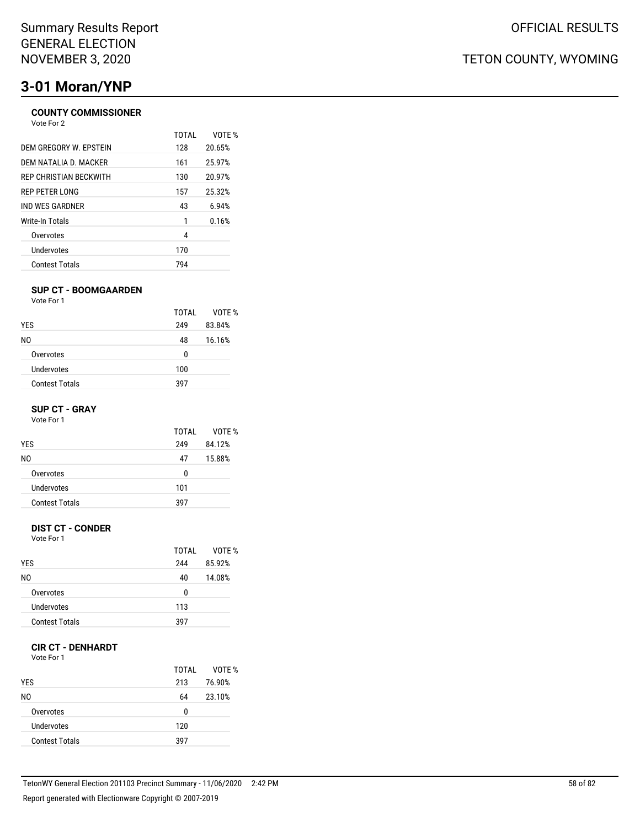# **3-01 Moran/YNP**

## **COUNTY COMMISSIONER**

| Vote For 2                    |       |        |
|-------------------------------|-------|--------|
|                               | TOTAI | VOTE % |
| DEM GREGORY W. EPSTEIN        | 128   | 20.65% |
| DEM NATALIA D. MACKER         | 161   | 25.97% |
| <b>REP CHRISTIAN BECKWITH</b> | 130   | 20.97% |
| REP PETER LONG                | 157   | 25.32% |
| IND WES GARDNER               | 43    | 6.94%  |
| Write-In Totals               | 1     | 0.16%  |
| Overvotes                     | 4     |        |
| Undervotes                    | 170   |        |
| <b>Contest Totals</b>         | 794   |        |

### **SUP CT - BOOMGAARDEN**

Vote For 1

|                       | TOTAI | VOTE % |
|-----------------------|-------|--------|
| <b>YES</b>            | 249   | 83.84% |
| NO.                   | 48    | 16.16% |
| Overvotes             | 0     |        |
| Undervotes            | 100   |        |
| <b>Contest Totals</b> | 397   |        |

### **SUP CT - GRAY**

Vote For 1

|                       | TOTAI | VOTF % |
|-----------------------|-------|--------|
| <b>YES</b>            | 249   | 84.12% |
| N0                    | 47    | 15.88% |
| Overvotes             | 0     |        |
| Undervotes            | 101   |        |
| <b>Contest Totals</b> | 397   |        |
|                       |       |        |

## **DIST CT - CONDER**

Vote For 1

|                       | TOTAI | VOTF % |
|-----------------------|-------|--------|
| <b>YES</b>            | 244   | 85.92% |
| N0                    | 40    | 14.08% |
| Overvotes             | 0     |        |
| Undervotes            | 113   |        |
| <b>Contest Totals</b> | 397   |        |

## **CIR CT - DENHARDT**

Vote For 1

| <b>YES</b>            | TOTAL<br>213 | VOTE %<br>76.90% |
|-----------------------|--------------|------------------|
| NO.                   | 64           | 23.10%           |
| Overvotes             | 0            |                  |
| Undervotes            | 120          |                  |
| <b>Contest Totals</b> | 397          |                  |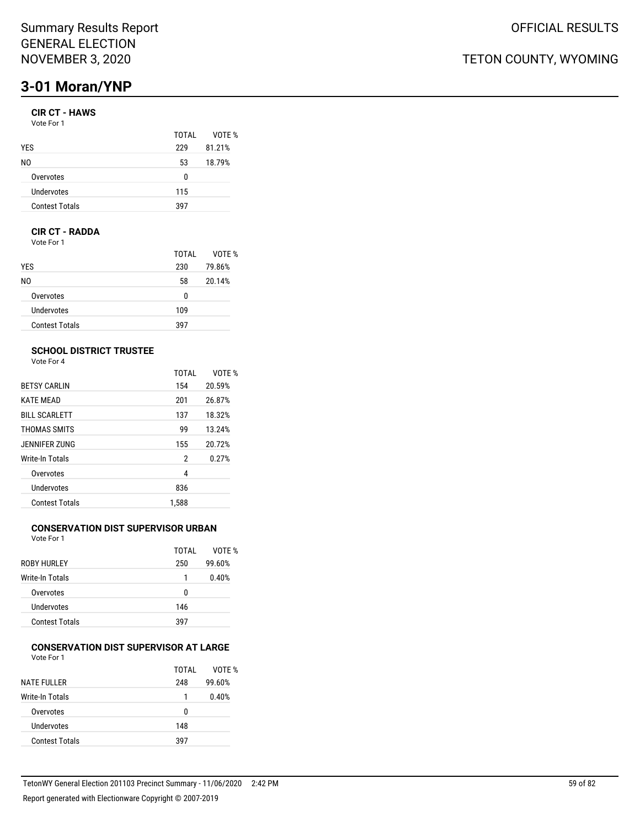# **3-01 Moran/YNP**

## **CIR CT - HAWS**

| Vote For 1 |  |
|------------|--|
|------------|--|

| TOTAI | VOTE % |
|-------|--------|
| 229   | 81.21% |
| 53    | 18.79% |
| 0     |        |
| 115   |        |
| 397   |        |
|       |        |

## **CIR CT - RADDA**

Vote For 1

|                       | TOTAL | VOTE % |
|-----------------------|-------|--------|
| <b>YES</b>            | 230   | 79.86% |
| NO.                   | 58    | 20.14% |
| Overvotes             | 0     |        |
| Undervotes            | 109   |        |
| <b>Contest Totals</b> | 397   |        |

## **SCHOOL DISTRICT TRUSTEE**

Vote For 4

|                      | <b>TOTAL</b> | VOTE % |
|----------------------|--------------|--------|
| <b>BETSY CARLIN</b>  | 154          | 20.59% |
| <b>KATE MEAD</b>     | 201          | 26.87% |
| <b>BILL SCARLETT</b> | 137          | 18.32% |
| THOMAS SMITS         | 99           | 13.24% |
| JENNIFER ZUNG        | 155          | 20.72% |
| Write-In Totals      | 2            | 0.27%  |
| Overvotes            | 4            |        |
| Undervotes           | 836          |        |
| Contest Totals       | 1.588        |        |

## **CONSERVATION DIST SUPERVISOR URBAN**

Vote For 1

|                       | TOTAI | VOTF % |
|-----------------------|-------|--------|
| ROBY HURLEY           | 250   | 99.60% |
| Write-In Totals       | 1     | 0.40%  |
| Overvotes             | U     |        |
| Undervotes            | 146   |        |
| <b>Contest Totals</b> | 397   |        |

#### **CONSERVATION DIST SUPERVISOR AT LARGE** Vote For 1

|                       | TOTAI | VOTE % |
|-----------------------|-------|--------|
| <b>NATE FULLER</b>    | 248   | 99.60% |
| Write-In Totals       | 1     | 0.40%  |
| Overvotes             | U     |        |
| Undervotes            | 148   |        |
| <b>Contest Totals</b> | 397   |        |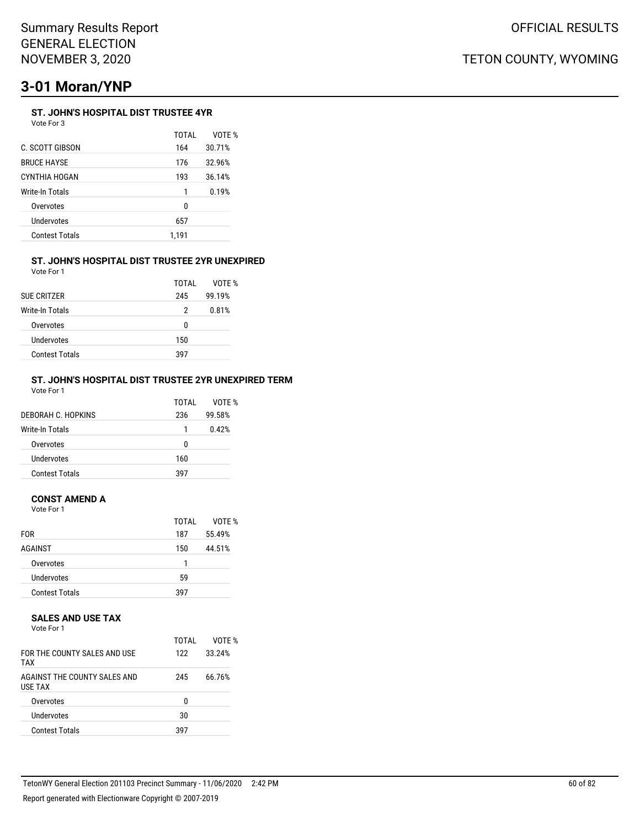# **3-01 Moran/YNP**

### **ST. JOHN'S HOSPITAL DIST TRUSTEE 4YR** Vote For 3

| .                     |              |        |
|-----------------------|--------------|--------|
|                       | <b>TOTAL</b> | VOTE % |
| C. SCOTT GIBSON       | 164          | 30.71% |
| <b>BRUCE HAYSE</b>    | 176          | 32.96% |
| CYNTHIA HOGAN         | 193          | 36.14% |
| Write-In Totals       | 1            | 0.19%  |
| Overvotes             | 0            |        |
| Undervotes            | 657          |        |
| <b>Contest Totals</b> | 1,191        |        |
|                       |              |        |

#### **ST. JOHN'S HOSPITAL DIST TRUSTEE 2YR UNEXPIRED** Vote For 1

| <b>SUE CRITZER</b>     | TOTAL<br>245 | VOTF %<br>99.19% |
|------------------------|--------------|------------------|
| <b>Write-In Totals</b> | 2            | 0.81%            |
| Overvotes              | n            |                  |
| Undervotes             | 150          |                  |
| <b>Contest Totals</b>  | 397          |                  |

#### **ST. JOHN'S HOSPITAL DIST TRUSTEE 2YR UNEXPIRED TERM** Vote For 1

|                       | TOTAI | VOTF % |
|-----------------------|-------|--------|
| DEBORAH C. HOPKINS    | 236   | 99.58% |
| Write-In Totals       |       | 0.42%  |
| Overvotes             | U     |        |
| Undervotes            | 160   |        |
| <b>Contest Totals</b> | 397   |        |

## **CONST AMEND A**

Vote For 1

|                       | TOTAL | VOTE % |
|-----------------------|-------|--------|
| <b>FOR</b>            | 187   | 55.49% |
| AGAINST               | 150   | 44.51% |
| Overvotes             | 1     |        |
| Undervotes            | 59    |        |
| <b>Contest Totals</b> | 397   |        |

### **SALES AND USE TAX**

Vote For 1

| FOR THE COUNTY SAI FS AND USE<br><b>TAX</b>    | TOTAI<br>122 | VOTE %<br>33.24% |
|------------------------------------------------|--------------|------------------|
| AGAINST THE COUNTY SALES AND<br><b>USE TAX</b> | 245          | 66.76%           |
| Overvotes                                      | U            |                  |
| Undervotes                                     | 30           |                  |
| <b>Contest Totals</b>                          | 397          |                  |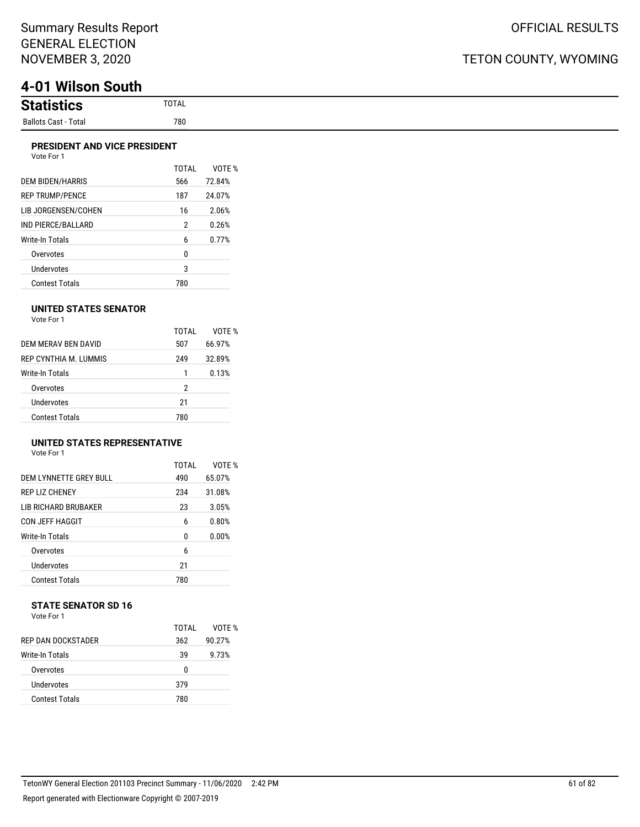# **4-01 Wilson South**

| <b>Statistion</b><br>tics |
|---------------------------|
| Ballots Cast - Total      |

## **PRESIDENT AND VICE PRESIDENT**

| FRESIDENT AND VICE FRESIDENT<br>Vote For 1 |       |        |
|--------------------------------------------|-------|--------|
|                                            | TOTAI | VOTE % |
| <b>DEM BIDEN/HARRIS</b>                    | 566   | 72.84% |
| <b>REP TRUMP/PENCE</b>                     | 187   | 24.07% |
| LIB JORGENSEN/COHEN                        | 16    | 2.06%  |
| IND PIERCE/BALLARD                         | 2     | 0.26%  |
| Write-In Totals                            | 6     | 0.77%  |
| Overvotes                                  | 0     |        |
| Undervotes                                 | 3     |        |

Contest Totals 780

### **UNITED STATES SENATOR**

| Vote For 1 |  |
|------------|--|
|            |  |

|                       | TOTAI | VOTF % |
|-----------------------|-------|--------|
| DEM MERAV BEN DAVID   | 507   | 66.97% |
| REP CYNTHIA M TUMMIS  | 249   | 32.89% |
| Write-In Totals       | 1     | 0.13%  |
| Overvotes             | 2     |        |
| Undervotes            | 21    |        |
| <b>Contest Totals</b> | 780   |        |

## **UNITED STATES REPRESENTATIVE**

Vote For 1

|                         | TOTAL | VOTF % |
|-------------------------|-------|--------|
| DEM I YNNETTE GREY BULL | 490   | 65.07% |
| <b>REP LIZ CHENEY</b>   | 234   | 31.08% |
| LIB RICHARD BRUBAKER    | 23    | 3.05%  |
| CON JEFF HAGGIT         | 6     | 0.80%  |
| Write-In Totals         | 0     | 0.00%  |
| Overvotes               | 6     |        |
| Undervotes              | 21    |        |
| <b>Contest Totals</b>   | 780   |        |

# **STATE SENATOR SD 16**

| Vote For 1 |  |  |
|------------|--|--|
|            |  |  |

|                       | TOTAL | VOTF % |
|-----------------------|-------|--------|
| REP DAN DOCKSTADER    | 362   | 90.27% |
| Write-In Totals       | 39    | 9.73%  |
| Overvotes             | 0     |        |
| Undervotes            | 379   |        |
| <b>Contest Totals</b> | 780   |        |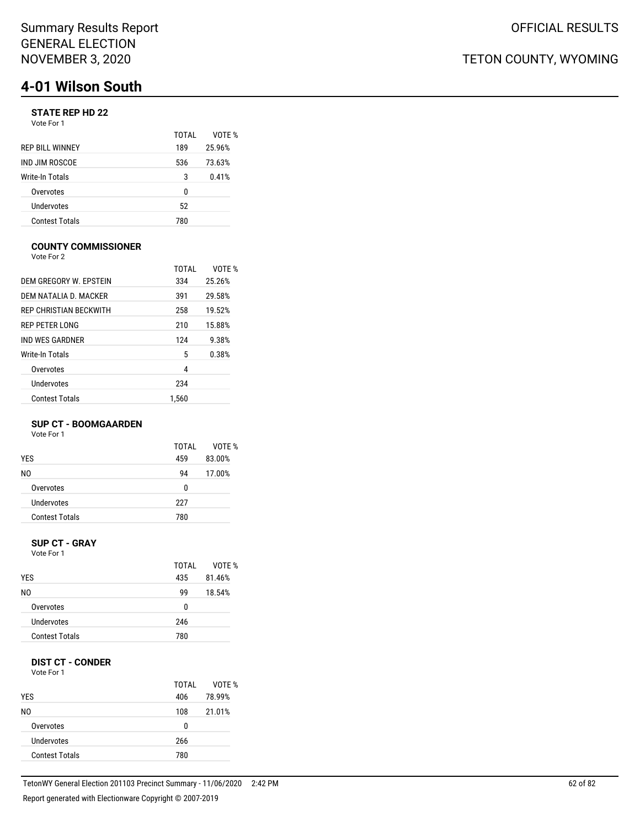## **STATE REP HD 22**

Vote For 1

|                        | TOTAI | VOTF % |
|------------------------|-------|--------|
| <b>REP BILL WINNEY</b> | 189   | 25.96% |
| IND JIM ROSCOE         | 536   | 73.63% |
| Write-In Totals        | 3     | 0.41%  |
| Overvotes              | 0     |        |
| Undervotes             | 52    |        |
| <b>Contest Totals</b>  | 780   |        |

### **COUNTY COMMISSIONER**

Vote For 2

|                        | TOTAI | VOTF % |
|------------------------|-------|--------|
| DEM GREGORY W. EPSTEIN | 334   | 25.26% |
| DEM NATALIA D. MACKER  | 391   | 29.58% |
| REP CHRISTIAN BECKWITH | 258   | 19.52% |
| REP PETER LONG         | 210   | 15.88% |
| IND WES GARDNER        | 124   | 9.38%  |
| Write-In Totals        | 5     | 0.38%  |
| Overvotes              | 4     |        |
| Undervotes             | 234   |        |
| <b>Contest Totals</b>  | 1.560 |        |

### **SUP CT - BOOMGAARDEN**

Vote For 1

|                       | TOTAI | VOTF % |
|-----------------------|-------|--------|
| <b>YES</b>            | 459   | 83.00% |
| N0                    | 94    | 17.00% |
| Overvotes             | 0     |        |
| Undervotes            | 227   |        |
| <b>Contest Totals</b> | 780   |        |
|                       |       |        |

#### **SUP CT - GRAY** Vote For 1

| <b>YES</b>            | TOTAL<br>435 | VOTE %<br>81.46% |
|-----------------------|--------------|------------------|
| N0                    | 99           | 18.54%           |
| Overvotes             | 0            |                  |
| Undervotes            | 246          |                  |
| <b>Contest Totals</b> | 780          |                  |

## **DIST CT - CONDER**

Vote For 1

|                       | TOTAI | VOTE % |
|-----------------------|-------|--------|
| <b>YES</b>            | 406   | 78.99% |
| NO.                   | 108   | 21.01% |
| Overvotes             | 0     |        |
| Undervotes            | 266   |        |
| <b>Contest Totals</b> | 780   |        |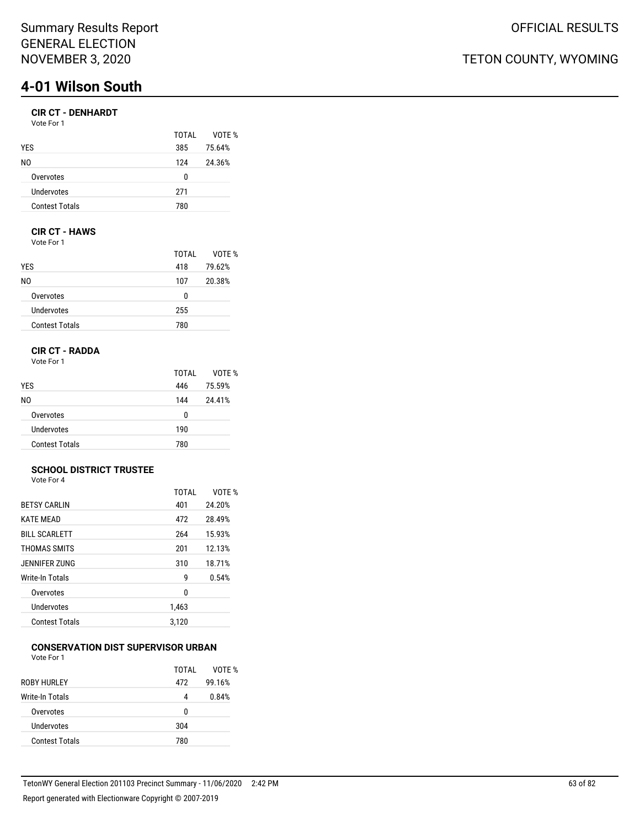## **CIR CT - DENHARDT**

| Vote For 1            |       |        |
|-----------------------|-------|--------|
|                       | TOTAL | VOTE % |
| <b>YES</b>            | 385   | 75.64% |
| N0                    | 124   | 24.36% |
| Overvotes             | 0     |        |
| Undervotes            | 271   |        |
| <b>Contest Totals</b> | 780   |        |
|                       |       |        |

## **CIR CT - HAWS**

Vote For 1

|                       | TOTAI | VOTE % |
|-----------------------|-------|--------|
| <b>YES</b>            | 418   | 79.62% |
| NO.                   | 107   | 20.38% |
| Overvotes             | 0     |        |
| Undervotes            | 255   |        |
| <b>Contest Totals</b> | 780   |        |

## **CIR CT - RADDA**

Vote For 1

|                       | TOTAI | VOTE % |
|-----------------------|-------|--------|
| <b>YES</b>            | 446   | 75.59% |
| NO.                   | 144   | 24.41% |
| Overvotes             | 0     |        |
| Undervotes            | 190   |        |
| <b>Contest Totals</b> | 780   |        |

#### **SCHOOL DISTRICT TRUSTEE** Vote For 4

|                       | TOTAL | VOTF % |
|-----------------------|-------|--------|
| <b>BETSY CARLIN</b>   | 401   | 24.20% |
| <b>KATE MEAD</b>      | 472   | 28.49% |
| <b>BILL SCARLETT</b>  | 264   | 15.93% |
| THOMAS SMITS          | 201   | 12.13% |
| JENNIFER ZUNG         | 310   | 18.71% |
| Write-In Totals       | g     | 0.54%  |
| Overvotes             | 0     |        |
| Undervotes            | 1,463 |        |
| <b>Contest Totals</b> | 3.120 |        |

#### **CONSERVATION DIST SUPERVISOR URBAN** Vote For 1

| .                     |       |        |
|-----------------------|-------|--------|
|                       | TOTAI | VOTE % |
| ROBY HURLEY           | 472   | 99.16% |
| Write-In Totals       | 4     | 0.84%  |
| Overvotes             | U     |        |
| Undervotes            | 304   |        |
| <b>Contest Totals</b> | 780   |        |
|                       |       |        |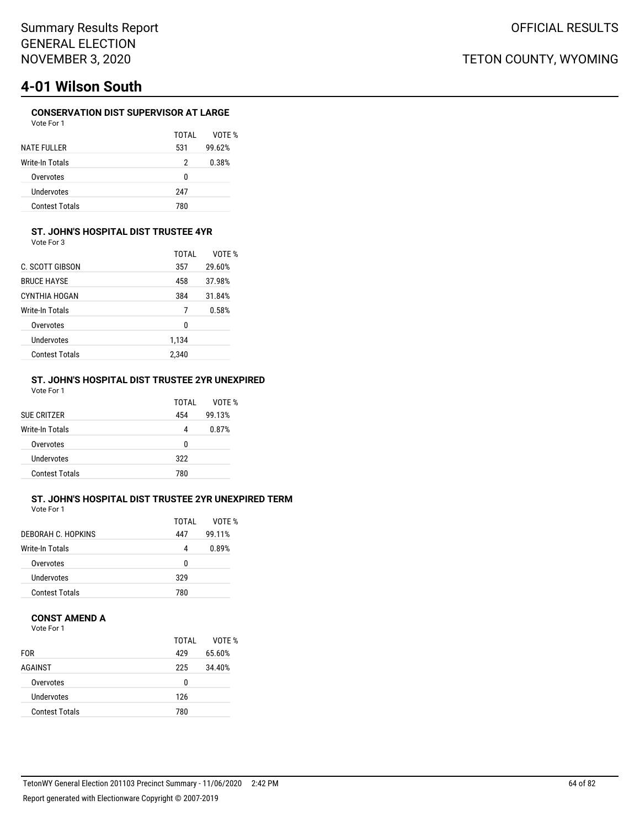## **CONSERVATION DIST SUPERVISOR AT LARGE**

| Vote For 1            |       |        |
|-----------------------|-------|--------|
|                       | TOTAI | VOTF % |
| <b>NATE FULLER</b>    | 531   | 99.62% |
| Write-In Totals       | 2     | 0.38%  |
| Overvotes             | 0     |        |
| Undervotes            | 247   |        |
| <b>Contest Totals</b> | 780   |        |
|                       |       |        |

## **ST. JOHN'S HOSPITAL DIST TRUSTEE 4YR**

Vote For 3

|                       | TOTAI | VOTF % |
|-----------------------|-------|--------|
| C. SCOTT GIBSON       | 357   | 29.60% |
| <b>BRUCE HAYSE</b>    | 458   | 37.98% |
| CYNTHIA HOGAN         | 384   | 31.84% |
| Write-In Totals       | 7     | 0.58%  |
| Overvotes             | 0     |        |
| Undervotes            | 1,134 |        |
| <b>Contest Totals</b> | 2,340 |        |

#### **ST. JOHN'S HOSPITAL DIST TRUSTEE 2YR UNEXPIRED** Vote For 1

| SUE CRITZER            | TOTAI<br>454 | VOTF %<br>99.13% |
|------------------------|--------------|------------------|
| <b>Write-In Totals</b> | 4            | 0.87%            |
| Overvotes              | 0            |                  |
| Undervotes             | 322          |                  |
| <b>Contest Totals</b>  | 780          |                  |

## **ST. JOHN'S HOSPITAL DIST TRUSTEE 2YR UNEXPIRED TERM**

Vote For 1

|                       | TOTAL | VOTF % |
|-----------------------|-------|--------|
| DEBORAH C. HOPKINS    | 447   | 99.11% |
| Write-In Totals       | 4     | 0.89%  |
| Overvotes             | n     |        |
| Undervotes            | 329   |        |
| <b>Contest Totals</b> | 780   |        |

### **CONST AMEND A**

Vote For 1

|                       | TOTAI | VOTF % |
|-----------------------|-------|--------|
| <b>FOR</b>            | 429   | 65.60% |
| AGAINST               | 225   | 34.40% |
| Overvotes             | 0     |        |
| Undervotes            | 126   |        |
| <b>Contest Totals</b> | 780   |        |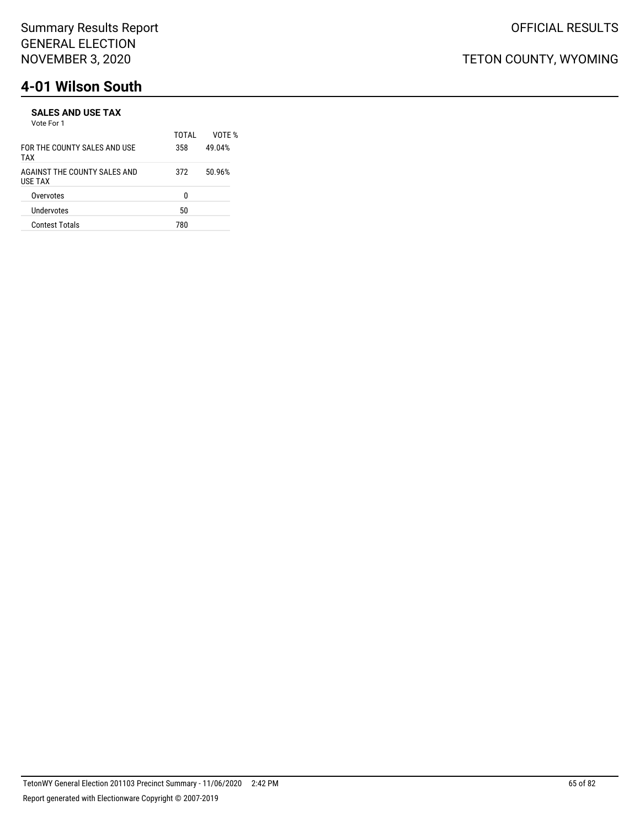#### **SALES AND USE TAX** Vote For 1

|                                         | TOTAI | VOTF % |
|-----------------------------------------|-------|--------|
| FOR THE COUNTY SALES AND USE<br>TAX     | 358   | 49.04% |
| AGAINST THE COUNTY SALES AND<br>USE TAX | 372   | 50.96% |
| Overvotes                               | n     |        |
| Undervotes                              | 50    |        |
| <b>Contest Totals</b>                   | 780   |        |
|                                         |       |        |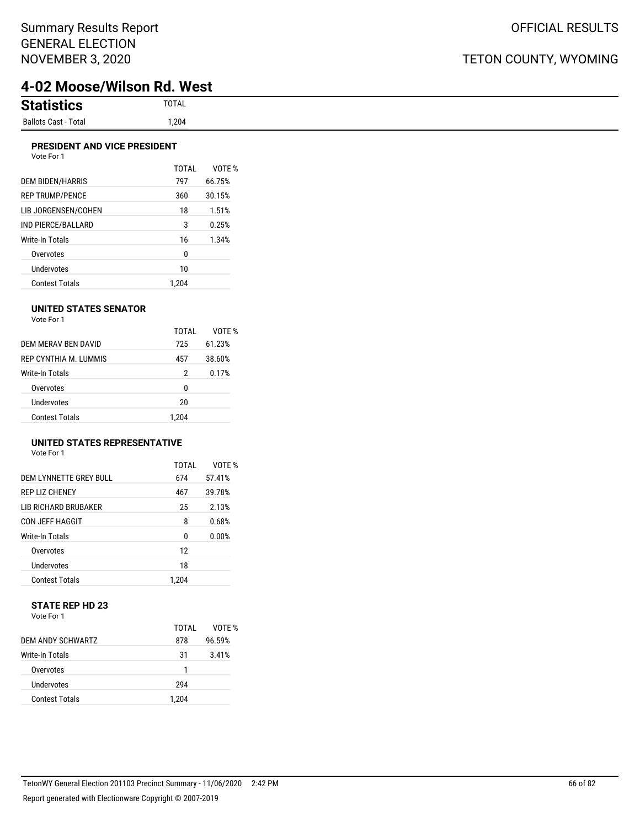# **4-02 Moose/Wilson Rd. West**

## **PRESIDENT AND VICE PRESIDENT**

| Vote For 1            |       |        |
|-----------------------|-------|--------|
|                       | TOTAI | VOTE % |
| DEM BIDEN/HARRIS      | 797   | 66.75% |
| REP TRUMP/PENCE       | 360   | 30.15% |
| LIB JORGENSEN/COHEN   | 18    | 1.51%  |
| IND PIERCE/BALLARD    | 3     | 0.25%  |
| Write-In Totals       | 16    | 1.34%  |
| Overvotes             | 0     |        |
| Undervotes            | 10    |        |
| <b>Contest Totals</b> | 1.204 |        |

### **UNITED STATES SENATOR**

| Vote For 1 |  |
|------------|--|
|            |  |

|                       | TOTAI | VOTF % |
|-----------------------|-------|--------|
| DEM MERAV BEN DAVID   | 725   | 61.23% |
| REP CYNTHIA M. LUMMIS | 457   | 38.60% |
| Write-In Totals       | 2     | 0.17%  |
| Overvotes             | 0     |        |
| Undervotes            | 20    |        |
| <b>Contest Totals</b> | 1.204 |        |

## **UNITED STATES REPRESENTATIVE**

Vote For 1

|                        | TOTAL | VOTF % |
|------------------------|-------|--------|
| DEM LYNNETTE GREY BULL | 674   | 57.41% |
| <b>REP LIZ CHENEY</b>  | 467   | 39.78% |
| I IB RICHARD BRUBAKER  | 25    | 2.13%  |
| <b>CON JEFF HAGGIT</b> | 8     | 0.68%  |
| Write-In Totals        | 0     | 0.00%  |
| Overvotes              | 12    |        |
| Undervotes             | 18    |        |
| Contest Totals         | 1.204 |        |

### **STATE REP HD 23** Vote For 1

|                       | TOTAI | VOTF % |
|-----------------------|-------|--------|
| DEM ANDY SCHWARTZ     | 878   | 96.59% |
| Write-In Totals       | 31    | 3.41%  |
| Overvotes             |       |        |
| Undervotes            | 294   |        |
| <b>Contest Totals</b> | 1.204 |        |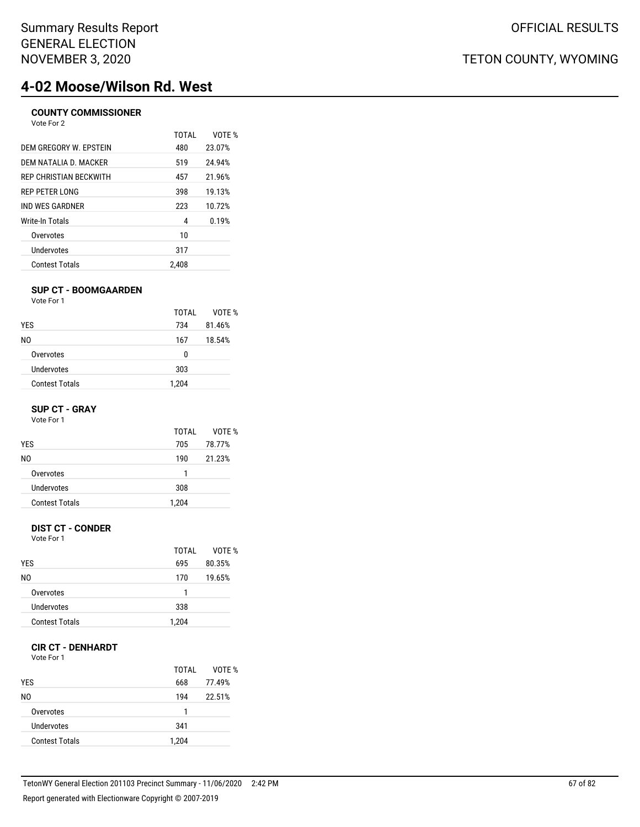# **4-02 Moose/Wilson Rd. West**

## **COUNTY COMMISSIONER**

| TOTAL | VOTF % |
|-------|--------|
| 480   | 23.07% |
| 519   | 24.94% |
| 457   | 21.96% |
| 398   | 19.13% |
| 223   | 10.72% |
| 4     | 0.19%  |
| 10    |        |
| 317   |        |
| 2.408 |        |
|       |        |

### **SUP CT - BOOMGAARDEN**

Vote For 1

|                       | TOTAI | VOTE % |
|-----------------------|-------|--------|
| <b>YES</b>            | 734   | 81.46% |
| NO.                   | 167   | 18.54% |
| Overvotes             | 0     |        |
| Undervotes            | 303   |        |
| <b>Contest Totals</b> | 1,204 |        |

### **SUP CT - GRAY**

Vote For 1

|                       | TOTAI | VOTE % |
|-----------------------|-------|--------|
| <b>YES</b>            | 705   | 78.77% |
| N0                    | 190   | 21.23% |
| Overvotes             |       |        |
| Undervotes            | 308   |        |
| <b>Contest Totals</b> | 1,204 |        |

## **DIST CT - CONDER**

Vote For 1

|                       | TOTAI | VOTF % |
|-----------------------|-------|--------|
| <b>YES</b>            | 695   | 80.35% |
| NO.                   | 170   | 19.65% |
| Overvotes             | 1     |        |
| Undervotes            | 338   |        |
| <b>Contest Totals</b> | 1,204 |        |

## **CIR CT - DENHARDT**

Vote For 1

| <b>YES</b>            | TOTAL<br>668 | VOTE %<br>77.49% |
|-----------------------|--------------|------------------|
| N0                    | 194          | 22.51%           |
| Overvotes             | 1            |                  |
| Undervotes            | 341          |                  |
| <b>Contest Totals</b> | 1,204        |                  |

OFFICIAL RESULTS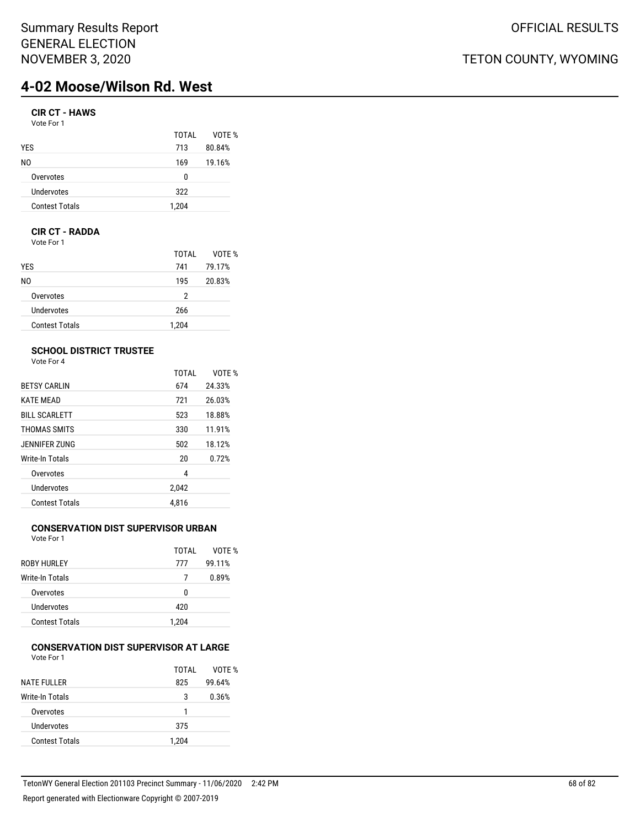# **4-02 Moose/Wilson Rd. West**

## **CIR CT - HAWS**

| Vote For 1 |  |  |
|------------|--|--|
|------------|--|--|

| TOTAI | VOTF % |
|-------|--------|
| 713   | 80.84% |
| 169   | 19.16% |
| n     |        |
| 322   |        |
| 1,204 |        |
|       |        |

## **CIR CT - RADDA**

Vote For 1

|                       | TOTAI | VOTE % |
|-----------------------|-------|--------|
| <b>YES</b>            | 741   | 79.17% |
| NO.                   | 195   | 20.83% |
| Overvotes             | 2     |        |
| Undervotes            | 266   |        |
| <b>Contest Totals</b> | 1,204 |        |

## **SCHOOL DISTRICT TRUSTEE**

Vote For 4

|                       | <b>TOTAL</b> | VOTE % |
|-----------------------|--------------|--------|
| <b>BETSY CARLIN</b>   | 674          | 24.33% |
| <b>KATE MEAD</b>      | 721          | 26.03% |
| <b>BILL SCARLETT</b>  | 523          | 18.88% |
| THOMAS SMITS          | 330          | 11.91% |
| JENNIFER ZUNG         | 502          | 18.12% |
| Write-In Totals       | 20           | 0.72%  |
| Overvotes             | 4            |        |
| Undervotes            | 2,042        |        |
| <b>Contest Totals</b> | 4.816        |        |

## **CONSERVATION DIST SUPERVISOR URBAN**

Vote For 1

|                        | TOTAI | VOTF % |
|------------------------|-------|--------|
| <b>ROBY HURLEY</b>     | 777   | 99.11% |
| <b>Write-In Totals</b> | 7     | 0.89%  |
| Overvotes              | U     |        |
| Undervotes             | 420   |        |
| <b>Contest Totals</b>  | 1.204 |        |

#### **CONSERVATION DIST SUPERVISOR AT LARGE** Vote For 1

|                       | TOTAI | VOTE % |
|-----------------------|-------|--------|
| <b>NATE FULLER</b>    | 825   | 99.64% |
| Write-In Totals       | 3     | 0.36%  |
| Overvotes             |       |        |
| Undervotes            | 375   |        |
| <b>Contest Totals</b> | 1.204 |        |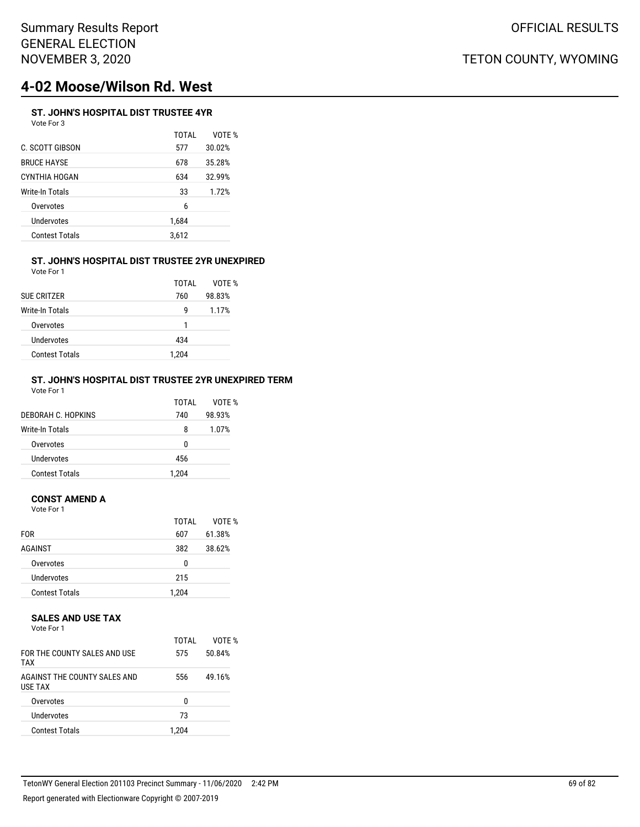# **4-02 Moose/Wilson Rd. West**

#### **ST. JOHN'S HOSPITAL DIST TRUSTEE 4YR** Vote For 3

|                       | TOTAL | VOTE % |
|-----------------------|-------|--------|
| C. SCOTT GIBSON       | 577   | 30.02% |
| <b>BRUCE HAYSE</b>    | 678   | 35.28% |
| CYNTHIA HOGAN         | 634   | 32.99% |
| Write-In Totals       | 33    | 1.72%  |
| Overvotes             | 6     |        |
| <b>Undervotes</b>     | 1,684 |        |
| <b>Contest Totals</b> | 3,612 |        |
|                       |       |        |

### **ST. JOHN'S HOSPITAL DIST TRUSTEE 2YR UNEXPIRED** Vote For 1

| <b>SUE CRITZER</b>     | TOTAI<br>760 | VOTF %<br>98.83% |
|------------------------|--------------|------------------|
| <b>Write-In Totals</b> | q            | 1.17%            |
| Overvotes              | 1            |                  |
| Undervotes             | 434          |                  |
| <b>Contest Totals</b>  | 1.204        |                  |

### **ST. JOHN'S HOSPITAL DIST TRUSTEE 2YR UNEXPIRED TERM** Vote For 1

| DEBORAH C. HOPKINS    | TOTAI<br>740 | VOTF %<br>98.93% |
|-----------------------|--------------|------------------|
| Write-In Totals       | 8            | 1.07%            |
| Overvotes             | 0            |                  |
| Undervotes            | 456          |                  |
| <b>Contest Totals</b> | 1.204        |                  |

## **CONST AMEND A**

Vote For 1

|                       | TOTAI | VOTE % |
|-----------------------|-------|--------|
| <b>FOR</b>            | 607   | 61.38% |
| AGAINST               | 382   | 38.62% |
| Overvotes             | 0     |        |
| Undervotes            | 215   |        |
| <b>Contest Totals</b> | 1,204 |        |

### **SALES AND USE TAX**

Vote For 1

| FOR THE COUNTY SALES AND USE<br>TAX            | TOTAI<br>575 | VOTF %<br>50.84% |
|------------------------------------------------|--------------|------------------|
| AGAINST THE COUNTY SALES AND<br><b>USE TAX</b> | 556          | 49.16%           |
| Overvotes                                      | n            |                  |
| <b>Undervotes</b>                              | 73           |                  |
| <b>Contest Totals</b>                          | 1.204        |                  |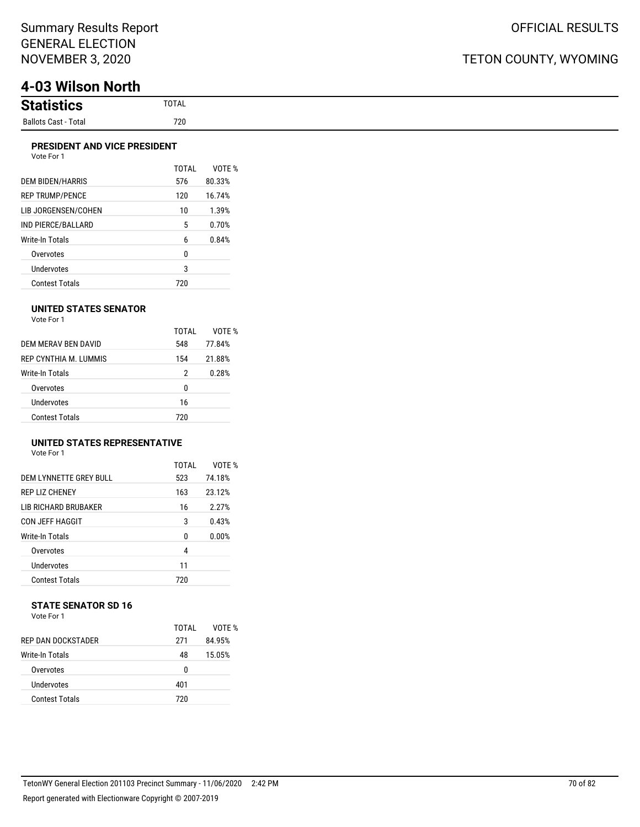# **4-03 Wilson North**

| <b>Statistion</b><br>tics |
|---------------------------|
| Ballots Cast - Total      |

### **PRESIDENT AND VICE PRESIDENT**

|                         | TOTAI | VOTF % |
|-------------------------|-------|--------|
| <b>DEM BIDEN/HARRIS</b> | 576   | 80.33% |
| <b>REP TRUMP/PENCE</b>  | 120   | 16.74% |
| LIB JORGENSEN/COHEN     | 10    | 1.39%  |
| IND PIERCE/BALLARD      | 5     | 0.70%  |
| Write-In Totals         | 6     | 0.84%  |
| Overvotes               | 0     |        |
| Undervotes              | 3     |        |
| <b>Contest Totals</b>   | 720   |        |

### **UNITED STATES SENATOR**

Vote For 1

|                       | TOTAI | VOTF % |
|-----------------------|-------|--------|
| DEM MERAV BEN DAVID   | 548   | 77.84% |
| REP CYNTHIA M. LUMMIS | 154   | 21.88% |
| Write-In Totals       | 2     | 0.28%  |
| Overvotes             | 0     |        |
| Undervotes            | 16    |        |
| <b>Contest Totals</b> | 720   |        |

## **UNITED STATES REPRESENTATIVE**

Vote For 1

|                         | TOTAL        | VOTF % |
|-------------------------|--------------|--------|
| DEM I YNNETTE GREY BULL | 523          | 74.18% |
| <b>REP LIZ CHENEY</b>   | 163          | 23.12% |
| LIB RICHARD BRUBAKER    | 16           | 2.27%  |
| CON JEFF HAGGIT         | 3            | 0.43%  |
| Write-In Totals         | <sup>0</sup> | 0.00%  |
| Overvotes               | 4            |        |
| Undervotes              | 11           |        |
| <b>Contest Totals</b>   | 720          |        |

# **STATE SENATOR SD 16**

| Vote For 1 |  |  |
|------------|--|--|
|            |  |  |

|                       | TOTAL | VOTF % |
|-----------------------|-------|--------|
| REP DAN DOCKSTADER    | 271   | 84.95% |
| Write-In Totals       | 48    | 15.05% |
| Overvotes             | 0     |        |
| Undervotes            | 401   |        |
| <b>Contest Totals</b> | 720   |        |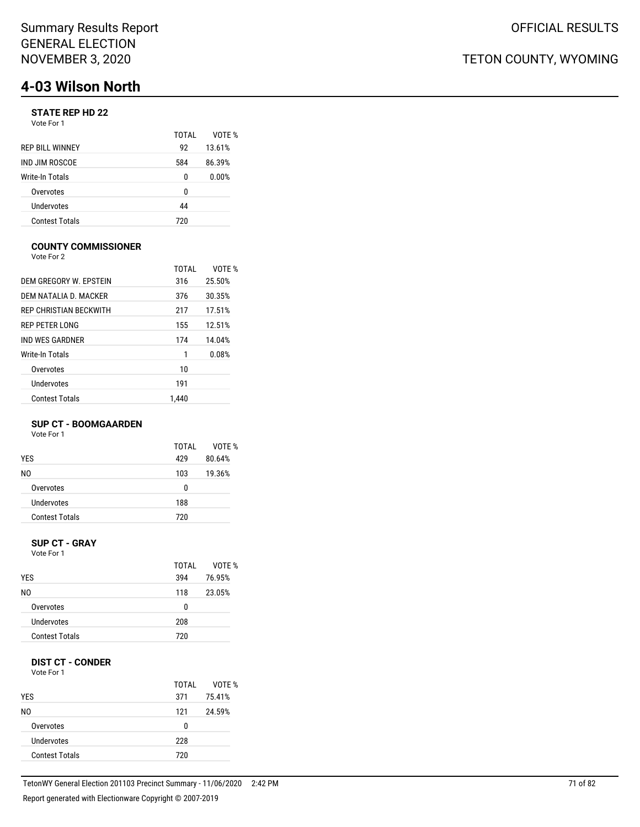# **4-03 Wilson North**

## **STATE REP HD 22**

Vote For 1

|                        | TOTAI | VOTF % |
|------------------------|-------|--------|
| <b>REP BILL WINNEY</b> | 92    | 13.61% |
| IND JIM ROSCOE         | 584   | 86.39% |
| Write-In Totals        | 0     | 0.00%  |
| Overvotes              | 0     |        |
| Undervotes             | 44    |        |
| <b>Contest Totals</b>  | 720   |        |

### **COUNTY COMMISSIONER**

Vote For 2

|                        | TOTAI | VOTE % |
|------------------------|-------|--------|
| DEM GREGORY W. EPSTEIN | 316   | 25.50% |
| DEM NATALIA D. MACKER  | 376   | 30.35% |
| REP CHRISTIAN BECKWITH | 217   | 17.51% |
| <b>REP PETER LONG</b>  | 155   | 12.51% |
| IND WES GARDNER        | 174   | 14.04% |
| Write-In Totals        | 1     | 0.08%  |
| Overvotes              | 10    |        |
| Undervotes             | 191   |        |
| Contest Totals         | 1.440 |        |

### **SUP CT - BOOMGAARDEN**

Vote For 1

|                       | TOTAI | VOTF % |
|-----------------------|-------|--------|
| <b>YES</b>            | 429   | 80.64% |
| N0                    | 103   | 19.36% |
| Overvotes             | 0     |        |
| Undervotes            | 188   |        |
| <b>Contest Totals</b> | 720   |        |
|                       |       |        |

#### **SUP CT - GRAY** Vote For 1

| <b>YES</b>            | TOTAL<br>394 | VOTE %<br>76.95% |
|-----------------------|--------------|------------------|
| N0                    | 118          | 23.05%           |
| Overvotes             | 0            |                  |
| Undervotes            | 208          |                  |
| <b>Contest Totals</b> | 720          |                  |

## **DIST CT - CONDER**

Vote For 1

|                       | TOTAI | VOTE % |
|-----------------------|-------|--------|
| <b>YES</b>            | 371   | 75.41% |
| NO.                   | 121   | 24.59% |
| Overvotes             | 0     |        |
| Undervotes            | 228   |        |
| <b>Contest Totals</b> | 720   |        |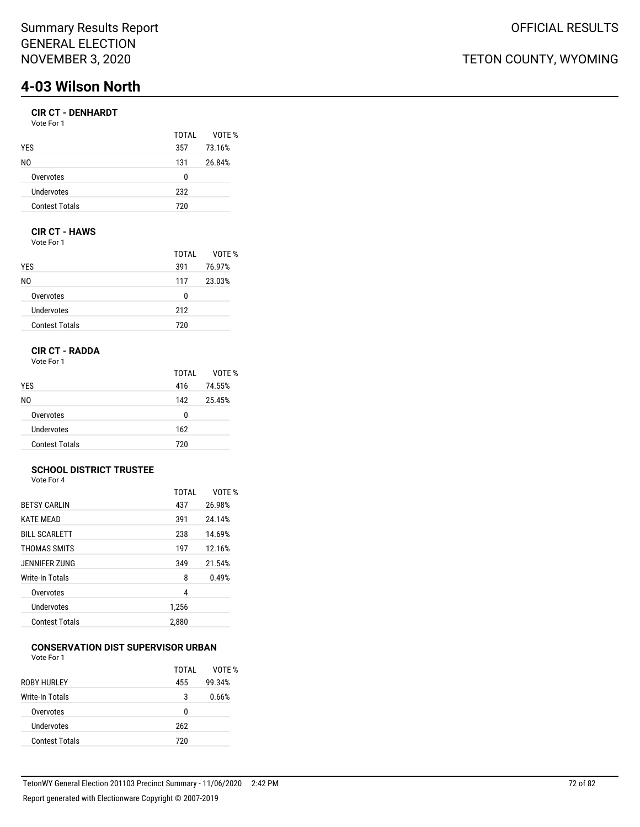# **4-03 Wilson North**

## **CIR CT - DENHARDT**

| Vote For 1            |       |        |
|-----------------------|-------|--------|
|                       | TOTAL | VOTE % |
| <b>YES</b>            | 357   | 73.16% |
| N0                    | 131   | 26.84% |
| Overvotes             | n     |        |
| Undervotes            | 232   |        |
| <b>Contest Totals</b> | 720   |        |

## **CIR CT - HAWS**

Vote For 1

|                       | TOTAL | VOTE % |
|-----------------------|-------|--------|
| <b>YES</b>            | 391   | 76.97% |
| N0                    | 117   | 23.03% |
| Overvotes             | 0     |        |
| Undervotes            | 212   |        |
| <b>Contest Totals</b> | 720   |        |

## **CIR CT - RADDA**

Vote For 1

|                       | TOTAI | VOTE % |
|-----------------------|-------|--------|
| <b>YES</b>            | 416   | 74.55% |
| NO.                   | 142   | 25.45% |
| Overvotes             | 0     |        |
| Undervotes            | 162   |        |
| <b>Contest Totals</b> | 720   |        |

#### **SCHOOL DISTRICT TRUSTEE** Vote For 4

|                       | <b>TOTAL</b> | VOTF % |
|-----------------------|--------------|--------|
| <b>BETSY CARLIN</b>   | 437          | 26.98% |
| <b>KATE MEAD</b>      | 391          | 24.14% |
| <b>BILL SCARLETT</b>  | 238          | 14.69% |
| THOMAS SMITS          | 197          | 12.16% |
| JENNIFER ZUNG         | 349          | 21.54% |
| Write-In Totals       | 8            | 0.49%  |
| Overvotes             | 4            |        |
| Undervotes            | 1,256        |        |
| <b>Contest Totals</b> | 2,880        |        |

#### **CONSERVATION DIST SUPERVISOR URBAN** Vote For 1

|                       | TOTAI | VOTF % |
|-----------------------|-------|--------|
| <b>ROBY HURLEY</b>    | 455   | 99.34% |
| Write-In Totals       | 3     | 0.66%  |
| Overvotes             | 0     |        |
| Undervotes            | 262   |        |
| <b>Contest Totals</b> | 720   |        |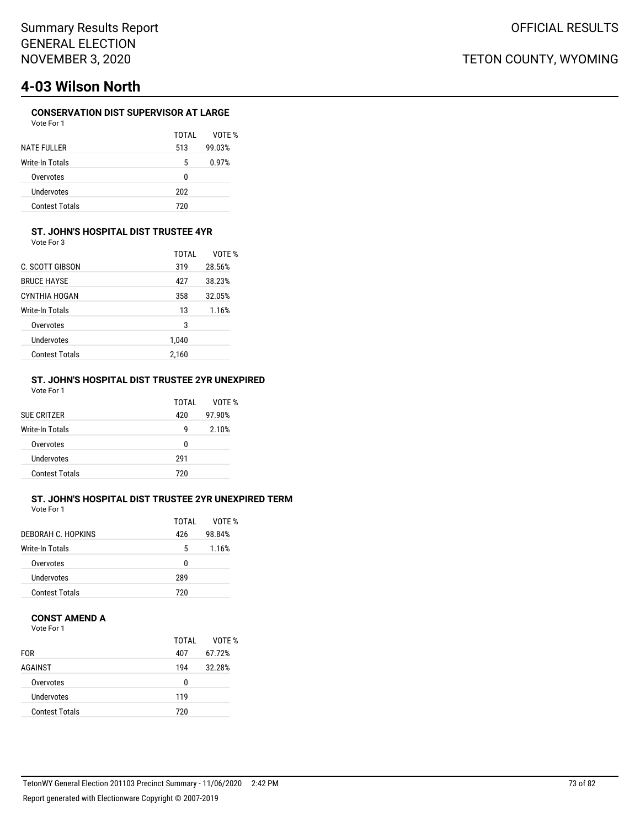# **4-03 Wilson North**

### **CONSERVATION DIST SUPERVISOR AT LARGE**

| Vote For 1            |       |        |
|-----------------------|-------|--------|
|                       | TOTAI | VOTF % |
| <b>NATE FULLER</b>    | 513   | 99.03% |
| Write-In Totals       | 5     | 0.97%  |
| Overvotes             | ŋ     |        |
| Undervotes            | 202   |        |
| <b>Contest Totals</b> | 720   |        |

### **ST. JOHN'S HOSPITAL DIST TRUSTEE 4YR**

Vote For 3

|                       | TOTAI | VOTE % |
|-----------------------|-------|--------|
| C. SCOTT GIBSON       | 319   | 28.56% |
| <b>BRUCE HAYSE</b>    | 427   | 38.23% |
| CYNTHIA HOGAN         | 358   | 32.05% |
| Write-In Totals       | 13    | 1.16%  |
| Overvotes             | 3     |        |
| Undervotes            | 1.040 |        |
| <b>Contest Totals</b> | 2.160 |        |

#### **ST. JOHN'S HOSPITAL DIST TRUSTEE 2YR UNEXPIRED** Vote For 1

| SUE CRITZER           | TOTAI<br>420 | VOTF %<br>97.90% |
|-----------------------|--------------|------------------|
| Write-In Totals       | g            | 2.10%            |
| Overvotes             | 0            |                  |
| Undervotes            | 291          |                  |
| <b>Contest Totals</b> | 720          |                  |

### **ST. JOHN'S HOSPITAL DIST TRUSTEE 2YR UNEXPIRED TERM**

Vote For 1

|                       | TOTAI | VOTF % |
|-----------------------|-------|--------|
| DEBORAH C. HOPKINS    | 426   | 98.84% |
| Write-In Totals       | 5     | 1.16%  |
| Overvotes             | n     |        |
| Undervotes            | 289   |        |
| <b>Contest Totals</b> | 720   |        |

#### **CONST AMEND A**

Vote For 1

|                       | TOTAI | VOTE % |
|-----------------------|-------|--------|
| <b>FOR</b>            | 407   | 67.72% |
| AGAINST               | 194   | 32.28% |
| Overvotes             | 0     |        |
| Undervotes            | 119   |        |
| <b>Contest Totals</b> | 720   |        |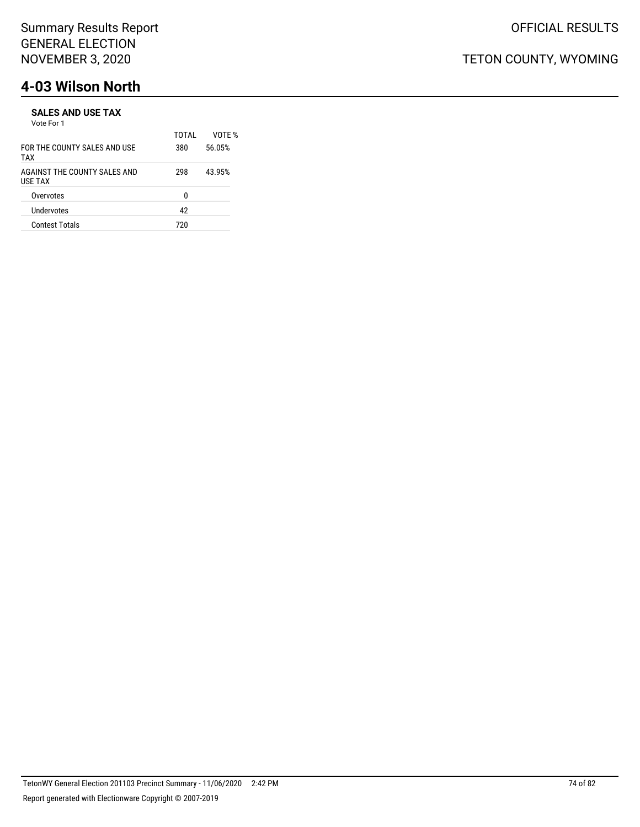# **4-03 Wilson North**

#### **SALES AND USE TAX** Vote For 1

|                                         | TOTAI | VOTF % |
|-----------------------------------------|-------|--------|
| FOR THE COUNTY SALES AND USE<br>TAX     | 380   | 56.05% |
| AGAINST THE COUNTY SALES AND<br>USE TAX | 298   | 43.95% |
| Overvotes                               | n     |        |
| Undervotes                              | 42    |        |
| <b>Contest Totals</b>                   | 720   |        |
|                                         |       |        |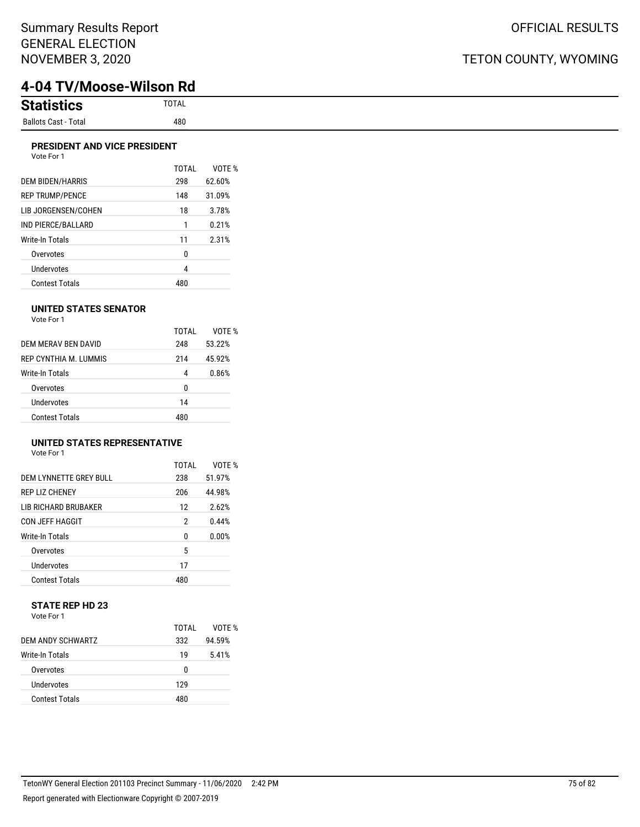## TETON COUNTY, WYOMING

## **4-04 TV/Moose-Wilson Rd**

| <b>Statistics</b><br>้าแนว | <b>TOTAL</b> |
|----------------------------|--------------|
| Ballots Cast - Total       | 480          |

#### **PRESIDENT AND VICE PRESIDENT** Vote For 1

|                         | TOTAI | VOTF % |
|-------------------------|-------|--------|
| <b>DEM BIDEN/HARRIS</b> | 298   | 62.60% |
| <b>REP TRUMP/PENCE</b>  | 148   | 31.09% |
| LIB JORGENSEN/COHEN     | 18    | 3.78%  |
| IND PIERCE/BALLARD      | 1     | 0.21%  |
| <b>Write-In Totals</b>  | 11    | 2.31%  |
| Overvotes               | 0     |        |
| <b>Undervotes</b>       | 4     |        |
| <b>Contest Totals</b>   | 480   |        |

#### **UNITED STATES SENATOR**

| Vote For 1 |  |
|------------|--|
|            |  |

|                       | TOTAI | VOTF % |
|-----------------------|-------|--------|
| DEM MERAV BEN DAVID   | 248   | 53.22% |
| REP CYNTHIA M TUMMIS  | 214   | 45.92% |
| Write-In Totals       | 4     | 0.86%  |
| Overvotes             | 0     |        |
| Undervotes            | 14    |        |
| <b>Contest Totals</b> | 480   |        |

#### **UNITED STATES REPRESENTATIVE**

Vote For 1

|                             | TOTAL | VOTF % |
|-----------------------------|-------|--------|
| DEM LYNNETTE GREY BULL      | 238   | 51.97% |
| <b>REP LIZ CHENEY</b>       | 206   | 44.98% |
| <b>LIB RICHARD BRUBAKER</b> | 12    | 2.62%  |
| <b>CON JEFF HAGGIT</b>      | 2     | 0.44%  |
| Write-In Totals             | 0     | 0.00%  |
| Overvotes                   | 5     |        |
| <b>Undervotes</b>           | 17    |        |
| <b>Contest Totals</b>       | 480   |        |

#### **STATE REP HD 23** Vote For 1

|                       | TOTAI | VOTF % |
|-----------------------|-------|--------|
| DEM ANDY SCHWARTZ     | 332   | 94.59% |
| Write-In Totals       | 19    | 5.41%  |
| Overvotes             | n     |        |
| Undervotes            | 129   |        |
| <b>Contest Totals</b> | 480   |        |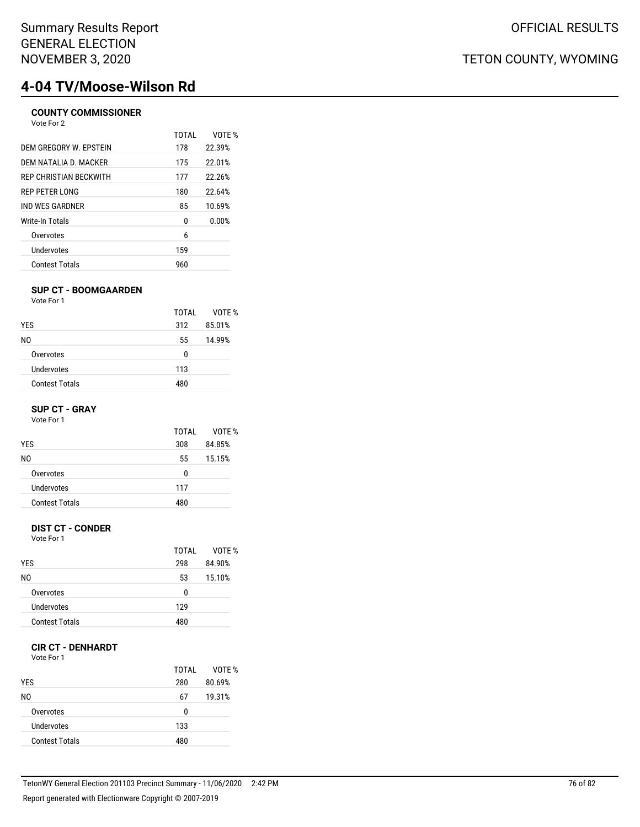# **4-04 TV/Moose-Wilson Rd**

#### **COUNTY COMMISSIONER** Vote For 2

| $V = F \cup V$                |       |        |
|-------------------------------|-------|--------|
|                               | TOTAI | VOTF % |
| DEM GREGORY W. EPSTEIN        | 178   | 22.39% |
| DEM NATALIA D. MACKER         | 175   | 22.01% |
| <b>REP CHRISTIAN BECKWITH</b> | 177   | 22.26% |
| REP PETER LONG                | 180   | 22.64% |
| IND WES GARDNER               | 85    | 10.69% |
| Write-In Totals               | 0     | 0.00%  |
| Overvotes                     | 6     |        |
| Undervotes                    | 159   |        |
| <b>Contest Totals</b>         | 960   |        |

#### **SUP CT - BOOMGAARDEN**

Vote For 1

|                       | TOTAI | VOTE % |
|-----------------------|-------|--------|
| <b>YES</b>            | 312   | 85.01% |
| NO.                   | 55    | 14.99% |
| Overvotes             | 0     |        |
| Undervotes            | 113   |        |
| <b>Contest Totals</b> | 480   |        |

#### **SUP CT - GRAY**

Vote For 1

|                       | TOTAI | VOTF % |
|-----------------------|-------|--------|
| <b>YES</b>            | 308   | 84.85% |
| N0                    | 55    | 15.15% |
| Overvotes             | 0     |        |
| Undervotes            | 117   |        |
| <b>Contest Totals</b> | 480   |        |
|                       |       |        |

#### **DIST CT - CONDER**

Vote For 1

|            |                       | TOTAI | VOTE % |
|------------|-----------------------|-------|--------|
| <b>YES</b> |                       | 298   | 84.90% |
| N0         |                       | 53    | 15.10% |
|            | Overvotes             | 0     |        |
|            | Undervotes            | 129   |        |
|            | <b>Contest Totals</b> | 480   |        |
|            |                       |       |        |

#### **CIR CT - DENHARDT**

Vote For 1

| <b>YES</b>            | TOTAI<br>280 | VOTE %<br>80.69% |
|-----------------------|--------------|------------------|
| N0                    | 67           | 19.31%           |
| Overvotes             | 0            |                  |
| Undervotes            | 133          |                  |
| <b>Contest Totals</b> | 480          |                  |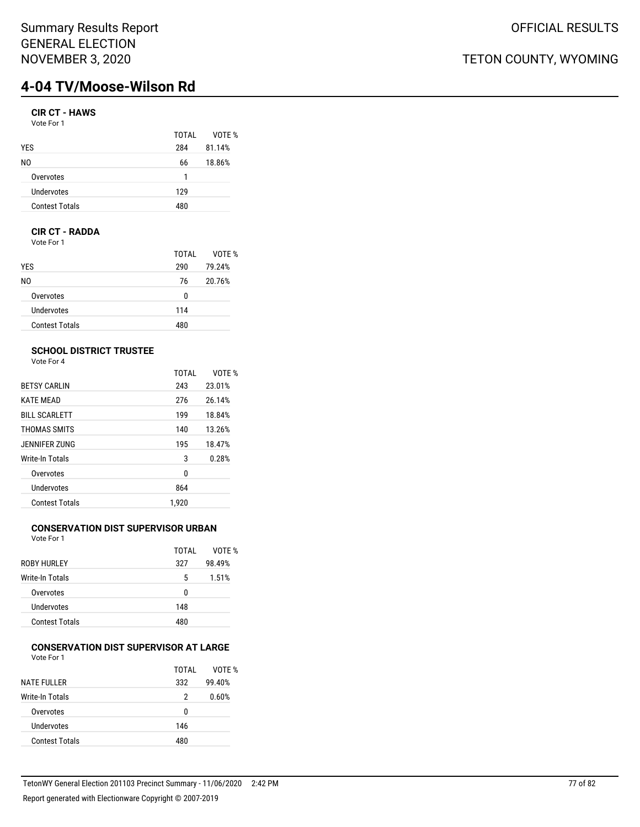## Summary Results Report GENERAL ELECTION NOVEMBER 3, 2020

# **4-04 TV/Moose-Wilson Rd**

### **CIR CT - HAWS**

| Vote For 1 |  |
|------------|--|
|------------|--|

|     | VOTE % |
|-----|--------|
| 284 | 81.14% |
| 66  | 18.86% |
| 1   |        |
| 129 |        |
| 480 |        |
|     | TOTAL  |

#### **CIR CT - RADDA**

Vote For 1

|                       | TOTAL | VOTE % |
|-----------------------|-------|--------|
| <b>YES</b>            | 290   | 79.24% |
| N0                    | 76    | 20.76% |
| Overvotes             | 0     |        |
| Undervotes            | 114   |        |
| <b>Contest Totals</b> | 480   |        |

## **SCHOOL DISTRICT TRUSTEE**

Vote For 4

|                       | <b>TOTAL</b> | VOTF % |
|-----------------------|--------------|--------|
| <b>BETSY CARLIN</b>   | 243          | 23.01% |
| <b>KATE MEAD</b>      | 276          | 26.14% |
| <b>BILL SCARLETT</b>  | 199          | 18.84% |
| THOMAS SMITS          | 140          | 13.26% |
| JENNIFER ZUNG         | 195          | 18.47% |
| Write-In Totals       | 3            | 0.28%  |
| Overvotes             | 0            |        |
| <b>Undervotes</b>     | 864          |        |
| <b>Contest Totals</b> | 1.920        |        |
|                       |              |        |

## **CONSERVATION DIST SUPERVISOR URBAN**

Vote For 1

|                       | TOTAI | VOTF % |
|-----------------------|-------|--------|
| <b>ROBY HURLEY</b>    | 327   | 98.49% |
| Write-In Totals       | 5     | 1.51%  |
| Overvotes             | 0     |        |
| Undervotes            | 148   |        |
| <b>Contest Totals</b> | 480   |        |
|                       |       |        |

#### **CONSERVATION DIST SUPERVISOR AT LARGE** Vote For 1

| TOTAI | VOTE % |
|-------|--------|
|       |        |
| 332   | 99.40% |
| 2     | 0.60%  |
| n     |        |
| 146   |        |
| 480   |        |
|       |        |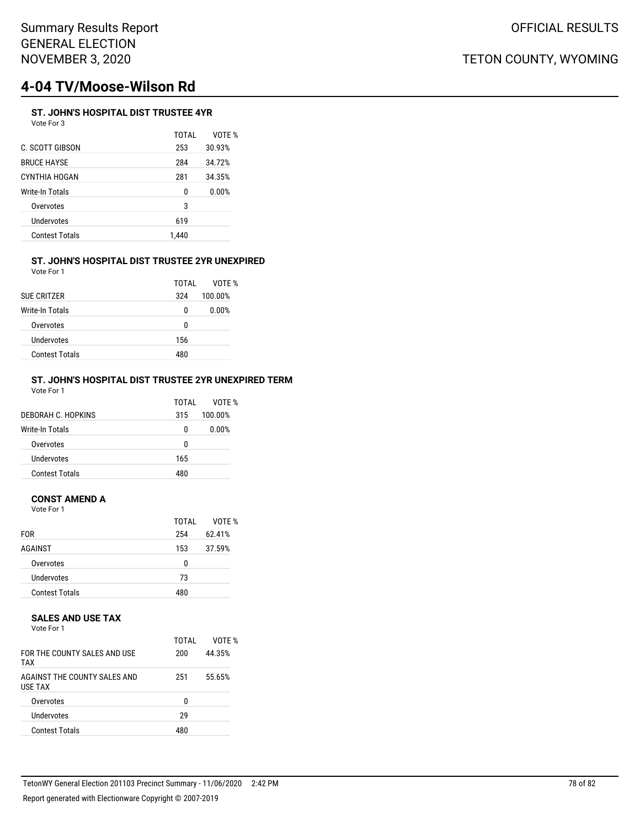# **4-04 TV/Moose-Wilson Rd**

### **ST. JOHN'S HOSPITAL DIST TRUSTEE 4YR**

| Vote For 3 |  |
|------------|--|
|------------|--|

|                       | TOTAI | VOTE % |
|-----------------------|-------|--------|
| C. SCOTT GIBSON       | 253   | 30.93% |
| BRUCE HAYSE           | 284   | 34.72% |
| CYNTHIA HOGAN         | 281   | 34.35% |
| Write-In Totals       | 0     | 0.00%  |
| Overvotes             | 3     |        |
| Undervotes            | 619   |        |
| <b>Contest Totals</b> | 1,440 |        |
|                       |       |        |

#### **ST. JOHN'S HOSPITAL DIST TRUSTEE 2YR UNEXPIRED** Vote For 1

| <b>SUE CRITZER</b>    | TOTAI<br>324 | VOTF %<br>100.00% |
|-----------------------|--------------|-------------------|
| Write-In Totals       | 0            | 0.00%             |
| Overvotes             | 0            |                   |
| Undervotes            | 156          |                   |
| <b>Contest Totals</b> | 480          |                   |

#### **ST. JOHN'S HOSPITAL DIST TRUSTEE 2YR UNEXPIRED TERM** Vote For 1

| DEBORAH C. HOPKINS    | TOTAI<br>315 | VOTF %<br>100.00% |
|-----------------------|--------------|-------------------|
| Write-In Totals       | 0            | 0.00%             |
| Overvotes             | 0            |                   |
| Undervotes            | 165          |                   |
| <b>Contest Totals</b> | 480          |                   |

#### **CONST AMEND A**

Vote For 1

| TOTAI | VOTE %<br>62.41% |
|-------|------------------|
| 153   | 37.59%           |
| 0     |                  |
| 73    |                  |
| 480   |                  |
|       | 254              |

#### **SALES AND USE TAX**

Vote For 1

| FOR THE COUNTY SALES AND USE<br><b>TAX</b> | TOTAI<br>200 | VOTF %<br>44.35% |
|--------------------------------------------|--------------|------------------|
| AGAINST THE COUNTY SALES AND<br>USE TAX    | 251          | 55.65%           |
| Overvotes                                  | U            |                  |
| Undervotes                                 | 29           |                  |
| <b>Contest Totals</b>                      | 480          |                  |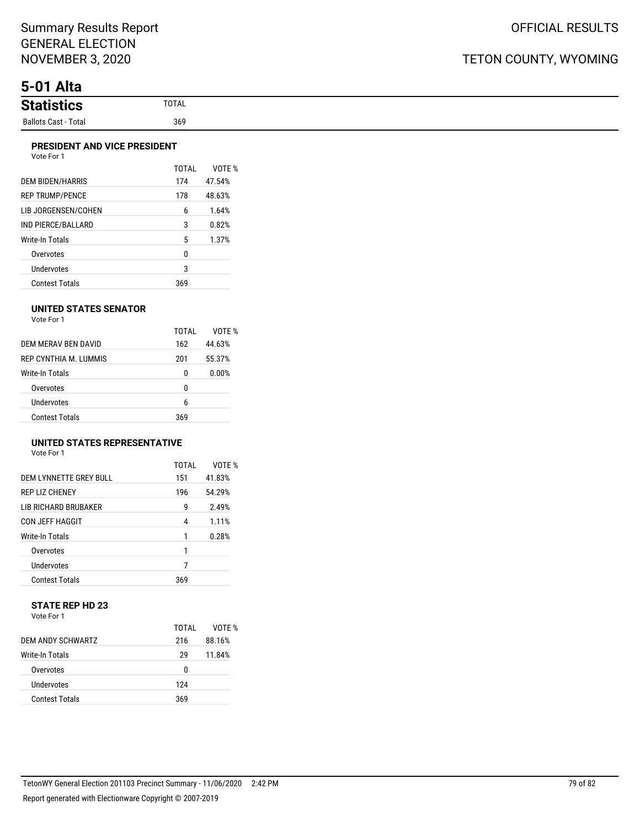## TETON COUNTY, WYOMING

## **5-01 Alta**

#### **PRESIDENT AND VICE PRESIDENT**

| Vote For 1 |  |
|------------|--|
|            |  |

|                         | TOTAI | VOTF % |
|-------------------------|-------|--------|
| <b>DEM BIDEN/HARRIS</b> | 174   | 47.54% |
| <b>REP TRUMP/PENCE</b>  | 178   | 48.63% |
| LIB JORGENSEN/COHEN     | 6     | 1.64%  |
| IND PIERCE/BALLARD      | 3     | 0.82%  |
| Write-In Totals         | 5     | 1.37%  |
| Overvotes               | 0     |        |
| Undervotes              | 3     |        |
| Contest Totals          | 369   |        |

#### **UNITED STATES SENATOR**

Vote For 1

|                        | TOTAI | VOTF % |
|------------------------|-------|--------|
| DEM MERAV BEN DAVID    | 162   | 44.63% |
| REP CYNTHIA M. LUMMIS  | 201   | 55.37% |
| <b>Write-In Totals</b> | 0     | 0.00%  |
| Overvotes              | 0     |        |
| Undervotes             | 6     |        |
| <b>Contest Totals</b>  | 369   |        |

### **UNITED STATES REPRESENTATIVE**

Vote For 1

|                             | TOTAI | VOTF % |
|-----------------------------|-------|--------|
| DEM LYNNETTE GREY BULL      | 151   | 41.83% |
| <b>REP LIZ CHENEY</b>       | 196   | 54.29% |
| <b>LIB RICHARD BRUBAKER</b> | g     | 2.49%  |
| <b>CON JEFF HAGGIT</b>      | 4     | 1.11%  |
| Write-In Totals             | 1     | 0.28%  |
| Overvotes                   | 1     |        |
| Undervotes                  | 7     |        |
| <b>Contest Totals</b>       | 369   |        |

#### **STATE REP HD 23** Vote For 1

|                       | TOTAI | VOTF % |
|-----------------------|-------|--------|
| DEM ANDY SCHWARTZ     | 216   | 88.16% |
| Write-In Totals       | 29    | 11.84% |
| Overvotes             | 0     |        |
| Undervotes            | 124   |        |
| <b>Contest Totals</b> | 369   |        |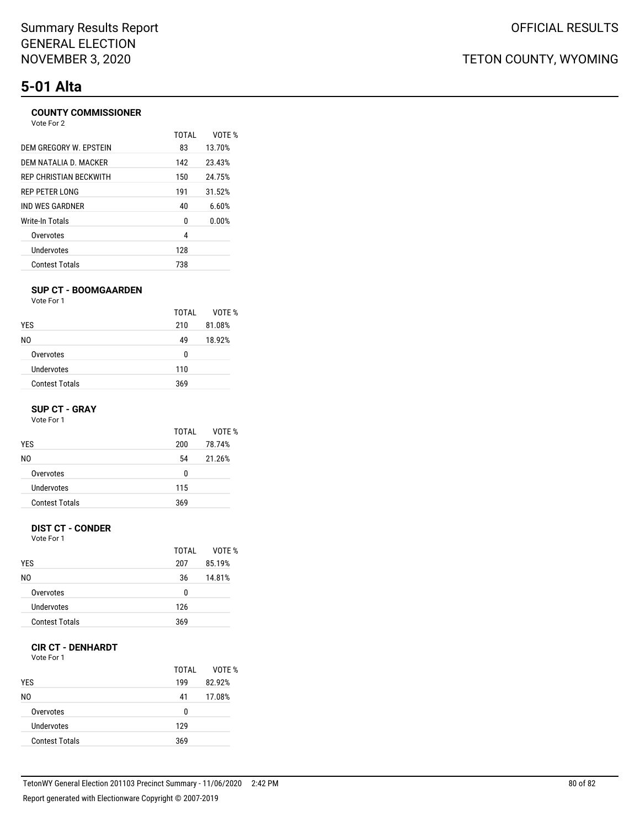# **5-01 Alta**

## **COUNTY COMMISSIONER**

| Vote For 2             |              |        |
|------------------------|--------------|--------|
|                        | <b>TOTAL</b> | VOTF % |
| DEM GREGORY W. EPSTEIN | 83           | 13.70% |
| DEM NATALIA D. MACKER  | 142          | 23.43% |
| REP CHRISTIAN BECKWITH | 150          | 24.75% |
| <b>REP PETER LONG</b>  | 191          | 31.52% |
| IND WES GARDNER        | 40           | 6.60%  |
| <b>Write-In Totals</b> | 0            | 0.00%  |
| Overvotes              | 4            |        |
| Undervotes             | 128          |        |
| <b>Contest Totals</b>  | 738          |        |
|                        |              |        |

#### **SUP CT - BOOMGAARDEN**

Vote For 1

|                       | TOTAI | VOTE % |
|-----------------------|-------|--------|
| <b>YES</b>            | 210   | 81.08% |
| NO.                   | 49    | 18.92% |
| Overvotes             | 0     |        |
| Undervotes            | 110   |        |
| <b>Contest Totals</b> | 369   |        |

#### **SUP CT - GRAY**

Vote For 1

|                       | TOTAI | VOTE % |
|-----------------------|-------|--------|
| <b>YES</b>            | 200   | 78.74% |
| N0                    | 54    | 21.26% |
| Overvotes             | 0     |        |
| Undervotes            | 115   |        |
| <b>Contest Totals</b> | 369   |        |

#### **DIST CT - CONDER**

Vote For 1

|                       | TOTAI | VOTF % |
|-----------------------|-------|--------|
| <b>YES</b>            | 207   | 85.19% |
| N0                    | 36    | 14.81% |
| Overvotes             | 0     |        |
| Undervotes            | 126   |        |
| <b>Contest Totals</b> | 369   |        |

### **CIR CT - DENHARDT**

Vote For 1

| <b>YES</b>            | TOTAI<br>199 | VOTE %<br>82.92% |
|-----------------------|--------------|------------------|
| N0                    | 41           | 17.08%           |
| Overvotes             | 0            |                  |
| Undervotes            | 129          |                  |
| <b>Contest Totals</b> | 369          |                  |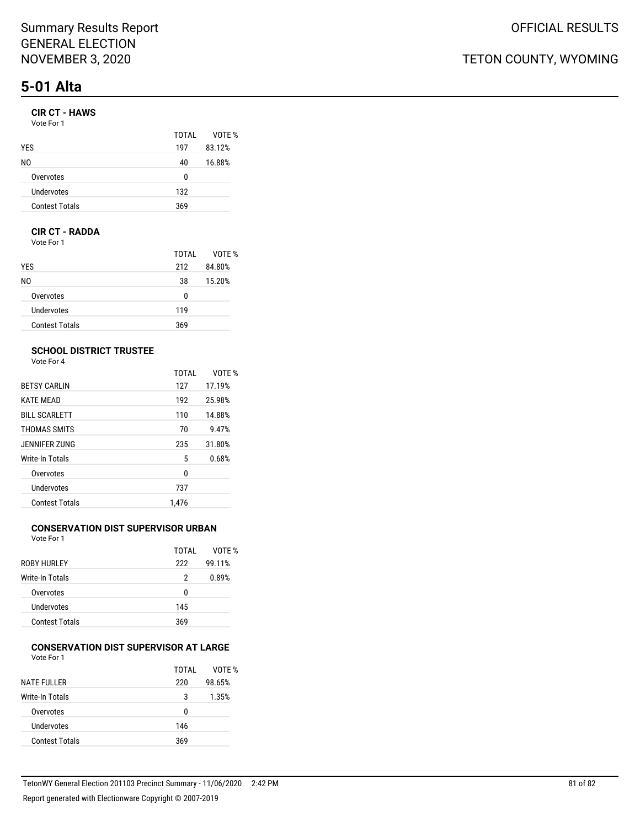# **5-01 Alta**

### **CIR CT - HAWS**

| Vote For 1 |  |
|------------|--|
|------------|--|

|                       | TOTAI | VOTE % |
|-----------------------|-------|--------|
| <b>YES</b>            | 197   | 83.12% |
| NO.                   | 40    | 16.88% |
| Overvotes             | n     |        |
| Undervotes            | 132   |        |
| <b>Contest Totals</b> | 369   |        |

#### **CIR CT - RADDA**

Vote For 1

|                       | TOTAL | VOTE % |
|-----------------------|-------|--------|
| <b>YES</b>            | 212   | 84.80% |
| NO.                   | 38    | 15.20% |
| Overvotes             | 0     |        |
| Undervotes            | 119   |        |
| <b>Contest Totals</b> | 369   |        |

## **SCHOOL DISTRICT TRUSTEE**

Vote For 4

|                       | <b>TOTAL</b> | VOTE % |
|-----------------------|--------------|--------|
| <b>BETSY CARLIN</b>   | 127          | 17.19% |
| <b>KATE MEAD</b>      | 192          | 25.98% |
| <b>BILL SCARLETT</b>  | 110          | 14.88% |
| THOMAS SMITS          | 70           | 9.47%  |
| JENNIFER ZUNG         | 235          | 31.80% |
| Write-In Totals       | 5            | 0.68%  |
| Overvotes             | 0            |        |
| Undervotes            | 737          |        |
| <b>Contest Totals</b> | 1.476        |        |

## **CONSERVATION DIST SUPERVISOR URBAN**

Vote For 1

|                       | TOTAI | VOTF % |
|-----------------------|-------|--------|
| ROBY HURLEY           | 222   | 99.11% |
| Write-In Totals       | 2     | 0.89%  |
| Overvotes             | U     |        |
| Undervotes            | 145   |        |
| <b>Contest Totals</b> | 369   |        |

#### **CONSERVATION DIST SUPERVISOR AT LARGE** Vote For 1

| .                     |       |        |
|-----------------------|-------|--------|
|                       | TOTAI | VOTE % |
| <b>NATE FULLER</b>    | 220   | 98.65% |
| Write-In Totals       | 3     | 1.35%  |
| Overvotes             | U     |        |
| Undervotes            | 146   |        |
| <b>Contest Totals</b> | 369   |        |
|                       |       |        |